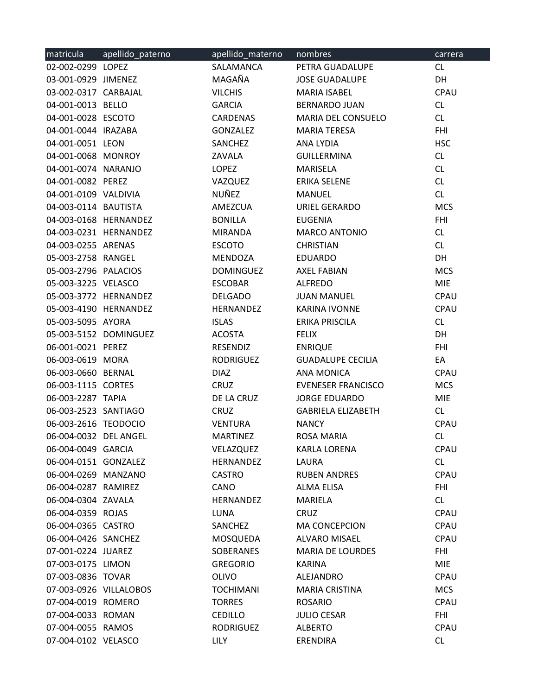| matricula              | apellido_paterno      | apellido_materno | nombres                   | carrera     |
|------------------------|-----------------------|------------------|---------------------------|-------------|
| 02-002-0299 LOPEZ      |                       | SALAMANCA        | PETRA GUADALUPE           | CL          |
| 03-001-0929 JIMENEZ    |                       | MAGAÑA           | <b>JOSE GUADALUPE</b>     | DH          |
| 03-002-0317 CARBAJAL   |                       | <b>VILCHIS</b>   | <b>MARIA ISABEL</b>       | CPAU        |
| 04-001-0013 BELLO      |                       | <b>GARCIA</b>    | <b>BERNARDO JUAN</b>      | CL          |
| 04-001-0028 ESCOTO     |                       | CARDENAS         | MARIA DEL CONSUELO        | CL          |
| 04-001-0044 IRAZABA    |                       | GONZALEZ         | <b>MARIA TERESA</b>       | <b>FHI</b>  |
| 04-001-0051 LEON       |                       | SANCHEZ          | ANA LYDIA                 | <b>HSC</b>  |
| 04-001-0068 MONROY     |                       | ZAVALA           | GUILLERMINA               | CL          |
| 04-001-0074 NARANJO    |                       | LOPEZ            | <b>MARISELA</b>           | CL          |
| 04-001-0082 PEREZ      |                       | VAZQUEZ          | ERIKA SELENE              | CL          |
| 04-001-0109 VALDIVIA   |                       | NUÑEZ            | MANUEL                    | CL          |
| 04-003-0114 BAUTISTA   |                       | AMEZCUA          | URIEL GERARDO             | <b>MCS</b>  |
|                        | 04-003-0168 HERNANDEZ | <b>BONILLA</b>   | <b>EUGENIA</b>            | <b>FHI</b>  |
|                        | 04-003-0231 HERNANDEZ | MIRANDA          | <b>MARCO ANTONIO</b>      | CL          |
| 04-003-0255 ARENAS     |                       | <b>ESCOTO</b>    | <b>CHRISTIAN</b>          | CL          |
| 05-003-2758 RANGEL     |                       | MENDOZA          | <b>EDUARDO</b>            | DH          |
| 05-003-2796 PALACIOS   |                       | <b>DOMINGUEZ</b> | AXEL FABIAN               | <b>MCS</b>  |
| 05-003-3225 VELASCO    |                       | ESCOBAR          | ALFREDO                   | <b>MIE</b>  |
|                        | 05-003-3772 HERNANDEZ | DELGADO          | JUAN MANUEL               | CPAU        |
|                        | 05-003-4190 HERNANDEZ | HERNANDEZ        | KARINA IVONNE             | CPAU        |
| 05-003-5095 AYORA      |                       | <b>ISLAS</b>     | ERIKA PRISCILA            | CL          |
|                        | 05-003-5152 DOMINGUEZ | ACOSTA           | <b>FELIX</b>              | DH          |
| 06-001-0021 PEREZ      |                       | RESENDIZ         | <b>ENRIQUE</b>            | <b>FHI</b>  |
| 06-003-0619 MORA       |                       | RODRIGUEZ        | <b>GUADALUPE CECILIA</b>  | EA          |
| 06-003-0660 BERNAL     |                       | <b>DIAZ</b>      | ANA MONICA                | CPAU        |
| 06-003-1115 CORTES     |                       | CRUZ             | <b>EVENESER FRANCISCO</b> | <b>MCS</b>  |
| 06-003-2287 TAPIA      |                       | DE LA CRUZ       | <b>JORGE EDUARDO</b>      | <b>MIE</b>  |
| 06-003-2523 SANTIAGO   |                       | CRUZ             | <b>GABRIELA ELIZABETH</b> | CL          |
| 06-003-2616 TEODOCIO   |                       | <b>VENTURA</b>   | <b>NANCY</b>              | CPAU        |
| 06-004-0032 DEL ANGEL  |                       | <b>MARTINEZ</b>  | <b>ROSA MARIA</b>         | CL          |
| 06-004-0049 GARCIA     |                       | VELAZQUEZ        | <b>KARLA LORENA</b>       | <b>CPAU</b> |
| 06-004-0151 GONZALEZ   |                       | HERNANDEZ        | LAURA                     | CL          |
| 06-004-0269 MANZANO    |                       | <b>CASTRO</b>    | <b>RUBEN ANDRES</b>       | CPAU        |
| 06-004-0287 RAMIREZ    |                       | CANO             | <b>ALMA ELISA</b>         | <b>FHI</b>  |
| 06-004-0304 ZAVALA     |                       | <b>HERNANDEZ</b> | MARIELA                   | CL          |
| 06-004-0359 ROJAS      |                       | LUNA             | <b>CRUZ</b>               | CPAU        |
| 06-004-0365 CASTRO     |                       | SANCHEZ          | <b>MA CONCEPCION</b>      | CPAU        |
| 06-004-0426 SANCHEZ    |                       | MOSQUEDA         | ALVARO MISAEL             | CPAU        |
| 07-001-0224 JUAREZ     |                       | SOBERANES        | <b>MARIA DE LOURDES</b>   | <b>FHI</b>  |
| 07-003-0175 LIMON      |                       | <b>GREGORIO</b>  | KARINA                    | <b>MIE</b>  |
| 07-003-0836 TOVAR      |                       | <b>OLIVO</b>     | ALEJANDRO                 | CPAU        |
| 07-003-0926 VILLALOBOS |                       | <b>TOCHIMANI</b> | <b>MARIA CRISTINA</b>     | <b>MCS</b>  |
| 07-004-0019 ROMERO     |                       | <b>TORRES</b>    | <b>ROSARIO</b>            | CPAU        |
| 07-004-0033 ROMAN      |                       | <b>CEDILLO</b>   | <b>JULIO CESAR</b>        | <b>FHI</b>  |
| 07-004-0055 RAMOS      |                       | RODRIGUEZ        | <b>ALBERTO</b>            | CPAU        |
| 07-004-0102 VELASCO    |                       | <b>LILY</b>      | <b>ERENDIRA</b>           | CL          |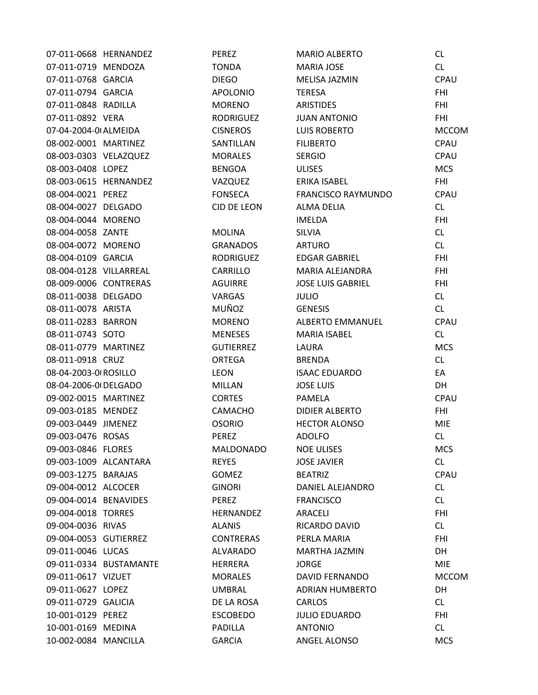| 07-011-0668 HERNANDEZ  |                        | PEREZ            | <b>MARIO ALBERTO</b>      | CL           |
|------------------------|------------------------|------------------|---------------------------|--------------|
| 07-011-0719 MENDOZA    |                        | <b>TONDA</b>     | <b>MARIA JOSE</b>         | CL           |
| 07-011-0768 GARCIA     |                        | <b>DIEGO</b>     | MELISA JAZMIN             | CPAU         |
| 07-011-0794 GARCIA     |                        | <b>APOLONIO</b>  | TERESA                    | <b>FHI</b>   |
| 07-011-0848 RADILLA    |                        | <b>MORENO</b>    | ARISTIDES                 | <b>FHI</b>   |
| 07-011-0892 VERA       |                        | RODRIGUEZ        | <b>JUAN ANTONIO</b>       | <b>FHI</b>   |
| 07-04-2004-0 ALMEIDA   |                        | <b>CISNEROS</b>  | <b>LUIS ROBERTO</b>       | <b>MCCOM</b> |
| 08-002-0001 MARTINEZ   |                        | SANTILLAN        | <b>FILIBERTO</b>          | CPAU         |
| 08-003-0303 VELAZQUEZ  |                        | <b>MORALES</b>   | <b>SERGIO</b>             | CPAU         |
| 08-003-0408 LOPEZ      |                        | BENGOA           | <b>ULISES</b>             | <b>MCS</b>   |
|                        | 08-003-0615 HERNANDEZ  | VAZQUEZ          | ERIKA ISABEL              | <b>FHI</b>   |
| 08-004-0021 PEREZ      |                        | FONSECA          | <b>FRANCISCO RAYMUNDO</b> | CPAU         |
| 08-004-0027 DELGADO    |                        | CID DE LEON      | ALMA DELIA                | CL           |
| 08-004-0044 MORENO     |                        |                  | <b>IMELDA</b>             | <b>FHI</b>   |
| 08-004-0058 ZANTE      |                        | <b>MOLINA</b>    | <b>SILVIA</b>             | CL           |
| 08-004-0072 MORENO     |                        | GRANADOS         | ARTURO                    | CL           |
| 08-004-0109 GARCIA     |                        | RODRIGUEZ        | EDGAR GABRIEL             | <b>FHI</b>   |
| 08-004-0128 VILLARREAL |                        | CARRILLO         | MARIA ALEJANDRA           | <b>FHI</b>   |
| 08-009-0006 CONTRERAS  |                        | AGUIRRE          | <b>JOSE LUIS GABRIEL</b>  | <b>FHI</b>   |
| 08-011-0038 DELGADO    |                        | VARGAS           | <b>JULIO</b>              | CL           |
| 08-011-0078 ARISTA     |                        | MUÑOZ            | <b>GENESIS</b>            | CL           |
| 08-011-0283 BARRON     |                        | MORENO           | ALBERTO EMMANUEL          | CPAU         |
| 08-011-0743 SOTO       |                        | <b>MENESES</b>   | MARIA ISABEL              | CL           |
| 08-011-0779 MARTINEZ   |                        | <b>GUTIERREZ</b> | LAURA                     | <b>MCS</b>   |
| 08-011-0918 CRUZ       |                        | ORTEGA           | BRENDA                    | CL           |
| 08-04-2003-0 ROSILLO   |                        | LEON             | <b>ISAAC EDUARDO</b>      | EA           |
| 08-04-2006-0 DELGADO   |                        | MILLAN           | <b>JOSE LUIS</b>          | DH           |
| 09-002-0015 MARTINEZ   |                        | <b>CORTES</b>    | PAMELA                    | CPAU         |
| 09-003-0185 MENDEZ     |                        | CAMACHO          | DIDIER ALBERTO            | <b>FHI</b>   |
| 09-003-0449 JIMENEZ    |                        | <b>OSORIO</b>    | <b>HECTOR ALONSO</b>      | <b>MIE</b>   |
| 09-003-0476 ROSAS      |                        | <b>PEREZ</b>     | <b>ADOLFO</b>             | <b>CL</b>    |
| 09-003-0846 FLORES     |                        | MALDONADO        | <b>NOE ULISES</b>         | <b>MCS</b>   |
| 09-003-1009 ALCANTARA  |                        | <b>REYES</b>     | <b>JOSE JAVIER</b>        | CL           |
| 09-003-1275 BARAJAS    |                        | GOMEZ            | <b>BEATRIZ</b>            | CPAU         |
| 09-004-0012 ALCOCER    |                        | <b>GINORI</b>    | DANIEL ALEJANDRO          | CL           |
| 09-004-0014 BENAVIDES  |                        | PEREZ            | <b>FRANCISCO</b>          | CL           |
| 09-004-0018 TORRES     |                        | HERNANDEZ        | ARACELI                   | <b>FHI</b>   |
| 09-004-0036 RIVAS      |                        | <b>ALANIS</b>    | RICARDO DAVID             | CL           |
| 09-004-0053 GUTIERREZ  |                        | <b>CONTRERAS</b> | PERLA MARIA               | <b>FHI</b>   |
| 09-011-0046 LUCAS      |                        | ALVARADO         | MARTHA JAZMIN             | DH           |
|                        | 09-011-0334 BUSTAMANTE | HERRERA          | <b>JORGE</b>              | <b>MIE</b>   |
| 09-011-0617 VIZUET     |                        | MORALES          | DAVID FERNANDO            | <b>MCCOM</b> |
| 09-011-0627 LOPEZ      |                        | UMBRAL           | ADRIAN HUMBERTO           | DH           |
| 09-011-0729 GALICIA    |                        | DE LA ROSA       | CARLOS                    | CL           |
| 10-001-0129 PEREZ      |                        | ESCOBEDO         | <b>JULIO EDUARDO</b>      | <b>FHI</b>   |
| 10-001-0169 MEDINA     |                        | PADILLA          | <b>ANTONIO</b>            | CL           |
| 10-002-0084 MANCILLA   |                        | <b>GARCIA</b>    | ANGEL ALONSO              | <b>MCS</b>   |
|                        |                        |                  |                           |              |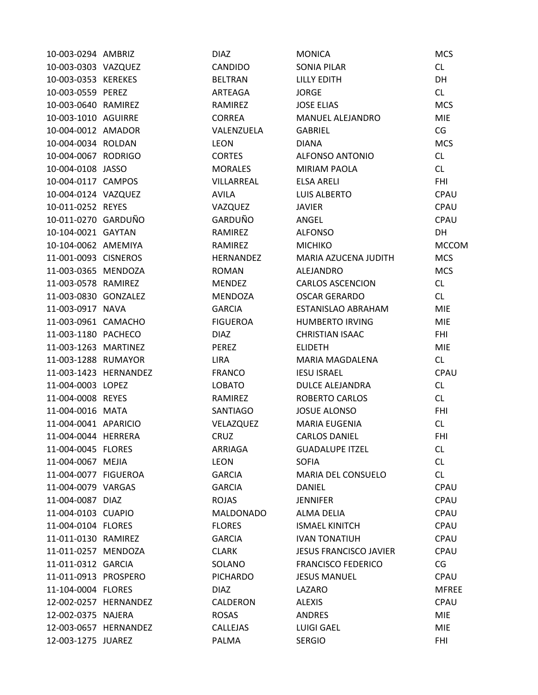| 10-003-0294 AMBRIZ   |                       | <b>DIAZ</b>      | <b>MONICA</b>                 | <b>MCS</b>   |
|----------------------|-----------------------|------------------|-------------------------------|--------------|
| 10-003-0303 VAZQUEZ  |                       | CANDIDO          | <b>SONIA PILAR</b>            | CL           |
| 10-003-0353 KEREKES  |                       | <b>BELTRAN</b>   | <b>LILLY EDITH</b>            | <b>DH</b>    |
| 10-003-0559 PEREZ    |                       | ARTEAGA          | <b>JORGE</b>                  | CL           |
| 10-003-0640 RAMIREZ  |                       | RAMIREZ          | <b>JOSE ELIAS</b>             | <b>MCS</b>   |
| 10-003-1010 AGUIRRE  |                       | <b>CORREA</b>    | MANUEL ALEJANDRO              | <b>MIE</b>   |
| 10-004-0012 AMADOR   |                       | VALENZUELA       | <b>GABRIEL</b>                | CG           |
| 10-004-0034 ROLDAN   |                       | <b>LEON</b>      | <b>DIANA</b>                  | <b>MCS</b>   |
| 10-004-0067 RODRIGO  |                       | <b>CORTES</b>    | <b>ALFONSO ANTONIO</b>        | CL.          |
| 10-004-0108 JASSO    |                       | <b>MORALES</b>   | <b>MIRIAM PAOLA</b>           | <b>CL</b>    |
| 10-004-0117 CAMPOS   |                       | VILLARREAL       | <b>ELSA ARELI</b>             | <b>FHI</b>   |
| 10-004-0124 VAZQUEZ  |                       | <b>AVILA</b>     | <b>LUIS ALBERTO</b>           | CPAU         |
| 10-011-0252 REYES    |                       | VAZQUEZ          | <b>JAVIER</b>                 | CPAU         |
| 10-011-0270 GARDUÑO  |                       | GARDUÑO          | ANGEL                         | CPAU         |
| 10-104-0021 GAYTAN   |                       | RAMIREZ          | <b>ALFONSO</b>                | DH           |
| 10-104-0062 AMEMIYA  |                       | RAMIREZ          | <b>MICHIKO</b>                | <b>MCCOM</b> |
| 11-001-0093 CISNEROS |                       | <b>HERNANDEZ</b> | MARIA AZUCENA JUDITH          | <b>MCS</b>   |
| 11-003-0365 MENDOZA  |                       | <b>ROMAN</b>     | ALEJANDRO                     | <b>MCS</b>   |
| 11-003-0578 RAMIREZ  |                       | <b>MENDEZ</b>    | <b>CARLOS ASCENCION</b>       | CL           |
| 11-003-0830 GONZALEZ |                       | <b>MENDOZA</b>   | <b>OSCAR GERARDO</b>          | <b>CL</b>    |
| 11-003-0917 NAVA     |                       | <b>GARCIA</b>    | ESTANISLAO ABRAHAM            | <b>MIE</b>   |
| 11-003-0961 CAMACHO  |                       | <b>FIGUEROA</b>  | <b>HUMBERTO IRVING</b>        | <b>MIE</b>   |
| 11-003-1180 PACHECO  |                       | <b>DIAZ</b>      | <b>CHRISTIAN ISAAC</b>        | <b>FHI</b>   |
| 11-003-1263 MARTINEZ |                       | PEREZ            | <b>ELIDETH</b>                | <b>MIE</b>   |
| 11-003-1288 RUMAYOR  |                       | <b>LIRA</b>      | MARIA MAGDALENA               | CL           |
|                      | 11-003-1423 HERNANDEZ | <b>FRANCO</b>    | <b>IESU ISRAEL</b>            | CPAU         |
| 11-004-0003 LOPEZ    |                       | <b>LOBATO</b>    | <b>DULCE ALEJANDRA</b>        | CL           |
| 11-004-0008 REYES    |                       | RAMIREZ          | ROBERTO CARLOS                | CL           |
| 11-004-0016 MATA     |                       | SANTIAGO         | <b>JOSUE ALONSO</b>           | <b>FHI</b>   |
| 11-004-0041 APARICIO |                       | VELAZQUEZ        | <b>MARIA EUGENIA</b>          | CL           |
| 11-004-0044 HERRERA  |                       | CRUZ             | <b>CARLOS DANIEL</b>          | <b>FHI</b>   |
| 11-004-0045 FLORES   |                       | <b>ARRIAGA</b>   | <b>GUADALUPE ITZEL</b>        | <b>CL</b>    |
| 11-004-0067 MEJIA    |                       | <b>LEON</b>      | <b>SOFIA</b>                  | CL           |
| 11-004-0077 FIGUEROA |                       | <b>GARCIA</b>    | MARIA DEL CONSUELO            | CL           |
| 11-004-0079 VARGAS   |                       | <b>GARCIA</b>    | <b>DANIEL</b>                 | CPAU         |
| 11-004-0087 DIAZ     |                       | <b>ROJAS</b>     | <b>JENNIFER</b>               | CPAU         |
| 11-004-0103 CUAPIO   |                       | <b>MALDONADO</b> | ALMA DELIA                    | CPAU         |
| 11-004-0104 FLORES   |                       | <b>FLORES</b>    | <b>ISMAEL KINITCH</b>         | CPAU         |
| 11-011-0130 RAMIREZ  |                       | <b>GARCIA</b>    | <b>IVAN TONATIUH</b>          | CPAU         |
| 11-011-0257 MENDOZA  |                       | <b>CLARK</b>     | <b>JESUS FRANCISCO JAVIER</b> | CPAU         |
| 11-011-0312 GARCIA   |                       | SOLANO           | <b>FRANCISCO FEDERICO</b>     | CG           |
| 11-011-0913 PROSPERO |                       | <b>PICHARDO</b>  | <b>JESUS MANUEL</b>           | CPAU         |
| 11-104-0004 FLORES   |                       | DIAZ             | LAZARO                        | <b>MFREE</b> |
|                      | 12-002-0257 HERNANDEZ | CALDERON         | <b>ALEXIS</b>                 | CPAU         |
| 12-002-0375 NAJERA   |                       | <b>ROSAS</b>     | <b>ANDRES</b>                 | <b>MIE</b>   |
|                      | 12-003-0657 HERNANDEZ | CALLEJAS         | <b>LUIGI GAEL</b>             | <b>MIE</b>   |
| 12-003-1275 JUAREZ   |                       | PALMA            | <b>SERGIO</b>                 | FHI          |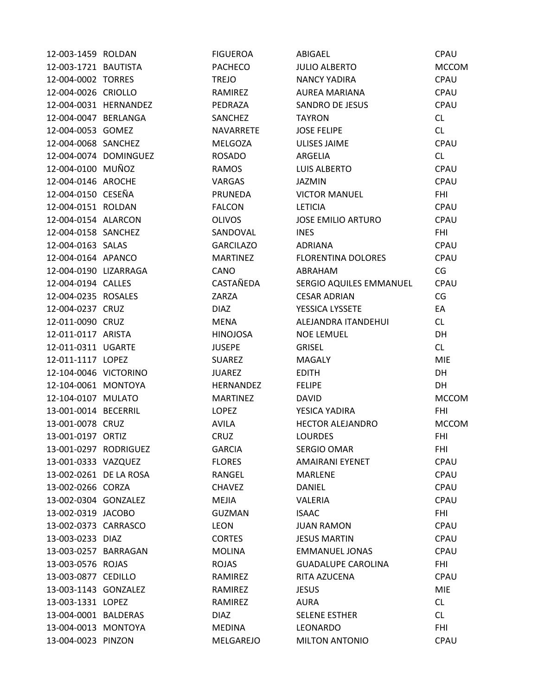| 12-003-1459 ROLDAN     |                       | <b>FIGUEROA</b>  | ABIGAEL                   | CPAU         |
|------------------------|-----------------------|------------------|---------------------------|--------------|
| 12-003-1721 BAUTISTA   |                       | <b>PACHECO</b>   | <b>JULIO ALBERTO</b>      | <b>MCCOM</b> |
| 12-004-0002 TORRES     |                       | <b>TREJO</b>     | <b>NANCY YADIRA</b>       | CPAU         |
| 12-004-0026 CRIOLLO    |                       | RAMIREZ          | <b>AUREA MARIANA</b>      | CPAU         |
| 12-004-0031 HERNANDEZ  |                       | PEDRAZA          | <b>SANDRO DE JESUS</b>    | CPAU         |
| 12-004-0047 BERLANGA   |                       | SANCHEZ          | <b>TAYRON</b>             | CL           |
| 12-004-0053 GOMEZ      |                       | NAVARRETE        | <b>JOSE FELIPE</b>        | CL.          |
| 12-004-0068 SANCHEZ    |                       | <b>MELGOZA</b>   | <b>ULISES JAIME</b>       | CPAU         |
|                        | 12-004-0074 DOMINGUEZ | <b>ROSADO</b>    | ARGELIA                   | CL           |
| 12-004-0100 MUÑOZ      |                       | <b>RAMOS</b>     | <b>LUIS ALBERTO</b>       | CPAU         |
| 12-004-0146 AROCHE     |                       | VARGAS           | <b>JAZMIN</b>             | <b>CPAU</b>  |
| 12-004-0150 CESEÑA     |                       | PRUNEDA          | <b>VICTOR MANUEL</b>      | <b>FHI</b>   |
| 12-004-0151 ROLDAN     |                       | <b>FALCON</b>    | <b>LETICIA</b>            | CPAU         |
| 12-004-0154 ALARCON    |                       | <b>OLIVOS</b>    | <b>JOSE EMILIO ARTURO</b> | CPAU         |
| 12-004-0158 SANCHEZ    |                       | SANDOVAL         | <b>INES</b>               | <b>FHI</b>   |
| 12-004-0163 SALAS      |                       | <b>GARCILAZO</b> | <b>ADRIANA</b>            | CPAU         |
| 12-004-0164 APANCO     |                       | <b>MARTINEZ</b>  | <b>FLORENTINA DOLORES</b> | <b>CPAU</b>  |
| 12-004-0190 LIZARRAGA  |                       | CANO             | ABRAHAM                   | CG           |
| 12-004-0194 CALLES     |                       | CASTAÑEDA        | SERGIO AQUILES EMMANUEL   | CPAU         |
| 12-004-0235 ROSALES    |                       | ZARZA            | <b>CESAR ADRIAN</b>       | CG           |
| 12-004-0237 CRUZ       |                       | <b>DIAZ</b>      | YESSICA LYSSETE           | EA           |
| 12-011-0090 CRUZ       |                       | MENA             | ALEJANDRA ITANDEHUI       | CL           |
| 12-011-0117 ARISTA     |                       | <b>HINOJOSA</b>  | <b>NOE LEMUEL</b>         | DH           |
| 12-011-0311 UGARTE     |                       | <b>JUSEPE</b>    | <b>GRISEL</b>             | CL           |
| 12-011-1117 LOPEZ      |                       | <b>SUAREZ</b>    | <b>MAGALY</b>             | <b>MIE</b>   |
| 12-104-0046 VICTORINO  |                       | <b>JUAREZ</b>    | <b>EDITH</b>              | DH           |
| 12-104-0061 MONTOYA    |                       | HERNANDEZ        | <b>FELIPE</b>             | DH           |
| 12-104-0107 MULATO     |                       | <b>MARTINEZ</b>  | <b>DAVID</b>              | <b>MCCOM</b> |
| 13-001-0014 BECERRIL   |                       | LOPEZ            | YESICA YADIRA             | <b>FHI</b>   |
| 13-001-0078 CRUZ       |                       | <b>AVILA</b>     | <b>HECTOR ALEJANDRO</b>   | <b>MCCOM</b> |
| 13-001-0197 ORTIZ      |                       | <b>CRUZ</b>      | <b>LOURDES</b>            | <b>FHI</b>   |
| 13-001-0297 RODRIGUEZ  |                       | <b>GARCIA</b>    | <b>SERGIO OMAR</b>        | <b>FHI</b>   |
| 13-001-0333 VAZQUEZ    |                       | <b>FLORES</b>    | <b>AMAIRANI EYENET</b>    | CPAU         |
| 13-002-0261 DE LA ROSA |                       | RANGEL           | MARLENE                   | <b>CPAU</b>  |
| 13-002-0266 CORZA      |                       | <b>CHAVEZ</b>    | DANIEL                    | CPAU         |
| 13-002-0304 GONZALEZ   |                       | <b>MEJIA</b>     | VALERIA                   | CPAU         |
| 13-002-0319 JACOBO     |                       | <b>GUZMAN</b>    | <b>ISAAC</b>              | <b>FHI</b>   |
| 13-002-0373 CARRASCO   |                       | LEON             | <b>JUAN RAMON</b>         | CPAU         |
| 13-003-0233 DIAZ       |                       | <b>CORTES</b>    | <b>JESUS MARTIN</b>       | CPAU         |
| 13-003-0257 BARRAGAN   |                       | <b>MOLINA</b>    | <b>EMMANUEL JONAS</b>     | CPAU         |
| 13-003-0576 ROJAS      |                       | <b>ROJAS</b>     | <b>GUADALUPE CAROLINA</b> | <b>FHI</b>   |
| 13-003-0877 CEDILLO    |                       | RAMIREZ          | RITA AZUCENA              | CPAU         |
| 13-003-1143 GONZALEZ   |                       | RAMIREZ          | <b>JESUS</b>              | <b>MIE</b>   |
| 13-003-1331 LOPEZ      |                       | RAMIREZ          | AURA                      | CL           |
| 13-004-0001 BALDERAS   |                       | <b>DIAZ</b>      | <b>SELENE ESTHER</b>      | CL           |
| 13-004-0013 MONTOYA    |                       | <b>MEDINA</b>    | LEONARDO                  | <b>FHI</b>   |
| 13-004-0023 PINZON     |                       | MELGAREJO        | <b>MILTON ANTONIO</b>     | CPAU         |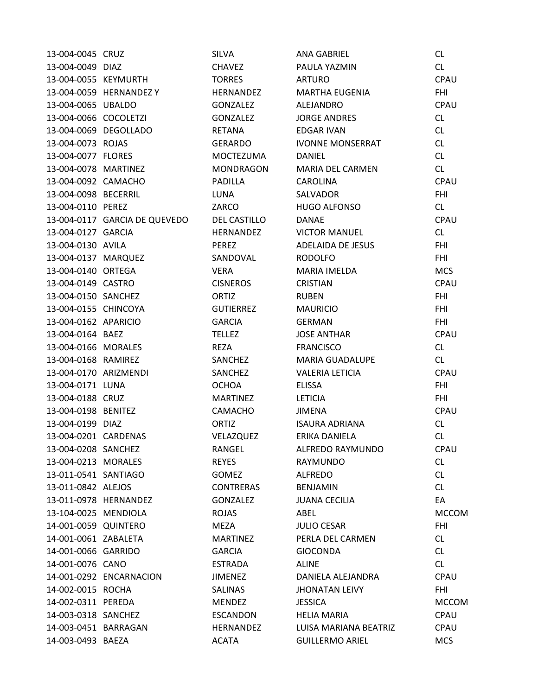| 13-004-0045 CRUZ      |                               | <b>SILVA</b>     | <b>ANA GABRIEL</b>      | <b>CL</b>    |
|-----------------------|-------------------------------|------------------|-------------------------|--------------|
| 13-004-0049 DIAZ      |                               | <b>CHAVEZ</b>    | PAULA YAZMIN            | CL           |
| 13-004-0055 KEYMURTH  |                               | <b>TORRES</b>    | <b>ARTURO</b>           | CPAU         |
|                       | 13-004-0059 HERNANDEZ Y       | HERNANDEZ        | <b>MARTHA EUGENIA</b>   | <b>FHI</b>   |
| 13-004-0065 UBALDO    |                               | <b>GONZALEZ</b>  | ALEJANDRO               | CPAU         |
| 13-004-0066 COCOLETZI |                               | <b>GONZALEZ</b>  | <b>JORGE ANDRES</b>     | CL           |
|                       | 13-004-0069 DEGOLLADO         | <b>RETANA</b>    | <b>EDGAR IVAN</b>       | <b>CL</b>    |
| 13-004-0073 ROJAS     |                               | GERARDO          | <b>IVONNE MONSERRAT</b> | CL           |
| 13-004-0077 FLORES    |                               | MOCTEZUMA        | DANIEL                  | CL           |
| 13-004-0078 MARTINEZ  |                               | <b>MONDRAGON</b> | MARIA DEL CARMEN        | CL           |
| 13-004-0092 CAMACHO   |                               | <b>PADILLA</b>   | CAROLINA                | CPAU         |
| 13-004-0098 BECERRIL  |                               | LUNA             | SALVADOR                | <b>FHI</b>   |
| 13-004-0110 PEREZ     |                               | ZARCO            | <b>HUGO ALFONSO</b>     | CL           |
|                       | 13-004-0117 GARCIA DE QUEVEDO | DEL CASTILLO     | <b>DANAE</b>            | CPAU         |
| 13-004-0127 GARCIA    |                               | HERNANDEZ        | <b>VICTOR MANUEL</b>    | CL           |
| 13-004-0130 AVILA     |                               | PEREZ            | ADELAIDA DE JESUS       | <b>FHI</b>   |
| 13-004-0137 MARQUEZ   |                               | SANDOVAL         | <b>RODOLFO</b>          | <b>FHI</b>   |
| 13-004-0140 ORTEGA    |                               | <b>VERA</b>      | MARIA IMELDA            | <b>MCS</b>   |
| 13-004-0149 CASTRO    |                               | <b>CISNEROS</b>  | <b>CRISTIAN</b>         | CPAU         |
| 13-004-0150 SANCHEZ   |                               | ORTIZ            | <b>RUBEN</b>            | <b>FHI</b>   |
| 13-004-0155 CHINCOYA  |                               | <b>GUTIERREZ</b> | <b>MAURICIO</b>         | <b>FHI</b>   |
| 13-004-0162 APARICIO  |                               | <b>GARCIA</b>    | <b>GERMAN</b>           | <b>FHI</b>   |
| 13-004-0164 BAEZ      |                               | <b>TELLEZ</b>    | <b>JOSE ANTHAR</b>      | CPAU         |
| 13-004-0166 MORALES   |                               | <b>REZA</b>      | <b>FRANCISCO</b>        | CL           |
| 13-004-0168 RAMIREZ   |                               | SANCHEZ          | <b>MARIA GUADALUPE</b>  | CL           |
| 13-004-0170 ARIZMENDI |                               | SANCHEZ          | <b>VALERIA LETICIA</b>  | CPAU         |
| 13-004-0171 LUNA      |                               | <b>OCHOA</b>     | <b>ELISSA</b>           | <b>FHI</b>   |
| 13-004-0188 CRUZ      |                               | <b>MARTINEZ</b>  | <b>LETICIA</b>          | <b>FHI</b>   |
| 13-004-0198 BENITEZ   |                               | CAMACHO          | <b>JIMENA</b>           | <b>CPAU</b>  |
| 13-004-0199 DIAZ      |                               | ORTIZ            | <b>ISAURA ADRIANA</b>   | CL           |
| 13-004-0201 CARDENAS  |                               | VELAZQUEZ        | ERIKA DANIELA           | CL           |
| 13-004-0208 SANCHEZ   |                               | RANGEL           | ALFREDO RAYMUNDO        | CPAU         |
| 13-004-0213 MORALES   |                               | <b>REYES</b>     | <b>RAYMUNDO</b>         | CL           |
| 13-011-0541 SANTIAGO  |                               | <b>GOMEZ</b>     | <b>ALFREDO</b>          | <b>CL</b>    |
| 13-011-0842 ALEJOS    |                               | <b>CONTRERAS</b> | <b>BENJAMIN</b>         | <b>CL</b>    |
|                       | 13-011-0978 HERNANDEZ         | <b>GONZALEZ</b>  | <b>JUANA CECILIA</b>    | EA           |
| 13-104-0025 MENDIOLA  |                               | <b>ROJAS</b>     | ABEL                    | <b>MCCOM</b> |
| 14-001-0059 QUINTERO  |                               | MEZA             | <b>JULIO CESAR</b>      | <b>FHI</b>   |
| 14-001-0061 ZABALETA  |                               | <b>MARTINEZ</b>  | PERLA DEL CARMEN        | <b>CL</b>    |
| 14-001-0066 GARRIDO   |                               | <b>GARCIA</b>    | <b>GIOCONDA</b>         | CL           |
| 14-001-0076 CANO      |                               | <b>ESTRADA</b>   | ALINE                   | CL           |
|                       | 14-001-0292 ENCARNACION       | <b>JIMENEZ</b>   | DANIELA ALEJANDRA       | CPAU         |
| 14-002-0015 ROCHA     |                               | <b>SALINAS</b>   | <b>JHONATAN LEIVY</b>   | <b>FHI</b>   |
| 14-002-0311 PEREDA    |                               | <b>MENDEZ</b>    | <b>JESSICA</b>          | <b>MCCOM</b> |
| 14-003-0318 SANCHEZ   |                               | <b>ESCANDON</b>  | <b>HELIA MARIA</b>      | CPAU         |
| 14-003-0451 BARRAGAN  |                               | <b>HERNANDEZ</b> | LUISA MARIANA BEATRIZ   | CPAU         |
| 14-003-0493 BAEZA     |                               | <b>ACATA</b>     | <b>GUILLERMO ARIEL</b>  | <b>MCS</b>   |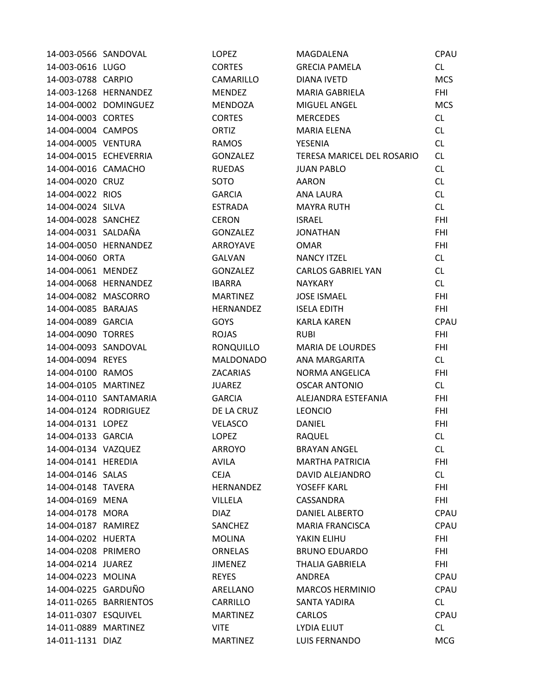| 14-003-0566 SANDOVAL  |                        | <b>LOPEZ</b>     | <b>MAGDALENA</b>           | CPAU        |
|-----------------------|------------------------|------------------|----------------------------|-------------|
| 14-003-0616 LUGO      |                        | <b>CORTES</b>    | <b>GRECIA PAMELA</b>       | CL.         |
| 14-003-0788 CARPIO    |                        | CAMARILLO        | DIANA IVETD                | <b>MCS</b>  |
|                       | 14-003-1268 HERNANDEZ  | <b>MENDEZ</b>    | <b>MARIA GABRIELA</b>      | <b>FHI</b>  |
|                       | 14-004-0002 DOMINGUEZ  | <b>MENDOZA</b>   | MIGUEL ANGEL               | <b>MCS</b>  |
| 14-004-0003 CORTES    |                        | <b>CORTES</b>    | <b>MERCEDES</b>            | CL          |
| 14-004-0004 CAMPOS    |                        | <b>ORTIZ</b>     | MARIA ELENA                | CL.         |
| 14-004-0005 VENTURA   |                        | <b>RAMOS</b>     | YESENIA                    | CL          |
|                       | 14-004-0015 ECHEVERRIA | GONZALEZ         | TERESA MARICEL DEL ROSARIO | <b>CL</b>   |
| 14-004-0016 CAMACHO   |                        | <b>RUEDAS</b>    | <b>JUAN PABLO</b>          | <b>CL</b>   |
| 14-004-0020 CRUZ      |                        | SOTO             | <b>AARON</b>               | <b>CL</b>   |
| 14-004-0022 RIOS      |                        | <b>GARCIA</b>    | ANA LAURA                  | CL          |
| 14-004-0024 SILVA     |                        | <b>ESTRADA</b>   | <b>MAYRA RUTH</b>          | CL          |
| 14-004-0028 SANCHEZ   |                        | <b>CERON</b>     | <b>ISRAEL</b>              | <b>FHI</b>  |
| 14-004-0031 SALDAÑA   |                        | <b>GONZALEZ</b>  | <b>JONATHAN</b>            | <b>FHI</b>  |
|                       | 14-004-0050 HERNANDEZ  | ARROYAVE         | <b>OMAR</b>                | FHI         |
| 14-004-0060 ORTA      |                        | <b>GALVAN</b>    | <b>NANCY ITZEL</b>         | CL          |
| 14-004-0061 MENDEZ    |                        | <b>GONZALEZ</b>  | <b>CARLOS GABRIEL YAN</b>  | CL.         |
|                       | 14-004-0068 HERNANDEZ  | <b>IBARRA</b>    | <b>NAYKARY</b>             | CL.         |
| 14-004-0082 MASCORRO  |                        | <b>MARTINEZ</b>  | <b>JOSE ISMAEL</b>         | <b>FHI</b>  |
| 14-004-0085 BARAJAS   |                        | <b>HERNANDEZ</b> | <b>ISELA EDITH</b>         | <b>FHI</b>  |
| 14-004-0089 GARCIA    |                        | <b>GOYS</b>      | <b>KARLA KAREN</b>         | <b>CPAU</b> |
| 14-004-0090 TORRES    |                        | <b>ROJAS</b>     | <b>RUBI</b>                | <b>FHI</b>  |
| 14-004-0093 SANDOVAL  |                        | RONQUILLO        | <b>MARIA DE LOURDES</b>    | <b>FHI</b>  |
| 14-004-0094 REYES     |                        | <b>MALDONADO</b> | ANA MARGARITA              | CL          |
| 14-004-0100 RAMOS     |                        | <b>ZACARIAS</b>  | NORMA ANGELICA             | <b>FHI</b>  |
| 14-004-0105 MARTINEZ  |                        | <b>JUAREZ</b>    | <b>OSCAR ANTONIO</b>       | CL.         |
|                       | 14-004-0110 SANTAMARIA | <b>GARCIA</b>    | ALEJANDRA ESTEFANIA        | <b>FHI</b>  |
| 14-004-0124 RODRIGUEZ |                        | DE LA CRUZ       | <b>LEONCIO</b>             | <b>FHI</b>  |
| 14-004-0131 LOPEZ     |                        | <b>VELASCO</b>   | DANIEL                     | <b>FHI</b>  |
| 14-004-0133 GARCIA    |                        | <b>LOPEZ</b>     | RAQUEL                     | CL          |
| 14-004-0134 VAZQUEZ   |                        | <b>ARROYO</b>    | <b>BRAYAN ANGEL</b>        | CL.         |
| 14-004-0141 HEREDIA   |                        | <b>AVILA</b>     | <b>MARTHA PATRICIA</b>     | <b>FHI</b>  |
| 14-004-0146 SALAS     |                        | <b>CEJA</b>      | DAVID ALEJANDRO            | CL          |
| 14-004-0148 TAVERA    |                        | HERNANDEZ        | YOSEFF KARL                | FHI         |
| 14-004-0169 MENA      |                        | <b>VILLELA</b>   | CASSANDRA                  | <b>FHI</b>  |
| 14-004-0178 MORA      |                        | <b>DIAZ</b>      | DANIEL ALBERTO             | CPAU        |
| 14-004-0187 RAMIREZ   |                        | SANCHEZ          | <b>MARIA FRANCISCA</b>     | CPAU        |
| 14-004-0202 HUERTA    |                        | <b>MOLINA</b>    | YAKIN ELIHU                | <b>FHI</b>  |
| 14-004-0208 PRIMERO   |                        | <b>ORNELAS</b>   | <b>BRUNO EDUARDO</b>       | <b>FHI</b>  |
| 14-004-0214 JUAREZ    |                        | <b>JIMENEZ</b>   | <b>THALIA GABRIELA</b>     | <b>FHI</b>  |
| 14-004-0223 MOLINA    |                        | <b>REYES</b>     | <b>ANDREA</b>              | CPAU        |
| 14-004-0225 GARDUÑO   |                        | ARELLANO         | <b>MARCOS HERMINIO</b>     | CPAU        |
|                       | 14-011-0265 BARRIENTOS | CARRILLO         | SANTA YADIRA               | CL          |
| 14-011-0307 ESQUIVEL  |                        | <b>MARTINEZ</b>  | <b>CARLOS</b>              | CPAU        |
| 14-011-0889 MARTINEZ  |                        | <b>VITE</b>      | LYDIA ELIUT                | CL          |
| 14-011-1131 DIAZ      |                        | <b>MARTINEZ</b>  | LUIS FERNANDO              | <b>MCG</b>  |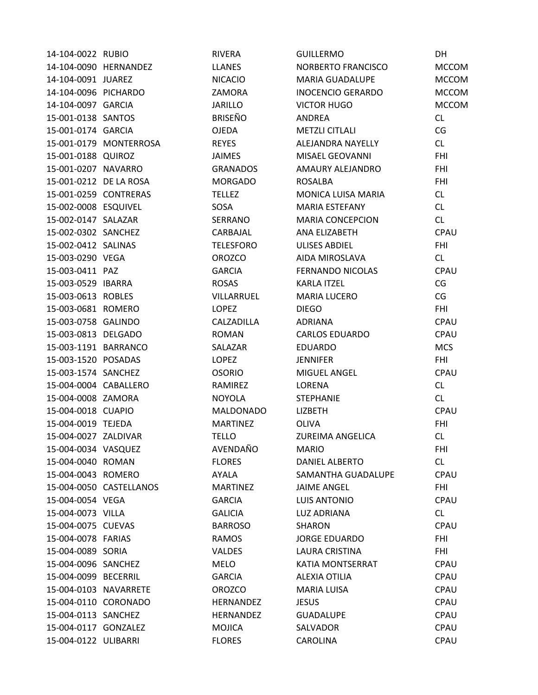| 14-104-0022 RUBIO      |                         | <b>RIVERA</b>    | <b>GUILLERMO</b>         | DH           |
|------------------------|-------------------------|------------------|--------------------------|--------------|
| 14-104-0090 HERNANDEZ  |                         | <b>LLANES</b>    | NORBERTO FRANCISCO       | <b>MCCOM</b> |
| 14-104-0091 JUAREZ     |                         | <b>NICACIO</b>   | MARIA GUADALUPE          | <b>MCCOM</b> |
| 14-104-0096 PICHARDO   |                         | ZAMORA           | <b>INOCENCIO GERARDO</b> | <b>MCCOM</b> |
| 14-104-0097 GARCIA     |                         | <b>JARILLO</b>   | <b>VICTOR HUGO</b>       | <b>MCCOM</b> |
| 15-001-0138 SANTOS     |                         | <b>BRISEÑO</b>   | ANDREA                   | CL           |
| 15-001-0174 GARCIA     |                         | <b>OJEDA</b>     | <b>METZLI CITLALI</b>    | CG           |
|                        | 15-001-0179 MONTERROSA  | <b>REYES</b>     | ALEJANDRA NAYELLY        | CL           |
| 15-001-0188 QUIROZ     |                         | <b>JAIMES</b>    | MISAEL GEOVANNI          | <b>FHI</b>   |
| 15-001-0207 NAVARRO    |                         | <b>GRANADOS</b>  | AMAURY ALEJANDRO         | <b>FHI</b>   |
| 15-001-0212 DE LA ROSA |                         | <b>MORGADO</b>   | <b>ROSALBA</b>           | <b>FHI</b>   |
| 15-001-0259 CONTRERAS  |                         | <b>TELLEZ</b>    | MONICA LUISA MARIA       | CL           |
| 15-002-0008 ESQUIVEL   |                         | SOSA             | <b>MARIA ESTEFANY</b>    | CL           |
| 15-002-0147 SALAZAR    |                         | SERRANO          | <b>MARIA CONCEPCION</b>  | <b>CL</b>    |
| 15-002-0302 SANCHEZ    |                         | CARBAJAL         | ANA ELIZABETH            | CPAU         |
| 15-002-0412 SALINAS    |                         | <b>TELESFORO</b> | ULISES ABDIEL            | <b>FHI</b>   |
| 15-003-0290 VEGA       |                         | <b>OROZCO</b>    | AIDA MIROSLAVA           | CL           |
| 15-003-0411 PAZ        |                         | <b>GARCIA</b>    | <b>FERNANDO NICOLAS</b>  | CPAU         |
| 15-003-0529 IBARRA     |                         | <b>ROSAS</b>     | <b>KARLA ITZEL</b>       | CG           |
| 15-003-0613 ROBLES     |                         | VILLARRUEL       | <b>MARIA LUCERO</b>      | CG           |
| 15-003-0681 ROMERO     |                         | <b>LOPEZ</b>     | <b>DIEGO</b>             | <b>FHI</b>   |
| 15-003-0758 GALINDO    |                         | CALZADILLA       | <b>ADRIANA</b>           | CPAU         |
| 15-003-0813 DELGADO    |                         | <b>ROMAN</b>     | <b>CARLOS EDUARDO</b>    | CPAU         |
| 15-003-1191 BARRANCO   |                         | SALAZAR          | <b>EDUARDO</b>           | <b>MCS</b>   |
| 15-003-1520 POSADAS    |                         | LOPEZ            | <b>JENNIFER</b>          | <b>FHI</b>   |
| 15-003-1574 SANCHEZ    |                         | <b>OSORIO</b>    | MIGUEL ANGEL             | <b>CPAU</b>  |
| 15-004-0004 CABALLERO  |                         | RAMIREZ          | LORENA                   | CL.          |
| 15-004-0008 ZAMORA     |                         | <b>NOYOLA</b>    | <b>STEPHANIE</b>         | <b>CL</b>    |
| 15-004-0018 CUAPIO     |                         | <b>MALDONADO</b> | <b>LIZBETH</b>           | CPAU         |
| 15-004-0019 TEJEDA     |                         | <b>MARTINEZ</b>  | <b>OLIVA</b>             | <b>FHI</b>   |
| 15-004-0027 ZALDIVAR   |                         | <b>TELLO</b>     | <b>ZUREIMA ANGELICA</b>  | CL           |
| 15-004-0034 VASQUEZ    |                         | AVENDAÑO         | <b>MARIO</b>             | <b>FHI</b>   |
| 15-004-0040 ROMAN      |                         | <b>FLORES</b>    | DANIEL ALBERTO           | CL           |
| 15-004-0043 ROMERO     |                         | AYALA            | SAMANTHA GUADALUPE       | CPAU         |
|                        | 15-004-0050 CASTELLANOS | <b>MARTINEZ</b>  | <b>JAIME ANGEL</b>       | FHI          |
| 15-004-0054 VEGA       |                         | <b>GARCIA</b>    | <b>LUIS ANTONIO</b>      | <b>CPAU</b>  |
| 15-004-0073 VILLA      |                         | <b>GALICIA</b>   | <b>LUZ ADRIANA</b>       | CL           |
| 15-004-0075 CUEVAS     |                         | <b>BARROSO</b>   | <b>SHARON</b>            | CPAU         |
| 15-004-0078 FARIAS     |                         | <b>RAMOS</b>     | <b>JORGE EDUARDO</b>     | <b>FHI</b>   |
| 15-004-0089 SORIA      |                         | <b>VALDES</b>    | LAURA CRISTINA           | <b>FHI</b>   |
| 15-004-0096 SANCHEZ    |                         | <b>MELO</b>      | KATIA MONTSERRAT         | CPAU         |
| 15-004-0099 BECERRIL   |                         | <b>GARCIA</b>    | <b>ALEXIA OTILIA</b>     | <b>CPAU</b>  |
| 15-004-0103 NAVARRETE  |                         | <b>OROZCO</b>    | <b>MARIA LUISA</b>       | CPAU         |
| 15-004-0110 CORONADO   |                         | <b>HERNANDEZ</b> | <b>JESUS</b>             | CPAU         |
| 15-004-0113 SANCHEZ    |                         | <b>HERNANDEZ</b> | <b>GUADALUPE</b>         | CPAU         |
| 15-004-0117 GONZALEZ   |                         | <b>MOJICA</b>    | SALVADOR                 | CPAU         |
| 15-004-0122 ULIBARRI   |                         | <b>FLORES</b>    | CAROLINA                 | CPAU         |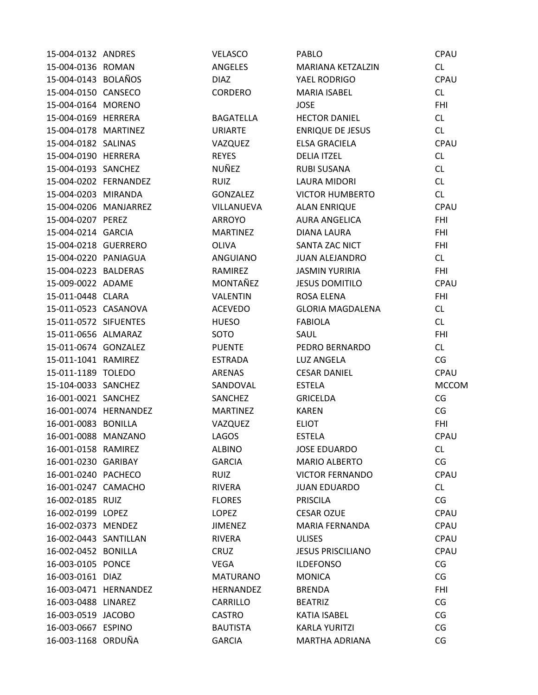| 15-004-0132 ANDRES    |                       | VELASCO          | <b>PABLO</b>             | CPAU         |
|-----------------------|-----------------------|------------------|--------------------------|--------------|
| 15-004-0136 ROMAN     |                       | ANGELES          | MARIANA KETZALZIN        | CL           |
| 15-004-0143 BOLAÑOS   |                       | <b>DIAZ</b>      | YAEL RODRIGO             | CPAU         |
| 15-004-0150 CANSECO   |                       | CORDERO          | <b>MARIA ISABEL</b>      | CL           |
| 15-004-0164 MORENO    |                       |                  | <b>JOSE</b>              | <b>FHI</b>   |
| 15-004-0169 HERRERA   |                       | <b>BAGATELLA</b> | <b>HECTOR DANIEL</b>     | CL           |
| 15-004-0178 MARTINEZ  |                       | <b>URIARTE</b>   | <b>ENRIQUE DE JESUS</b>  | <b>CL</b>    |
| 15-004-0182 SALINAS   |                       | VAZQUEZ          | <b>ELSA GRACIELA</b>     | CPAU         |
| 15-004-0190 HERRERA   |                       | <b>REYES</b>     | <b>DELIA ITZEL</b>       | CL           |
| 15-004-0193 SANCHEZ   |                       | NUÑEZ            | <b>RUBI SUSANA</b>       | <b>CL</b>    |
| 15-004-0202 FERNANDEZ |                       | <b>RUIZ</b>      | <b>LAURA MIDORI</b>      | CL           |
| 15-004-0203 MIRANDA   |                       | <b>GONZALEZ</b>  | <b>VICTOR HUMBERTO</b>   | CL           |
| 15-004-0206 MANJARREZ |                       | VILLANUEVA       | <b>ALAN ENRIQUE</b>      | CPAU         |
| 15-004-0207 PEREZ     |                       | ARROYO           | <b>AURA ANGELICA</b>     | <b>FHI</b>   |
| 15-004-0214 GARCIA    |                       | <b>MARTINEZ</b>  | DIANA LAURA              | <b>FHI</b>   |
| 15-004-0218 GUERRERO  |                       | <b>OLIVA</b>     | SANTA ZAC NICT           | <b>FHI</b>   |
| 15-004-0220 PANIAGUA  |                       | ANGUIANO         | <b>JUAN ALEJANDRO</b>    | CL           |
| 15-004-0223 BALDERAS  |                       | RAMIREZ          | <b>JASMIN YURIRIA</b>    | <b>FHI</b>   |
| 15-009-0022 ADAME     |                       | MONTAÑEZ         | <b>JESUS DOMITILO</b>    | CPAU         |
| 15-011-0448 CLARA     |                       | <b>VALENTIN</b>  | <b>ROSA ELENA</b>        | <b>FHI</b>   |
| 15-011-0523 CASANOVA  |                       | <b>ACEVEDO</b>   | <b>GLORIA MAGDALENA</b>  | CL           |
| 15-011-0572 SIFUENTES |                       | <b>HUESO</b>     | <b>FABIOLA</b>           | CL           |
| 15-011-0656 ALMARAZ   |                       | SOTO             | SAUL                     | <b>FHI</b>   |
| 15-011-0674 GONZALEZ  |                       | <b>PUENTE</b>    | PEDRO BERNARDO           | CL           |
| 15-011-1041 RAMIREZ   |                       | <b>ESTRADA</b>   | LUZ ANGELA               | CG           |
| 15-011-1189 TOLEDO    |                       | <b>ARENAS</b>    | <b>CESAR DANIEL</b>      | CPAU         |
| 15-104-0033 SANCHEZ   |                       | SANDOVAL         | <b>ESTELA</b>            | <b>MCCOM</b> |
| 16-001-0021 SANCHEZ   |                       | SANCHEZ          | <b>GRICELDA</b>          | CG           |
|                       | 16-001-0074 HERNANDEZ | <b>MARTINEZ</b>  | <b>KAREN</b>             | CG           |
| 16-001-0083 BONILLA   |                       | VAZQUEZ          | <b>ELIOT</b>             | <b>FHI</b>   |
| 16-001-0088 MANZANO   |                       | <b>LAGOS</b>     | <b>ESTELA</b>            | CPAU         |
| 16-001-0158 RAMIREZ   |                       | <b>ALBINO</b>    | <b>JOSE EDUARDO</b>      | <b>CL</b>    |
| 16-001-0230 GARIBAY   |                       | <b>GARCIA</b>    | <b>MARIO ALBERTO</b>     | CG           |
| 16-001-0240 PACHECO   |                       | <b>RUIZ</b>      | <b>VICTOR FERNANDO</b>   | CPAU         |
| 16-001-0247 CAMACHO   |                       | RIVERA           | <b>JUAN EDUARDO</b>      | CL           |
| 16-002-0185 RUIZ      |                       | <b>FLORES</b>    | <b>PRISCILA</b>          | CG           |
| 16-002-0199 LOPEZ     |                       | <b>LOPEZ</b>     | <b>CESAR OZUE</b>        | CPAU         |
| 16-002-0373 MENDEZ    |                       | <b>JIMENEZ</b>   | MARIA FERNANDA           | CPAU         |
| 16-002-0443 SANTILLAN |                       | <b>RIVERA</b>    | <b>ULISES</b>            | CPAU         |
| 16-002-0452 BONILLA   |                       | CRUZ             | <b>JESUS PRISCILIANO</b> | CPAU         |
| 16-003-0105 PONCE     |                       | <b>VEGA</b>      | <b>ILDEFONSO</b>         | CG           |
| 16-003-0161 DIAZ      |                       | <b>MATURANO</b>  | <b>MONICA</b>            | CG           |
| 16-003-0471 HERNANDEZ |                       | <b>HERNANDEZ</b> | <b>BRENDA</b>            | <b>FHI</b>   |
| 16-003-0488 LINAREZ   |                       | CARRILLO         | <b>BEATRIZ</b>           | CG           |
| 16-003-0519 JACOBO    |                       | <b>CASTRO</b>    | <b>KATIA ISABEL</b>      | CG           |
| 16-003-0667 ESPINO    |                       | <b>BAUTISTA</b>  | <b>KARLA YURITZI</b>     | CG           |
| 16-003-1168 ORDUÑA    |                       | <b>GARCIA</b>    | <b>MARTHA ADRIANA</b>    | CG           |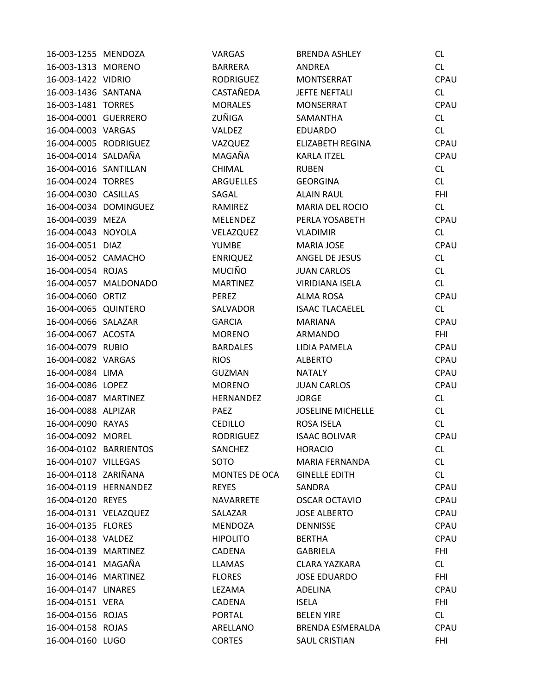| 16-003-1255 MENDOZA   |                        | <b>VARGAS</b>    | <b>BRENDA ASHLEY</b>     | <b>CL</b>  |
|-----------------------|------------------------|------------------|--------------------------|------------|
| 16-003-1313 MORENO    |                        | <b>BARRERA</b>   | ANDREA                   | CL         |
| 16-003-1422 VIDRIO    |                        | <b>RODRIGUEZ</b> | MONTSERRAT               | CPAU       |
| 16-003-1436 SANTANA   |                        | CASTAÑEDA        | <b>JEFTE NEFTALI</b>     | CL         |
| 16-003-1481 TORRES    |                        | <b>MORALES</b>   | <b>MONSERRAT</b>         | CPAU       |
| 16-004-0001 GUERRERO  |                        | ZUÑIGA           | SAMANTHA                 | CL         |
| 16-004-0003 VARGAS    |                        | <b>VALDEZ</b>    | <b>EDUARDO</b>           | CL         |
| 16-004-0005 RODRIGUEZ |                        | VAZQUEZ          | <b>ELIZABETH REGINA</b>  | CPAU       |
| 16-004-0014 SALDAÑA   |                        | MAGAÑA           | <b>KARLA ITZEL</b>       | CPAU       |
| 16-004-0016 SANTILLAN |                        | CHIMAL           | <b>RUBEN</b>             | CL         |
| 16-004-0024 TORRES    |                        | <b>ARGUELLES</b> | <b>GEORGINA</b>          | CL         |
| 16-004-0030 CASILLAS  |                        | SAGAL            | <b>ALAIN RAUL</b>        | <b>FHI</b> |
|                       | 16-004-0034 DOMINGUEZ  | RAMIREZ          | MARIA DEL ROCIO          | CL         |
| 16-004-0039 MEZA      |                        | <b>MELENDEZ</b>  | PERLA YOSABETH           | CPAU       |
| 16-004-0043 NOYOLA    |                        | VELAZQUEZ        | <b>VLADIMIR</b>          | CL         |
| 16-004-0051 DIAZ      |                        | <b>YUMBE</b>     | MARIA JOSE               | CPAU       |
| 16-004-0052 CAMACHO   |                        | <b>ENRIQUEZ</b>  | ANGEL DE JESUS           | CL         |
| 16-004-0054 ROJAS     |                        | <b>MUCIÑO</b>    | <b>JUAN CARLOS</b>       | CL         |
|                       | 16-004-0057 MALDONADO  | <b>MARTINEZ</b>  | <b>VIRIDIANA ISELA</b>   | CL         |
| 16-004-0060 ORTIZ     |                        | <b>PEREZ</b>     | <b>ALMA ROSA</b>         | CPAU       |
| 16-004-0065 QUINTERO  |                        | SALVADOR         | <b>ISAAC TLACAELEL</b>   | CL         |
| 16-004-0066 SALAZAR   |                        | <b>GARCIA</b>    | <b>MARIANA</b>           | CPAU       |
| 16-004-0067 ACOSTA    |                        | <b>MORENO</b>    | ARMANDO                  | <b>FHI</b> |
| 16-004-0079 RUBIO     |                        | <b>BARDALES</b>  | LIDIA PAMELA             | CPAU       |
| 16-004-0082 VARGAS    |                        | <b>RIOS</b>      | <b>ALBERTO</b>           | CPAU       |
| 16-004-0084 LIMA      |                        | <b>GUZMAN</b>    | <b>NATALY</b>            | CPAU       |
| 16-004-0086 LOPEZ     |                        | <b>MORENO</b>    | <b>JUAN CARLOS</b>       | CPAU       |
| 16-004-0087 MARTINEZ  |                        | HERNANDEZ        | <b>JORGE</b>             | CL         |
| 16-004-0088 ALPIZAR   |                        | <b>PAEZ</b>      | <b>JOSELINE MICHELLE</b> | CL         |
| 16-004-0090 RAYAS     |                        | <b>CEDILLO</b>   | ROSA ISELA               | CL         |
| 16-004-0092 MOREL     |                        | <b>RODRIGUEZ</b> | <b>ISAAC BOLIVAR</b>     | CPAU       |
|                       | 16-004-0102 BARRIENTOS | SANCHEZ          | <b>HORACIO</b>           | CL         |
| 16-004-0107 VILLEGAS  |                        | SOTO             | <b>MARIA FERNANDA</b>    | <b>CL</b>  |
| 16-004-0118 ZARIÑANA  |                        | MONTES DE OCA    | <b>GINELLE EDITH</b>     | CL         |
|                       | 16-004-0119 HERNANDEZ  | <b>REYES</b>     | SANDRA                   | CPAU       |
| 16-004-0120 REYES     |                        | NAVARRETE        | <b>OSCAR OCTAVIO</b>     | CPAU       |
| 16-004-0131 VELAZQUEZ |                        | SALAZAR          | <b>JOSE ALBERTO</b>      | CPAU       |
| 16-004-0135 FLORES    |                        | MENDOZA          | <b>DENNISSE</b>          | CPAU       |
| 16-004-0138 VALDEZ    |                        | <b>HIPOLITO</b>  | <b>BERTHA</b>            | CPAU       |
| 16-004-0139 MARTINEZ  |                        | CADENA           | GABRIELA                 | <b>FHI</b> |
| 16-004-0141 MAGAÑA    |                        | <b>LLAMAS</b>    | <b>CLARA YAZKARA</b>     | CL         |
| 16-004-0146 MARTINEZ  |                        | <b>FLORES</b>    | <b>JOSE EDUARDO</b>      | <b>FHI</b> |
| 16-004-0147 LINARES   |                        | LEZAMA           | ADELINA                  | CPAU       |
| 16-004-0151 VERA      |                        | CADENA           | <b>ISELA</b>             | <b>FHI</b> |
| 16-004-0156 ROJAS     |                        | <b>PORTAL</b>    | <b>BELEN YIRE</b>        | CL         |
| 16-004-0158 ROJAS     |                        | ARELLANO         | <b>BRENDA ESMERALDA</b>  | CPAU       |
| 16-004-0160 LUGO      |                        | <b>CORTES</b>    | <b>SAUL CRISTIAN</b>     | <b>FHI</b> |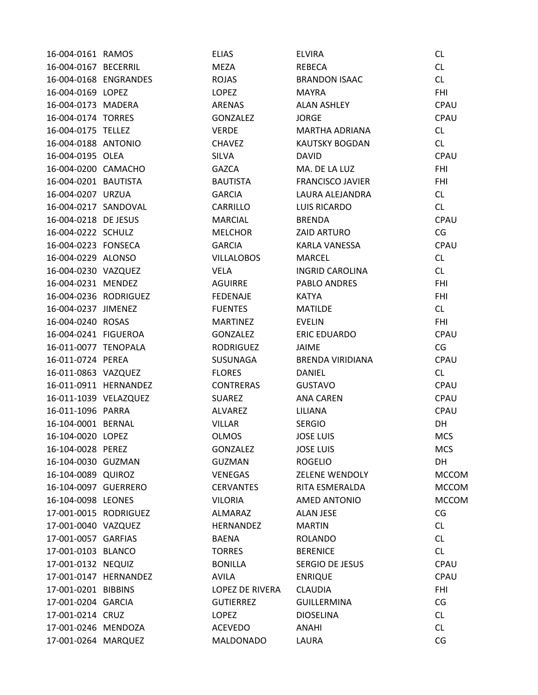| 16-004-0161 RAMOS     |                       | <b>ELIAS</b>      | <b>ELVIRA</b>           | CL           |
|-----------------------|-----------------------|-------------------|-------------------------|--------------|
| 16-004-0167 BECERRIL  |                       | MEZA              | <b>REBECA</b>           | CL           |
|                       | 16-004-0168 ENGRANDES | ROJAS             | <b>BRANDON ISAAC</b>    | CL           |
| 16-004-0169 LOPEZ     |                       | LOPEZ             | <b>MAYRA</b>            | <b>FHI</b>   |
| 16-004-0173 MADERA    |                       | <b>ARENAS</b>     | <b>ALAN ASHLEY</b>      | CPAU         |
| 16-004-0174 TORRES    |                       | <b>GONZALEZ</b>   | <b>JORGE</b>            | CPAU         |
| 16-004-0175 TELLEZ    |                       | <b>VERDE</b>      | MARTHA ADRIANA          | CL           |
| 16-004-0188 ANTONIO   |                       | <b>CHAVEZ</b>     | <b>KAUTSKY BOGDAN</b>   | CL           |
| 16-004-0195 OLEA      |                       | <b>SILVA</b>      | <b>DAVID</b>            | CPAU         |
| 16-004-0200 CAMACHO   |                       | GAZCA             | MA. DE LA LUZ           | <b>FHI</b>   |
| 16-004-0201 BAUTISTA  |                       | <b>BAUTISTA</b>   | <b>FRANCISCO JAVIER</b> | <b>FHI</b>   |
| 16-004-0207 URZUA     |                       | <b>GARCIA</b>     | LAURA ALEJANDRA         | CL           |
| 16-004-0217 SANDOVAL  |                       | CARRILLO          | <b>LUIS RICARDO</b>     | CL           |
| 16-004-0218 DE JESUS  |                       | <b>MARCIAL</b>    | <b>BRENDA</b>           | CPAU         |
| 16-004-0222 SCHULZ    |                       | <b>MELCHOR</b>    | <b>ZAID ARTURO</b>      | CG           |
| 16-004-0223 FONSECA   |                       | <b>GARCIA</b>     | KARLA VANESSA           | CPAU         |
| 16-004-0229 ALONSO    |                       | <b>VILLALOBOS</b> | <b>MARCEL</b>           | CL           |
| 16-004-0230 VAZQUEZ   |                       | VELA              | <b>INGRID CAROLINA</b>  | CL           |
| 16-004-0231 MENDEZ    |                       | AGUIRRE           | <b>PABLO ANDRES</b>     | <b>FHI</b>   |
| 16-004-0236 RODRIGUEZ |                       | <b>FEDENAJE</b>   | <b>KATYA</b>            | <b>FHI</b>   |
| 16-004-0237 JIMENEZ   |                       | <b>FUENTES</b>    | <b>MATILDE</b>          | CL           |
| 16-004-0240 ROSAS     |                       | <b>MARTINEZ</b>   | <b>EVELIN</b>           | <b>FHI</b>   |
| 16-004-0241 FIGUEROA  |                       | GONZALEZ          | <b>ERIC EDUARDO</b>     | CPAU         |
| 16-011-0077 TENOPALA  |                       | <b>RODRIGUEZ</b>  | <b>JAIME</b>            | CG           |
| 16-011-0724 PEREA     |                       | SUSUNAGA          | <b>BRENDA VIRIDIANA</b> | CPAU         |
| 16-011-0863 VAZQUEZ   |                       | <b>FLORES</b>     | <b>DANIEL</b>           | <b>CL</b>    |
|                       | 16-011-0911 HERNANDEZ | <b>CONTRERAS</b>  | <b>GUSTAVO</b>          | CPAU         |
| 16-011-1039 VELAZQUEZ |                       | <b>SUAREZ</b>     | <b>ANA CAREN</b>        | CPAU         |
| 16-011-1096 PARRA     |                       | <b>ALVAREZ</b>    | LILIANA                 | CPAU         |
| 16-104-0001 BERNAL    |                       | <b>VILLAR</b>     | <b>SERGIO</b>           | DH           |
| 16-104-0020 LOPEZ     |                       | <b>OLMOS</b>      | <b>JOSE LUIS</b>        | <b>MCS</b>   |
| 16-104-0028 PEREZ     |                       | <b>GONZALEZ</b>   | <b>JOSE LUIS</b>        | <b>MCS</b>   |
| 16-104-0030 GUZMAN    |                       | <b>GUZMAN</b>     | <b>ROGELIO</b>          | <b>DH</b>    |
| 16-104-0089 QUIROZ    |                       | <b>VENEGAS</b>    | <b>ZELENE WENDOLY</b>   | <b>MCCOM</b> |
| 16-104-0097 GUERRERO  |                       | <b>CERVANTES</b>  | RITA ESMERALDA          | <b>MCCOM</b> |
| 16-104-0098 LEONES    |                       | <b>VILORIA</b>    | AMED ANTONIO            | <b>MCCOM</b> |
| 17-001-0015 RODRIGUEZ |                       | ALMARAZ           | <b>ALAN JESE</b>        | CG           |
| 17-001-0040 VAZQUEZ   |                       | <b>HERNANDEZ</b>  | <b>MARTIN</b>           | CL           |
| 17-001-0057 GARFIAS   |                       | <b>BAENA</b>      | <b>ROLANDO</b>          | CL           |
| 17-001-0103 BLANCO    |                       | <b>TORRES</b>     | <b>BERENICE</b>         | CL           |
| 17-001-0132 NEQUIZ    |                       | <b>BONILLA</b>    | SERGIO DE JESUS         | CPAU         |
|                       | 17-001-0147 HERNANDEZ | AVILA             | <b>ENRIQUE</b>          | CPAU         |
| 17-001-0201 BIBBINS   |                       | LOPEZ DE RIVERA   | <b>CLAUDIA</b>          | <b>FHI</b>   |
| 17-001-0204 GARCIA    |                       | <b>GUTIERREZ</b>  | <b>GUILLERMINA</b>      | CG           |
| 17-001-0214 CRUZ      |                       | <b>LOPEZ</b>      | <b>DIOSELINA</b>        | CL           |
| 17-001-0246 MENDOZA   |                       | <b>ACEVEDO</b>    | <b>ANAHI</b>            | CL           |
| 17-001-0264 MARQUEZ   |                       | MALDONADO         | LAURA                   | CG           |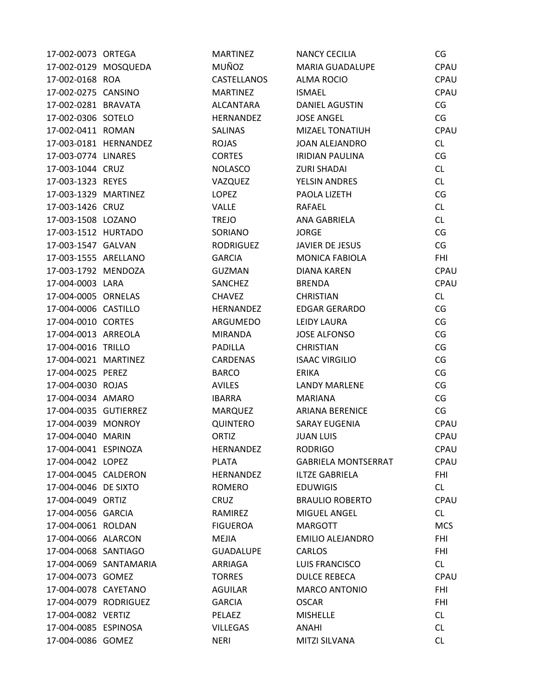| 17-002-0073 ORTEGA    |                        | <b>MARTINEZ</b>    | NANCY CECILIA              | CG          |
|-----------------------|------------------------|--------------------|----------------------------|-------------|
| 17-002-0129 MOSQUEDA  |                        | <b>MUÑOZ</b>       | <b>MARIA GUADALUPE</b>     | CPAU        |
| 17-002-0168 ROA       |                        | <b>CASTELLANOS</b> | ALMA ROCIO                 | CPAU        |
| 17-002-0275 CANSINO   |                        | <b>MARTINEZ</b>    | <b>ISMAEL</b>              | CPAU        |
| 17-002-0281 BRAVATA   |                        | ALCANTARA          | <b>DANIEL AGUSTIN</b>      | CG          |
| 17-002-0306 SOTELO    |                        | HERNANDEZ          | <b>JOSE ANGEL</b>          | CG          |
| 17-002-0411 ROMAN     |                        | <b>SALINAS</b>     | <b>MIZAEL TONATIUH</b>     | CPAU        |
|                       | 17-003-0181 HERNANDEZ  | <b>ROJAS</b>       | <b>JOAN ALEJANDRO</b>      | CL          |
| 17-003-0774 LINARES   |                        | <b>CORTES</b>      | <b>IRIDIAN PAULINA</b>     | CG          |
| 17-003-1044 CRUZ      |                        | <b>NOLASCO</b>     | <b>ZURI SHADAI</b>         | CL          |
| 17-003-1323 REYES     |                        | VAZQUEZ            | YELSIN ANDRES              | CL          |
| 17-003-1329 MARTINEZ  |                        | LOPEZ              | PAOLA LIZETH               | CG          |
| 17-003-1426 CRUZ      |                        | <b>VALLE</b>       | RAFAEL                     | <b>CL</b>   |
| 17-003-1508 LOZANO    |                        | <b>TREJO</b>       | ANA GABRIELA               | CL          |
| 17-003-1512 HURTADO   |                        | SORIANO            | <b>JORGE</b>               | CG          |
| 17-003-1547 GALVAN    |                        | <b>RODRIGUEZ</b>   | JAVIER DE JESUS            | CG          |
| 17-003-1555 ARELLANO  |                        | <b>GARCIA</b>      | <b>MONICA FABIOLA</b>      | <b>FHI</b>  |
| 17-003-1792 MENDOZA   |                        | <b>GUZMAN</b>      | <b>DIANA KAREN</b>         | CPAU        |
| 17-004-0003 LARA      |                        | SANCHEZ            | <b>BRENDA</b>              | <b>CPAU</b> |
| 17-004-0005 ORNELAS   |                        | <b>CHAVEZ</b>      | <b>CHRISTIAN</b>           | CL          |
| 17-004-0006 CASTILLO  |                        | <b>HERNANDEZ</b>   | <b>EDGAR GERARDO</b>       | CG          |
| 17-004-0010 CORTES    |                        | ARGUMEDO           | LEIDY LAURA                | CG          |
| 17-004-0013 ARREOLA   |                        | <b>MIRANDA</b>     | <b>JOSE ALFONSO</b>        | CG          |
| 17-004-0016 TRILLO    |                        | PADILLA            | <b>CHRISTIAN</b>           | CG          |
| 17-004-0021 MARTINEZ  |                        | <b>CARDENAS</b>    | <b>ISAAC VIRGILIO</b>      | CG          |
| 17-004-0025 PEREZ     |                        | <b>BARCO</b>       | <b>ERIKA</b>               | CG          |
| 17-004-0030 ROJAS     |                        | <b>AVILES</b>      | <b>LANDY MARLENE</b>       | CG          |
| 17-004-0034 AMARO     |                        | <b>IBARRA</b>      | <b>MARIANA</b>             | CG          |
| 17-004-0035 GUTIERREZ |                        | <b>MARQUEZ</b>     | <b>ARIANA BERENICE</b>     | CG          |
| 17-004-0039 MONROY    |                        | QUINTERO           | <b>SARAY EUGENIA</b>       | CPAU        |
| 17-004-0040 MARIN     |                        | ORTIZ              | <b>JUAN LUIS</b>           | CPAU        |
| 17-004-0041 ESPINOZA  |                        | HERNANDEZ          | <b>RODRIGO</b>             | CPAU        |
| 17-004-0042 LOPEZ     |                        | <b>PLATA</b>       | <b>GABRIELA MONTSERRAT</b> | CPAU        |
| 17-004-0045 CALDERON  |                        | HERNANDEZ          | <b>ILTZE GABRIELA</b>      | <b>FHI</b>  |
| 17-004-0046 DE SIXTO  |                        | ROMERO             | <b>EDUWIGIS</b>            | CL          |
| 17-004-0049 ORTIZ     |                        | <b>CRUZ</b>        | <b>BRAULIO ROBERTO</b>     | CPAU        |
| 17-004-0056 GARCIA    |                        | RAMIREZ            | MIGUEL ANGEL               | CL          |
| 17-004-0061 ROLDAN    |                        | <b>FIGUEROA</b>    | <b>MARGOTT</b>             | <b>MCS</b>  |
| 17-004-0066 ALARCON   |                        | MEJIA              | <b>EMILIO ALEJANDRO</b>    | <b>FHI</b>  |
| 17-004-0068 SANTIAGO  |                        | <b>GUADALUPE</b>   | <b>CARLOS</b>              | <b>FHI</b>  |
|                       | 17-004-0069 SANTAMARIA | ARRIAGA            | LUIS FRANCISCO             | CL          |
| 17-004-0073 GOMEZ     |                        | <b>TORRES</b>      | <b>DULCE REBECA</b>        | CPAU        |
| 17-004-0078 CAYETANO  |                        | AGUILAR            | <b>MARCO ANTONIO</b>       | <b>FHI</b>  |
| 17-004-0079 RODRIGUEZ |                        | <b>GARCIA</b>      | <b>OSCAR</b>               | FHI         |
| 17-004-0082 VERTIZ    |                        | PELAEZ             | <b>MISHELLE</b>            | CL          |
| 17-004-0085 ESPINOSA  |                        | <b>VILLEGAS</b>    | ANAHI                      | CL          |
| 17-004-0086 GOMEZ     |                        | <b>NERI</b>        | MITZI SILVANA              | CL          |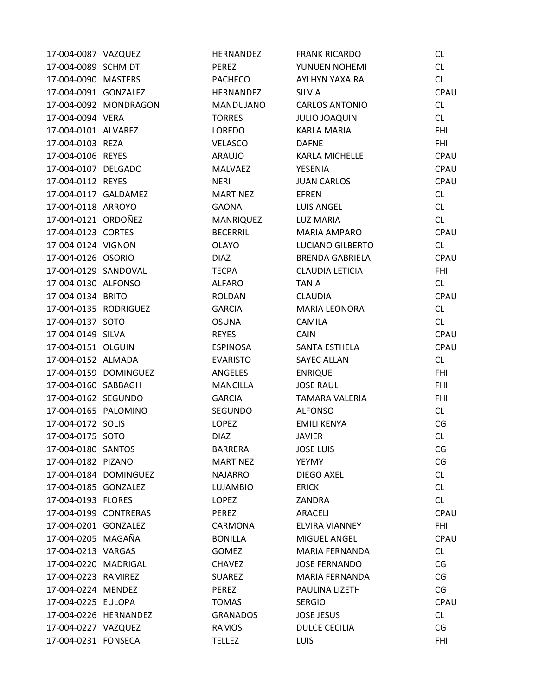| 17-004-0087 VAZQUEZ   |                       | HERNANDEZ        | <b>FRANK RICARDO</b>   | CL.        |
|-----------------------|-----------------------|------------------|------------------------|------------|
| 17-004-0089 SCHMIDT   |                       | PEREZ            | YUNUEN NOHEMI          | CL         |
| 17-004-0090 MASTERS   |                       | <b>PACHECO</b>   | AYLHYN YAXAIRA         | CL         |
| 17-004-0091 GONZALEZ  |                       | HERNANDEZ        | SILVIA                 | CPAU       |
|                       | 17-004-0092 MONDRAGON | MANDUJANO        | <b>CARLOS ANTONIO</b>  | CL         |
| 17-004-0094 VERA      |                       | <b>TORRES</b>    | <b>JULIO JOAQUIN</b>   | CL         |
| 17-004-0101 ALVAREZ   |                       | LOREDO           | <b>KARLA MARIA</b>     | <b>FHI</b> |
| 17-004-0103 REZA      |                       | <b>VELASCO</b>   | <b>DAFNE</b>           | <b>FHI</b> |
| 17-004-0106 REYES     |                       | ARAUJO           | KARLA MICHELLE         | CPAU       |
| 17-004-0107 DELGADO   |                       | <b>MALVAEZ</b>   | YESENIA                | CPAU       |
| 17-004-0112 REYES     |                       | <b>NERI</b>      | <b>JUAN CARLOS</b>     | CPAU       |
| 17-004-0117 GALDAMEZ  |                       | <b>MARTINEZ</b>  | <b>EFREN</b>           | CL         |
| 17-004-0118 ARROYO    |                       | <b>GAONA</b>     | LUIS ANGEL             | CL         |
| 17-004-0121 ORDOÑEZ   |                       | <b>MANRIQUEZ</b> | <b>LUZ MARIA</b>       | CL         |
| 17-004-0123 CORTES    |                       | <b>BECERRIL</b>  | MARIA AMPARO           | CPAU       |
| 17-004-0124 VIGNON    |                       | <b>OLAYO</b>     | LUCIANO GILBERTO       | CL         |
| 17-004-0126 OSORIO    |                       | <b>DIAZ</b>      | <b>BRENDA GABRIELA</b> | CPAU       |
| 17-004-0129 SANDOVAL  |                       | <b>TECPA</b>     | <b>CLAUDIA LETICIA</b> | <b>FHI</b> |
| 17-004-0130 ALFONSO   |                       | <b>ALFARO</b>    | <b>TANIA</b>           | CL         |
| 17-004-0134 BRITO     |                       | ROLDAN           | <b>CLAUDIA</b>         | CPAU       |
| 17-004-0135 RODRIGUEZ |                       | <b>GARCIA</b>    | <b>MARIA LEONORA</b>   | CL         |
| 17-004-0137 SOTO      |                       | <b>OSUNA</b>     | <b>CAMILA</b>          | CL         |
| 17-004-0149 SILVA     |                       | <b>REYES</b>     | CAIN                   | CPAU       |
| 17-004-0151 OLGUIN    |                       | <b>ESPINOSA</b>  | SANTA ESTHELA          | CPAU       |
| 17-004-0152 ALMADA    |                       | <b>EVARISTO</b>  | <b>SAYEC ALLAN</b>     | CL         |
|                       | 17-004-0159 DOMINGUEZ | ANGELES          | <b>ENRIQUE</b>         | <b>FHI</b> |
| 17-004-0160 SABBAGH   |                       | <b>MANCILLA</b>  | <b>JOSE RAUL</b>       | <b>FHI</b> |
| 17-004-0162 SEGUNDO   |                       | <b>GARCIA</b>    | TAMARA VALERIA         | <b>FHI</b> |
| 17-004-0165 PALOMINO  |                       | SEGUNDO          | <b>ALFONSO</b>         | CL         |
| 17-004-0172 SOLIS     |                       | <b>LOPEZ</b>     | <b>EMILI KENYA</b>     | CG         |
| 17-004-0175 SOTO      |                       | <b>DIAZ</b>      | <b>JAVIER</b>          | CL         |
| 17-004-0180 SANTOS    |                       | <b>BARRERA</b>   | <b>JOSE LUIS</b>       | CG         |
| 17-004-0182 PIZANO    |                       | <b>MARTINEZ</b>  | YEYMY                  | CG         |
|                       | 17-004-0184 DOMINGUEZ | <b>NAJARRO</b>   | DIEGO AXEL             | CL         |
| 17-004-0185 GONZALEZ  |                       | <b>LUJAMBIO</b>  | <b>ERICK</b>           | CL         |
| 17-004-0193 FLORES    |                       | <b>LOPEZ</b>     | ZANDRA                 | CL         |
| 17-004-0199 CONTRERAS |                       | PEREZ            | ARACELI                | CPAU       |
| 17-004-0201 GONZALEZ  |                       | CARMONA          | ELVIRA VIANNEY         | <b>FHI</b> |
| 17-004-0205 MAGAÑA    |                       | <b>BONILLA</b>   | MIGUEL ANGEL           | CPAU       |
| 17-004-0213 VARGAS    |                       | <b>GOMEZ</b>     | <b>MARIA FERNANDA</b>  | CL         |
| 17-004-0220 MADRIGAL  |                       | <b>CHAVEZ</b>    | <b>JOSE FERNANDO</b>   | CG         |
| 17-004-0223 RAMIREZ   |                       | <b>SUAREZ</b>    | MARIA FERNANDA         | CG         |
| 17-004-0224 MENDEZ    |                       | PEREZ            | PAULINA LIZETH         | CG         |
| 17-004-0225 EULOPA    |                       | <b>TOMAS</b>     | <b>SERGIO</b>          | CPAU       |
| 17-004-0226 HERNANDEZ |                       | <b>GRANADOS</b>  | <b>JOSE JESUS</b>      | CL         |
| 17-004-0227 VAZQUEZ   |                       | RAMOS            | <b>DULCE CECILIA</b>   | CG         |
| 17-004-0231 FONSECA   |                       | <b>TELLEZ</b>    | LUIS                   | <b>FHI</b> |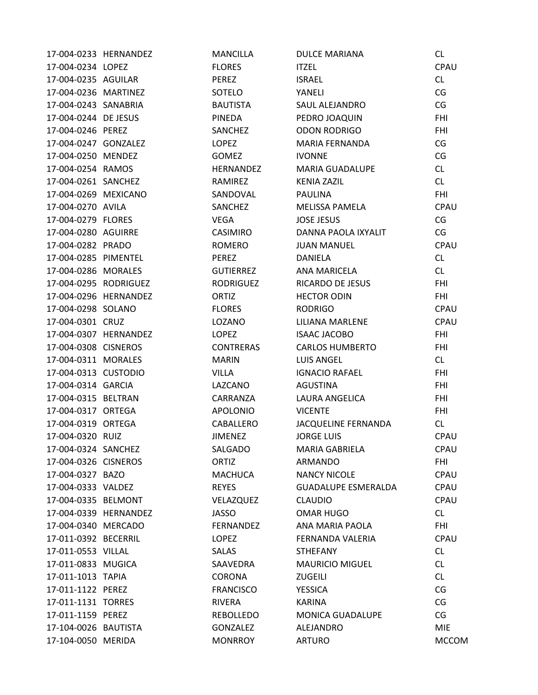| 17-004-0233 HERNANDEZ |                       | <b>MANCILLA</b>  | <b>DULCE MARIANA</b>       | CL           |
|-----------------------|-----------------------|------------------|----------------------------|--------------|
| 17-004-0234 LOPEZ     |                       | <b>FLORES</b>    | <b>ITZEL</b>               | CPAU         |
| 17-004-0235 AGUILAR   |                       | PEREZ            | <b>ISRAEL</b>              | CL           |
| 17-004-0236 MARTINEZ  |                       | SOTELO           | YANELI                     | CG           |
| 17-004-0243 SANABRIA  |                       | <b>BAUTISTA</b>  | SAUL ALEJANDRO             | CG           |
| 17-004-0244 DE JESUS  |                       | PINEDA           | PEDRO JOAQUIN              | <b>FHI</b>   |
| 17-004-0246 PEREZ     |                       | SANCHEZ          | <b>ODON RODRIGO</b>        | <b>FHI</b>   |
| 17-004-0247 GONZALEZ  |                       | <b>LOPEZ</b>     | MARIA FERNANDA             | CG           |
| 17-004-0250 MENDEZ    |                       | <b>GOMEZ</b>     | <b>IVONNE</b>              | CG           |
| 17-004-0254 RAMOS     |                       | HERNANDEZ        | MARIA GUADALUPE            | CL           |
| 17-004-0261 SANCHEZ   |                       | RAMIREZ          | <b>KENIA ZAZIL</b>         | CL           |
| 17-004-0269 MEXICANO  |                       | SANDOVAL         | <b>PAULINA</b>             | <b>FHI</b>   |
| 17-004-0270 AVILA     |                       | SANCHEZ          | MELISSA PAMELA             | CPAU         |
| 17-004-0279 FLORES    |                       | VEGA             | <b>JOSE JESUS</b>          | CG           |
| 17-004-0280 AGUIRRE   |                       | <b>CASIMIRO</b>  | DANNA PAOLA IXYALIT        | CG           |
| 17-004-0282 PRADO     |                       | ROMERO           | <b>JUAN MANUEL</b>         | CPAU         |
| 17-004-0285 PIMENTEL  |                       | PEREZ            | <b>DANIELA</b>             | CL           |
| 17-004-0286 MORALES   |                       | <b>GUTIERREZ</b> | ANA MARICELA               | CL           |
| 17-004-0295 RODRIGUEZ |                       | <b>RODRIGUEZ</b> | RICARDO DE JESUS           | <b>FHI</b>   |
| 17-004-0296 HERNANDEZ |                       | ORTIZ            | <b>HECTOR ODIN</b>         | <b>FHI</b>   |
| 17-004-0298 SOLANO    |                       | <b>FLORES</b>    | <b>RODRIGO</b>             | CPAU         |
| 17-004-0301 CRUZ      |                       | LOZANO           | LILIANA MARLENE            | CPAU         |
|                       | 17-004-0307 HERNANDEZ | LOPEZ            | <b>ISAAC JACOBO</b>        | <b>FHI</b>   |
| 17-004-0308 CISNEROS  |                       | <b>CONTRERAS</b> | <b>CARLOS HUMBERTO</b>     | <b>FHI</b>   |
| 17-004-0311 MORALES   |                       | <b>MARIN</b>     | <b>LUIS ANGEL</b>          | CL           |
| 17-004-0313 CUSTODIO  |                       | <b>VILLA</b>     | <b>IGNACIO RAFAEL</b>      | <b>FHI</b>   |
| 17-004-0314 GARCIA    |                       | LAZCANO          | AGUSTINA                   | <b>FHI</b>   |
| 17-004-0315 BELTRAN   |                       | CARRANZA         | LAURA ANGELICA             | <b>FHI</b>   |
| 17-004-0317 ORTEGA    |                       | <b>APOLONIO</b>  | <b>VICENTE</b>             | <b>FHI</b>   |
| 17-004-0319 ORTEGA    |                       | CABALLERO        | JACQUELINE FERNANDA        | CL           |
| 17-004-0320 RUIZ      |                       | <b>JIMENEZ</b>   | <b>JORGE LUIS</b>          | CPAU         |
| 17-004-0324 SANCHEZ   |                       | SALGADO          | <b>MARIA GABRIELA</b>      | CPAU         |
| 17-004-0326 CISNEROS  |                       | ORTIZ            | ARMANDO                    | <b>FHI</b>   |
| 17-004-0327 BAZO      |                       | <b>MACHUCA</b>   | <b>NANCY NICOLE</b>        | CPAU         |
| 17-004-0333 VALDEZ    |                       | <b>REYES</b>     | <b>GUADALUPE ESMERALDA</b> | <b>CPAU</b>  |
| 17-004-0335 BELMONT   |                       | VELAZQUEZ        | <b>CLAUDIO</b>             | CPAU         |
| 17-004-0339 HERNANDEZ |                       | <b>JASSO</b>     | OMAR HUGO                  | CL           |
| 17-004-0340 MERCADO   |                       | FERNANDEZ        | ANA MARIA PAOLA            | <b>FHI</b>   |
| 17-011-0392 BECERRIL  |                       | LOPEZ            | FERNANDA VALERIA           | CPAU         |
| 17-011-0553 VILLAL    |                       | <b>SALAS</b>     | <b>STHEFANY</b>            | CL           |
| 17-011-0833 MUGICA    |                       | SAAVEDRA         | <b>MAURICIO MIGUEL</b>     | CL           |
| 17-011-1013 TAPIA     |                       | <b>CORONA</b>    | ZUGEILI                    | CL           |
| 17-011-1122 PEREZ     |                       | <b>FRANCISCO</b> | <b>YESSICA</b>             | CG           |
| 17-011-1131 TORRES    |                       | <b>RIVERA</b>    | <b>KARINA</b>              | CG           |
| 17-011-1159 PEREZ     |                       | <b>REBOLLEDO</b> | <b>MONICA GUADALUPE</b>    | CG           |
| 17-104-0026 BAUTISTA  |                       | <b>GONZALEZ</b>  | ALEJANDRO                  | <b>MIE</b>   |
| 17-104-0050 MERIDA    |                       | <b>MONRROY</b>   | <b>ARTURO</b>              | <b>MCCOM</b> |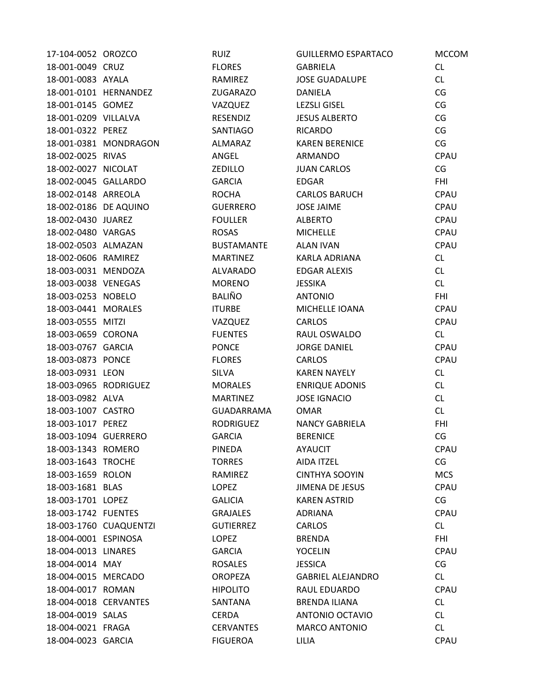| 17-104-0052 OROZCO    |                        | <b>RUIZ</b>       | <b>GUILLERMO ESPARTACO</b> | <b>MCCOM</b> |
|-----------------------|------------------------|-------------------|----------------------------|--------------|
| 18-001-0049 CRUZ      |                        | <b>FLORES</b>     | <b>GABRIELA</b>            | CL           |
| 18-001-0083 AYALA     |                        | RAMIREZ           | <b>JOSE GUADALUPE</b>      | CL           |
|                       | 18-001-0101 HERNANDEZ  | <b>ZUGARAZO</b>   | DANIELA                    | CG           |
| 18-001-0145 GOMEZ     |                        | VAZQUEZ           | <b>LEZSLI GISEL</b>        | CG           |
| 18-001-0209 VILLALVA  |                        | RESENDIZ          | <b>JESUS ALBERTO</b>       | CG           |
| 18-001-0322 PEREZ     |                        | SANTIAGO          | <b>RICARDO</b>             | CG           |
|                       | 18-001-0381 MONDRAGON  | ALMARAZ           | <b>KAREN BERENICE</b>      | CG           |
| 18-002-0025 RIVAS     |                        | ANGEL             | ARMANDO                    | CPAU         |
| 18-002-0027 NICOLAT   |                        | <b>ZEDILLO</b>    | <b>JUAN CARLOS</b>         | CG           |
| 18-002-0045 GALLARDO  |                        | <b>GARCIA</b>     | <b>EDGAR</b>               | <b>FHI</b>   |
| 18-002-0148 ARREOLA   |                        | <b>ROCHA</b>      | <b>CARLOS BARUCH</b>       | CPAU         |
| 18-002-0186 DE AQUINO |                        | <b>GUERRERO</b>   | <b>JOSE JAIME</b>          | CPAU         |
| 18-002-0430 JUAREZ    |                        | <b>FOULLER</b>    | <b>ALBERTO</b>             | CPAU         |
| 18-002-0480 VARGAS    |                        | <b>ROSAS</b>      | <b>MICHELLE</b>            | CPAU         |
| 18-002-0503 ALMAZAN   |                        | <b>BUSTAMANTE</b> | <b>ALAN IVAN</b>           | CPAU         |
| 18-002-0606 RAMIREZ   |                        | <b>MARTINEZ</b>   | KARLA ADRIANA              | CL           |
| 18-003-0031 MENDOZA   |                        | <b>ALVARADO</b>   | <b>EDGAR ALEXIS</b>        | CL           |
| 18-003-0038 VENEGAS   |                        | <b>MORENO</b>     | <b>JESSIKA</b>             | CL           |
| 18-003-0253 NOBELO    |                        | <b>BALIÑO</b>     | <b>ANTONIO</b>             | <b>FHI</b>   |
| 18-003-0441 MORALES   |                        | <b>ITURBE</b>     | MICHELLE IOANA             | CPAU         |
| 18-003-0555 MITZI     |                        | VAZQUEZ           | <b>CARLOS</b>              | CPAU         |
| 18-003-0659 CORONA    |                        | <b>FUENTES</b>    | RAUL OSWALDO               | CL           |
| 18-003-0767 GARCIA    |                        | <b>PONCE</b>      | <b>JORGE DANIEL</b>        | CPAU         |
| 18-003-0873 PONCE     |                        | <b>FLORES</b>     | <b>CARLOS</b>              | CPAU         |
| 18-003-0931 LEON      |                        | <b>SILVA</b>      | <b>KAREN NAYELY</b>        | CL           |
| 18-003-0965 RODRIGUEZ |                        | <b>MORALES</b>    | <b>ENRIQUE ADONIS</b>      | CL           |
| 18-003-0982 ALVA      |                        | <b>MARTINEZ</b>   | <b>JOSE IGNACIO</b>        | CL           |
| 18-003-1007 CASTRO    |                        | GUADARRAMA        | <b>OMAR</b>                | CL           |
| 18-003-1017 PEREZ     |                        | <b>RODRIGUEZ</b>  | <b>NANCY GABRIELA</b>      | <b>FHI</b>   |
| 18-003-1094 GUERRERO  |                        | <b>GARCIA</b>     | <b>BERENICE</b>            | CG           |
| 18-003-1343 ROMERO    |                        | <b>PINEDA</b>     | <b>AYAUCIT</b>             | CPAU         |
| 18-003-1643 TROCHE    |                        | <b>TORRES</b>     | AIDA ITZEL                 | CG           |
| 18-003-1659 ROLON     |                        | RAMIREZ           | <b>CINTHYA SOOYIN</b>      | <b>MCS</b>   |
| 18-003-1681 BLAS      |                        | <b>LOPEZ</b>      | <b>JIMENA DE JESUS</b>     | CPAU         |
| 18-003-1701 LOPEZ     |                        | <b>GALICIA</b>    | <b>KAREN ASTRID</b>        | CG           |
| 18-003-1742 FUENTES   |                        | <b>GRAJALES</b>   | <b>ADRIANA</b>             | CPAU         |
|                       | 18-003-1760 CUAQUENTZI | <b>GUTIERREZ</b>  | <b>CARLOS</b>              | CL           |
| 18-004-0001 ESPINOSA  |                        | <b>LOPEZ</b>      | <b>BRENDA</b>              | <b>FHI</b>   |
| 18-004-0013 LINARES   |                        | <b>GARCIA</b>     | <b>YOCELIN</b>             | CPAU         |
| 18-004-0014 MAY       |                        | <b>ROSALES</b>    | <b>JESSICA</b>             | CG           |
| 18-004-0015 MERCADO   |                        | <b>OROPEZA</b>    | <b>GABRIEL ALEJANDRO</b>   | CL           |
| 18-004-0017 ROMAN     |                        | <b>HIPOLITO</b>   | RAUL EDUARDO               | CPAU         |
| 18-004-0018 CERVANTES |                        | SANTANA           | <b>BRENDA ILIANA</b>       | CL           |
| 18-004-0019 SALAS     |                        | <b>CERDA</b>      | ANTONIO OCTAVIO            | CL           |
| 18-004-0021 FRAGA     |                        | <b>CERVANTES</b>  | <b>MARCO ANTONIO</b>       | CL           |
| 18-004-0023 GARCIA    |                        | <b>FIGUEROA</b>   | LILIA                      | CPAU         |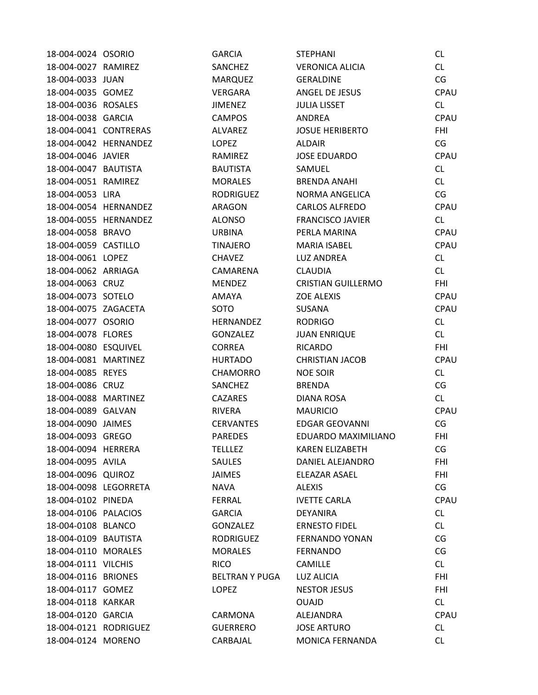| 18-004-0024 OSORIO    |                       | <b>GARCIA</b>         | <b>STEPHANI</b>           | <b>CL</b>   |
|-----------------------|-----------------------|-----------------------|---------------------------|-------------|
| 18-004-0027 RAMIREZ   |                       | SANCHEZ               | <b>VERONICA ALICIA</b>    | CL          |
| 18-004-0033 JUAN      |                       | <b>MARQUEZ</b>        | <b>GERALDINE</b>          | CG          |
| 18-004-0035 GOMEZ     |                       | VERGARA               | ANGEL DE JESUS            | CPAU        |
| 18-004-0036 ROSALES   |                       | <b>JIMENEZ</b>        | <b>JULIA LISSET</b>       | CL          |
| 18-004-0038 GARCIA    |                       | <b>CAMPOS</b>         | <b>ANDREA</b>             | CPAU        |
| 18-004-0041 CONTRERAS |                       | <b>ALVAREZ</b>        | <b>JOSUE HERIBERTO</b>    | <b>FHI</b>  |
|                       | 18-004-0042 HERNANDEZ | <b>LOPEZ</b>          | <b>ALDAIR</b>             | CG          |
| 18-004-0046 JAVIER    |                       | RAMIREZ               | <b>JOSE EDUARDO</b>       | <b>CPAU</b> |
| 18-004-0047 BAUTISTA  |                       | <b>BAUTISTA</b>       | SAMUEL                    | CL          |
| 18-004-0051 RAMIREZ   |                       | <b>MORALES</b>        | <b>BRENDA ANAHI</b>       | CL          |
| 18-004-0053 LIRA      |                       | <b>RODRIGUEZ</b>      | NORMA ANGELICA            | CG          |
| 18-004-0054 HERNANDEZ |                       | ARAGON                | <b>CARLOS ALFREDO</b>     | CPAU        |
|                       | 18-004-0055 HERNANDEZ | <b>ALONSO</b>         | <b>FRANCISCO JAVIER</b>   | CL          |
| 18-004-0058 BRAVO     |                       | <b>URBINA</b>         | PERLA MARINA              | CPAU        |
| 18-004-0059 CASTILLO  |                       | TINAJERO              | <b>MARIA ISABEL</b>       | CPAU        |
| 18-004-0061 LOPEZ     |                       | <b>CHAVEZ</b>         | <b>LUZ ANDREA</b>         | CL          |
| 18-004-0062 ARRIAGA   |                       | CAMARENA              | <b>CLAUDIA</b>            | CL          |
| 18-004-0063 CRUZ      |                       | <b>MENDEZ</b>         | <b>CRISTIAN GUILLERMO</b> | <b>FHI</b>  |
| 18-004-0073 SOTELO    |                       | AMAYA                 | <b>ZOE ALEXIS</b>         | CPAU        |
| 18-004-0075 ZAGACETA  |                       | SOTO                  | <b>SUSANA</b>             | CPAU        |
| 18-004-0077 OSORIO    |                       | HERNANDEZ             | <b>RODRIGO</b>            | CL          |
| 18-004-0078 FLORES    |                       | <b>GONZALEZ</b>       | <b>JUAN ENRIQUE</b>       | CL          |
| 18-004-0080 ESQUIVEL  |                       | <b>CORREA</b>         | <b>RICARDO</b>            | <b>FHI</b>  |
| 18-004-0081 MARTINEZ  |                       | <b>HURTADO</b>        | <b>CHRISTIAN JACOB</b>    | <b>CPAU</b> |
| 18-004-0085 REYES     |                       | <b>CHAMORRO</b>       | <b>NOE SOIR</b>           | CL          |
| 18-004-0086 CRUZ      |                       | SANCHEZ               | <b>BRENDA</b>             | CG          |
| 18-004-0088 MARTINEZ  |                       | <b>CAZARES</b>        | DIANA ROSA                | CL          |
| 18-004-0089 GALVAN    |                       | <b>RIVERA</b>         | <b>MAURICIO</b>           | CPAU        |
| 18-004-0090 JAIMES    |                       | <b>CERVANTES</b>      | <b>EDGAR GEOVANNI</b>     | CG          |
| 18-004-0093 GREGO     |                       | <b>PAREDES</b>        | EDUARDO MAXIMILIANO       | <b>FHI</b>  |
| 18-004-0094 HERRERA   |                       | <b>TELLLEZ</b>        | <b>KAREN ELIZABETH</b>    | CG          |
| 18-004-0095 AVILA     |                       | <b>SAULES</b>         | DANIEL ALEJANDRO          | <b>FHI</b>  |
| 18-004-0096 QUIROZ    |                       | JAIMES                | ELEAZAR ASAEL             | <b>FHI</b>  |
| 18-004-0098 LEGORRETA |                       | NAVA                  | <b>ALEXIS</b>             | CG          |
| 18-004-0102 PINEDA    |                       | <b>FERRAL</b>         | <b>IVETTE CARLA</b>       | CPAU        |
| 18-004-0106 PALACIOS  |                       | <b>GARCIA</b>         | <b>DEYANIRA</b>           | CL          |
| 18-004-0108 BLANCO    |                       | GONZALEZ              | <b>ERNESTO FIDEL</b>      | CL          |
| 18-004-0109 BAUTISTA  |                       | <b>RODRIGUEZ</b>      | <b>FERNANDO YONAN</b>     | CG          |
| 18-004-0110 MORALES   |                       | <b>MORALES</b>        | <b>FERNANDO</b>           | CG          |
| 18-004-0111 VILCHIS   |                       | <b>RICO</b>           | <b>CAMILLE</b>            | CL          |
| 18-004-0116 BRIONES   |                       | <b>BELTRAN Y PUGA</b> | LUZ ALICIA                | FHI         |
| 18-004-0117 GOMEZ     |                       | LOPEZ                 | <b>NESTOR JESUS</b>       | <b>FHI</b>  |
| 18-004-0118 KARKAR    |                       |                       | <b>OUAJD</b>              | CL          |
| 18-004-0120 GARCIA    |                       | CARMONA               | ALEJANDRA                 | <b>CPAU</b> |
| 18-004-0121 RODRIGUEZ |                       | <b>GUERRERO</b>       | <b>JOSE ARTURO</b>        | CL          |
| 18-004-0124 MORENO    |                       | CARBAJAL              | MONICA FERNANDA           | <b>CL</b>   |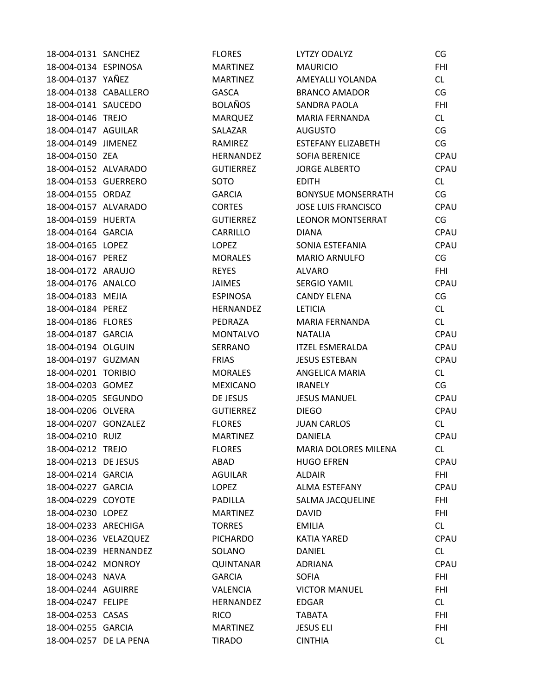| 18-004-0131 SANCHEZ    |                       | <b>FLORES</b>    | LYTZY ODALYZ                | CG         |
|------------------------|-----------------------|------------------|-----------------------------|------------|
| 18-004-0134 ESPINOSA   |                       | <b>MARTINEZ</b>  | <b>MAURICIO</b>             | <b>FHI</b> |
| 18-004-0137 YAÑEZ      |                       | <b>MARTINEZ</b>  | AMEYALLI YOLANDA            | CL         |
| 18-004-0138 CABALLERO  |                       | <b>GASCA</b>     | BRANCO AMADOR               | CG         |
| 18-004-0141 SAUCEDO    |                       | <b>BOLAÑOS</b>   | <b>SANDRA PAOLA</b>         | <b>FHI</b> |
| 18-004-0146 TREJO      |                       | <b>MARQUEZ</b>   | MARIA FERNANDA              | CL         |
| 18-004-0147 AGUILAR    |                       | SALAZAR          | <b>AUGUSTO</b>              | CG         |
| 18-004-0149 JIMENEZ    |                       | RAMIREZ          | <b>ESTEFANY ELIZABETH</b>   | CG         |
| 18-004-0150 ZEA        |                       | <b>HERNANDEZ</b> | <b>SOFIA BERENICE</b>       | CPAU       |
| 18-004-0152 ALVARADO   |                       | <b>GUTIERREZ</b> | <b>JORGE ALBERTO</b>        | CPAU       |
| 18-004-0153 GUERRERO   |                       | SOTO             | <b>EDITH</b>                | CL         |
| 18-004-0155 ORDAZ      |                       | <b>GARCIA</b>    | <b>BONYSUE MONSERRATH</b>   | CG         |
| 18-004-0157 ALVARADO   |                       | <b>CORTES</b>    | <b>JOSE LUIS FRANCISCO</b>  | CPAU       |
| 18-004-0159 HUERTA     |                       | <b>GUTIERREZ</b> | <b>LEONOR MONTSERRAT</b>    | CG         |
| 18-004-0164 GARCIA     |                       | CARRILLO         | <b>DIANA</b>                | CPAU       |
| 18-004-0165 LOPEZ      |                       | <b>LOPEZ</b>     | SONIA ESTEFANIA             | CPAU       |
| 18-004-0167 PEREZ      |                       | <b>MORALES</b>   | MARIO ARNULFO               | CG         |
| 18-004-0172 ARAUJO     |                       | <b>REYES</b>     | <b>ALVARO</b>               | <b>FHI</b> |
| 18-004-0176 ANALCO     |                       | JAIMES           | <b>SERGIO YAMIL</b>         | CPAU       |
| 18-004-0183 MEJIA      |                       | <b>ESPINOSA</b>  | <b>CANDY ELENA</b>          | CG         |
| 18-004-0184 PEREZ      |                       | <b>HERNANDEZ</b> | <b>LETICIA</b>              | CL         |
| 18-004-0186 FLORES     |                       | PEDRAZA          | <b>MARIA FERNANDA</b>       | CL         |
| 18-004-0187 GARCIA     |                       | <b>MONTALVO</b>  | <b>NATALIA</b>              | CPAU       |
| 18-004-0194 OLGUIN     |                       | SERRANO          | <b>ITZEL ESMERALDA</b>      | CPAU       |
| 18-004-0197 GUZMAN     |                       | <b>FRIAS</b>     | <b>JESUS ESTEBAN</b>        | CPAU       |
| 18-004-0201 TORIBIO    |                       | <b>MORALES</b>   | ANGELICA MARIA              | CL         |
| 18-004-0203 GOMEZ      |                       | <b>MEXICANO</b>  | <b>IRANELY</b>              | CG         |
| 18-004-0205 SEGUNDO    |                       | DE JESUS         | <b>JESUS MANUEL</b>         | CPAU       |
| 18-004-0206 OLVERA     |                       | <b>GUTIERREZ</b> | <b>DIEGO</b>                | CPAU       |
| 18-004-0207 GONZALEZ   |                       | <b>FLORES</b>    | <b>JUAN CARLOS</b>          | CL         |
| 18-004-0210 RUIZ       |                       | <b>MARTINEZ</b>  | DANIELA                     | CPAU       |
| 18-004-0212 TREJO      |                       | <b>FLORES</b>    | <b>MARIA DOLORES MILENA</b> | CL.        |
| 18-004-0213 DE JESUS   |                       | ABAD             | <b>HUGO EFREN</b>           | CPAU       |
| 18-004-0214 GARCIA     |                       | <b>AGUILAR</b>   | <b>ALDAIR</b>               | <b>FHI</b> |
| 18-004-0227 GARCIA     |                       | LOPEZ            | ALMA ESTEFANY               | CPAU       |
| 18-004-0229 COYOTE     |                       | PADILLA          | SALMA JACQUELINE            | FHI        |
| 18-004-0230 LOPEZ      |                       | <b>MARTINEZ</b>  | DAVID                       | FHI        |
| 18-004-0233 ARECHIGA   |                       | <b>TORRES</b>    | <b>EMILIA</b>               | CL         |
| 18-004-0236 VELAZQUEZ  |                       | <b>PICHARDO</b>  | KATIA YARED                 | CPAU       |
|                        | 18-004-0239 HERNANDEZ | SOLANO           | <b>DANIEL</b>               | CL         |
| 18-004-0242 MONROY     |                       | <b>QUINTANAR</b> | ADRIANA                     | CPAU       |
| 18-004-0243 NAVA       |                       | <b>GARCIA</b>    | <b>SOFIA</b>                | FHI        |
| 18-004-0244 AGUIRRE    |                       | VALENCIA         | <b>VICTOR MANUEL</b>        | <b>FHI</b> |
| 18-004-0247 FELIPE     |                       | <b>HERNANDEZ</b> | <b>EDGAR</b>                | CL         |
| 18-004-0253 CASAS      |                       | <b>RICO</b>      | TABATA                      | FHI        |
| 18-004-0255 GARCIA     |                       | <b>MARTINEZ</b>  | <b>JESUS ELI</b>            | <b>FHI</b> |
| 18-004-0257 DE LA PENA |                       | <b>TIRADO</b>    | <b>CINTHIA</b>              | CL         |
|                        |                       |                  |                             |            |

|                          | ιu         |
|--------------------------|------------|
|                          | <b>FHI</b> |
| λ                        | CL         |
| $\overline{\phantom{a}}$ | CG         |
|                          | FHI        |
|                          | <b>CL</b>  |
|                          | CG         |
| TH                       | CG         |
|                          |            |
|                          | CPAU       |
|                          | CPAU       |
|                          | <b>CL</b>  |
| RATH                     | CG         |
| <b>CO</b>                | CPAU       |
| RAT                      | CG         |
|                          | CPAU       |
|                          | CPAU       |
|                          | CG         |
|                          | FHI        |
|                          | CPAU       |
|                          | CG         |
|                          | CL         |
| l                        | CL         |
|                          | CPAU       |
|                          | CPAU       |
|                          | CPAU       |
|                          | CL         |
|                          |            |
|                          | CG         |
|                          | CPAU       |
|                          | CPAU       |
|                          | <b>CL</b>  |
|                          | CPAU       |
| <i>A</i> ILENA           | СL         |
|                          | CPAU       |
|                          | <b>FHI</b> |
|                          | CPAU       |
| ΙE                       | FHI        |
|                          | <b>FHI</b> |
|                          | CL         |
|                          | CPAU       |
|                          | CL         |
|                          | CPAU       |
|                          | <b>FHI</b> |
|                          | <b>FHI</b> |
|                          | <b>CL</b>  |
|                          | FHI        |
|                          |            |
|                          | <b>FHI</b> |
|                          | CL         |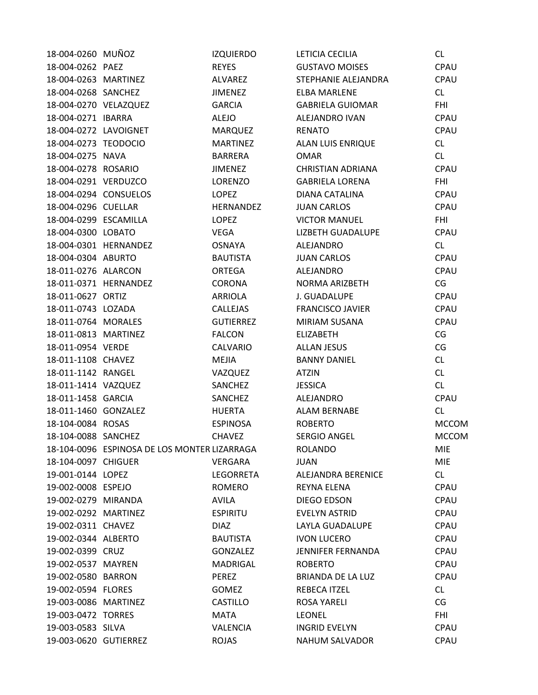| 18-004-0260 MUÑOZ     |                                              | <b>IZQUIERDO</b> | LETICIA CECILIA          | CL.          |
|-----------------------|----------------------------------------------|------------------|--------------------------|--------------|
| 18-004-0262 PAEZ      |                                              | <b>REYES</b>     | <b>GUSTAVO MOISES</b>    | CPAU         |
| 18-004-0263 MARTINEZ  |                                              | ALVAREZ          | STEPHANIE ALEJANDRA      | CPAU         |
| 18-004-0268 SANCHEZ   |                                              | <b>JIMENEZ</b>   | <b>ELBA MARLENE</b>      | CL.          |
| 18-004-0270 VELAZQUEZ |                                              | <b>GARCIA</b>    | <b>GABRIELA GUIOMAR</b>  | <b>FHI</b>   |
| 18-004-0271 IBARRA    |                                              | <b>ALEJO</b>     | ALEJANDRO IVAN           | CPAU         |
| 18-004-0272 LAVOIGNET |                                              | MARQUEZ          | <b>RENATO</b>            | CPAU         |
| 18-004-0273 TEODOCIO  |                                              | <b>MARTINEZ</b>  | <b>ALAN LUIS ENRIQUE</b> | CL           |
| 18-004-0275 NAVA      |                                              | BARRERA          | <b>OMAR</b>              | CL           |
| 18-004-0278 ROSARIO   |                                              | <b>JIMENEZ</b>   | <b>CHRISTIAN ADRIANA</b> | CPAU         |
| 18-004-0291 VERDUZCO  |                                              | LORENZO          | <b>GABRIELA LORENA</b>   | <b>FHI</b>   |
|                       | 18-004-0294 CONSUELOS                        | LOPEZ            | DIANA CATALINA           | CPAU         |
| 18-004-0296 CUELLAR   |                                              | HERNANDEZ        | <b>JUAN CARLOS</b>       | CPAU         |
| 18-004-0299 ESCAMILLA |                                              | LOPEZ            | <b>VICTOR MANUEL</b>     | <b>FHI</b>   |
| 18-004-0300 LOBATO    |                                              | VEGA             | <b>LIZBETH GUADALUPE</b> | CPAU         |
|                       | 18-004-0301 HERNANDEZ                        | OSNAYA           | ALEJANDRO                | CL           |
| 18-004-0304 ABURTO    |                                              | <b>BAUTISTA</b>  | <b>JUAN CARLOS</b>       | CPAU         |
| 18-011-0276 ALARCON   |                                              | ORTEGA           | ALEJANDRO                | CPAU         |
|                       | 18-011-0371 HERNANDEZ                        | CORONA           | NORMA ARIZBETH           | CG           |
| 18-011-0627 ORTIZ     |                                              | ARRIOLA          | J. GUADALUPE             | CPAU         |
| 18-011-0743 LOZADA    |                                              | CALLEJAS         | <b>FRANCISCO JAVIER</b>  | CPAU         |
| 18-011-0764 MORALES   |                                              | <b>GUTIERREZ</b> | MIRIAM SUSANA            | CPAU         |
| 18-011-0813 MARTINEZ  |                                              | <b>FALCON</b>    | <b>ELIZABETH</b>         | CG           |
| 18-011-0954 VERDE     |                                              | CALVARIO         | <b>ALLAN JESUS</b>       | CG           |
| 18-011-1108 CHAVEZ    |                                              | <b>MEJIA</b>     | <b>BANNY DANIEL</b>      | CL           |
| 18-011-1142 RANGEL    |                                              | VAZQUEZ          | <b>ATZIN</b>             | CL           |
| 18-011-1414 VAZQUEZ   |                                              | SANCHEZ          | <b>JESSICA</b>           | CL           |
| 18-011-1458 GARCIA    |                                              | SANCHEZ          | ALEJANDRO                | CPAU         |
| 18-011-1460 GONZALEZ  |                                              | <b>HUERTA</b>    | ALAM BERNABE             | CL           |
| 18-104-0084 ROSAS     |                                              | <b>ESPINOSA</b>  | <b>ROBERTO</b>           | <b>MCCOM</b> |
| 18-104-0088 SANCHEZ   |                                              | <b>CHAVEZ</b>    | <b>SERGIO ANGEL</b>      | <b>MCCOM</b> |
|                       | 18-104-0096 ESPINOSA DE LOS MONTER LIZARRAGA |                  | <b>ROLANDO</b>           | <b>MIE</b>   |
| 18-104-0097 CHIGUER   |                                              | VERGARA          | <b>JUAN</b>              | <b>MIE</b>   |
| 19-001-0144 LOPEZ     |                                              | LEGORRETA        | ALEJANDRA BERENICE       | CL           |
| 19-002-0008 ESPEJO    |                                              | <b>ROMERO</b>    | <b>REYNA ELENA</b>       | CPAU         |
| 19-002-0279 MIRANDA   |                                              | <b>AVILA</b>     | DIEGO EDSON              | <b>CPAU</b>  |
| 19-002-0292 MARTINEZ  |                                              | <b>ESPIRITU</b>  | <b>EVELYN ASTRID</b>     | <b>CPAU</b>  |
| 19-002-0311 CHAVEZ    |                                              | <b>DIAZ</b>      | LAYLA GUADALUPE          | <b>CPAU</b>  |
| 19-002-0344 ALBERTO   |                                              | <b>BAUTISTA</b>  | <b>IVON LUCERO</b>       | <b>CPAU</b>  |
| 19-002-0399 CRUZ      |                                              | <b>GONZALEZ</b>  | <b>JENNIFER FERNANDA</b> | CPAU         |
| 19-002-0537 MAYREN    |                                              | MADRIGAL         | <b>ROBERTO</b>           | CPAU         |
| 19-002-0580 BARRON    |                                              | PEREZ            | BRIANDA DE LA LUZ        | <b>CPAU</b>  |
| 19-002-0594 FLORES    |                                              | <b>GOMEZ</b>     | REBECA ITZEL             | CL           |
| 19-003-0086 MARTINEZ  |                                              | <b>CASTILLO</b>  | <b>ROSA YARELI</b>       | CG           |
| 19-003-0472 TORRES    |                                              | MATA             | <b>LEONEL</b>            | <b>FHI</b>   |
| 19-003-0583 SILVA     |                                              | VALENCIA         | <b>INGRID EVELYN</b>     | CPAU         |
| 19-003-0620 GUTIERREZ |                                              | <b>ROJAS</b>     | <b>NAHUM SALVADOR</b>    | CPAU         |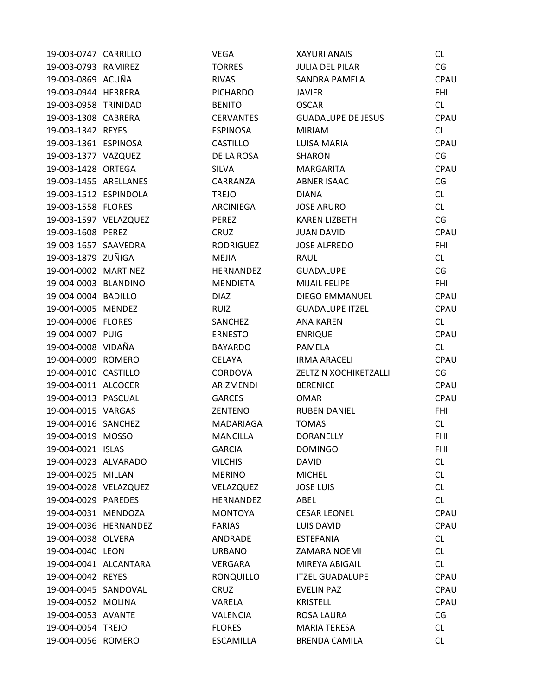| 19-003-0747 CARRILLO  |                       | <b>VEGA</b>      | <b>XAYURI ANAIS</b>       | <b>CL</b>  |
|-----------------------|-----------------------|------------------|---------------------------|------------|
| 19-003-0793 RAMIREZ   |                       | <b>TORRES</b>    | <b>JULIA DEL PILAR</b>    | CG         |
| 19-003-0869 ACUÑA     |                       | <b>RIVAS</b>     | SANDRA PAMELA             | CPAU       |
| 19-003-0944 HERRERA   |                       | <b>PICHARDO</b>  | <b>JAVIER</b>             | <b>FHI</b> |
| 19-003-0958 TRINIDAD  |                       | <b>BENITO</b>    | <b>OSCAR</b>              | CL         |
| 19-003-1308 CABRERA   |                       | <b>CERVANTES</b> | <b>GUADALUPE DE JESUS</b> | CPAU       |
| 19-003-1342 REYES     |                       | <b>ESPINOSA</b>  | <b>MIRIAM</b>             | <b>CL</b>  |
| 19-003-1361 ESPINOSA  |                       | <b>CASTILLO</b>  | <b>LUISA MARIA</b>        | CPAU       |
| 19-003-1377 VAZQUEZ   |                       | DE LA ROSA       | SHARON                    | CG         |
| 19-003-1428 ORTEGA    |                       | <b>SILVA</b>     | <b>MARGARITA</b>          | CPAU       |
| 19-003-1455 ARELLANES |                       | CARRANZA         | <b>ABNER ISAAC</b>        | CG         |
| 19-003-1512 ESPINDOLA |                       | <b>TREJO</b>     | DIANA                     | CL         |
| 19-003-1558 FLORES    |                       | ARCINIEGA        | <b>JOSE ARURO</b>         | CL         |
| 19-003-1597 VELAZQUEZ |                       | PEREZ            | <b>KAREN LIZBETH</b>      | CG         |
| 19-003-1608 PEREZ     |                       | <b>CRUZ</b>      | <b>JUAN DAVID</b>         | CPAU       |
| 19-003-1657 SAAVEDRA  |                       | <b>RODRIGUEZ</b> | <b>JOSE ALFREDO</b>       | <b>FHI</b> |
| 19-003-1879 ZUÑIGA    |                       | <b>MEJIA</b>     | <b>RAUL</b>               | CL         |
| 19-004-0002 MARTINEZ  |                       | HERNANDEZ        | <b>GUADALUPE</b>          | CG         |
| 19-004-0003 BLANDINO  |                       | <b>MENDIETA</b>  | <b>MIJAIL FELIPE</b>      | <b>FHI</b> |
| 19-004-0004 BADILLO   |                       | <b>DIAZ</b>      | <b>DIEGO EMMANUEL</b>     | CPAU       |
| 19-004-0005 MENDEZ    |                       | <b>RUIZ</b>      | <b>GUADALUPE ITZEL</b>    | CPAU       |
| 19-004-0006 FLORES    |                       | SANCHEZ          | <b>ANA KAREN</b>          | CL         |
| 19-004-0007 PUIG      |                       | <b>ERNESTO</b>   | <b>ENRIQUE</b>            | CPAU       |
| 19-004-0008 VIDAÑA    |                       | <b>BAYARDO</b>   | PAMELA                    | CL         |
| 19-004-0009 ROMERO    |                       | <b>CELAYA</b>    | <b>IRMA ARACELI</b>       | CPAU       |
| 19-004-0010 CASTILLO  |                       | <b>CORDOVA</b>   | ZELTZIN XOCHIKETZALLI     | CG         |
| 19-004-0011 ALCOCER   |                       | ARIZMENDI        | <b>BERENICE</b>           | CPAU       |
| 19-004-0013 PASCUAL   |                       | <b>GARCES</b>    | <b>OMAR</b>               | CPAU       |
| 19-004-0015 VARGAS    |                       | ZENTENO          | <b>RUBEN DANIEL</b>       | <b>FHI</b> |
| 19-004-0016 SANCHEZ   |                       | MADARIAGA        | <b>TOMAS</b>              | CL         |
| 19-004-0019 MOSSO     |                       | <b>MANCILLA</b>  | <b>DORANELLY</b>          | <b>FHI</b> |
| 19-004-0021 ISLAS     |                       | <b>GARCIA</b>    | <b>DOMINGO</b>            | <b>FHI</b> |
| 19-004-0023 ALVARADO  |                       | <b>VILCHIS</b>   | <b>DAVID</b>              | CL         |
| 19-004-0025 MILLAN    |                       | <b>MERINO</b>    | <b>MICHEL</b>             | CL         |
| 19-004-0028 VELAZQUEZ |                       | VELAZQUEZ        | <b>JOSE LUIS</b>          | CL         |
| 19-004-0029 PAREDES   |                       | HERNANDEZ        | ABEL                      | CL         |
| 19-004-0031 MENDOZA   |                       | <b>MONTOYA</b>   | <b>CESAR LEONEL</b>       | CPAU       |
|                       | 19-004-0036 HERNANDEZ | <b>FARIAS</b>    | <b>LUIS DAVID</b>         | CPAU       |
| 19-004-0038 OLVERA    |                       | ANDRADE          | <b>ESTEFANIA</b>          | CL         |
| 19-004-0040 LEON      |                       | <b>URBANO</b>    | ZAMARA NOEMI              | CL         |
| 19-004-0041 ALCANTARA |                       | VERGARA          | MIREYA ABIGAIL            | CL         |
| 19-004-0042 REYES     |                       | <b>RONQUILLO</b> | <b>ITZEL GUADALUPE</b>    | CPAU       |
| 19-004-0045 SANDOVAL  |                       | <b>CRUZ</b>      | EVELIN PAZ                | CPAU       |
| 19-004-0052 MOLINA    |                       | VARELA           | <b>KRISTELL</b>           | CPAU       |
| 19-004-0053 AVANTE    |                       | <b>VALENCIA</b>  | ROSA LAURA                | CG         |
| 19-004-0054 TREJO     |                       | <b>FLORES</b>    | <b>MARIA TERESA</b>       | CL         |
| 19-004-0056 ROMERO    |                       | ESCAMILLA        | <b>BRENDA CAMILA</b>      | CL.        |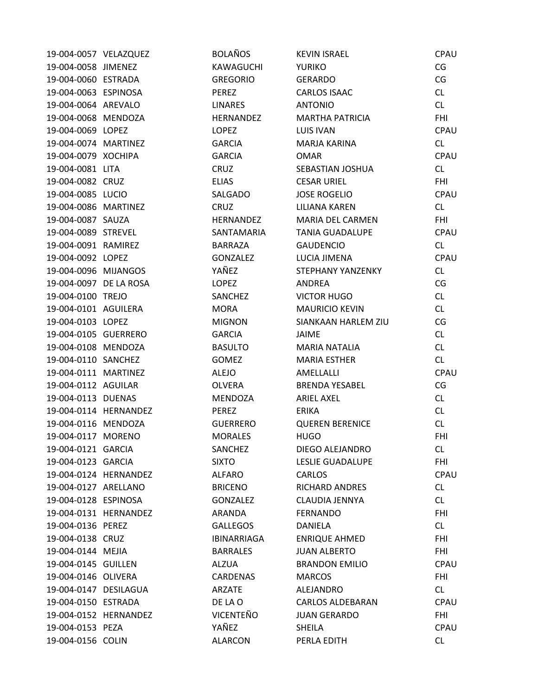| 19-004-0057 VELAZQUEZ  |                       | <b>BOLAÑOS</b>     | <b>KEVIN ISRAEL</b>     | CPAU       |
|------------------------|-----------------------|--------------------|-------------------------|------------|
| 19-004-0058 JIMENEZ    |                       | KAWAGUCHI          | <b>YURIKO</b>           | CG         |
| 19-004-0060 ESTRADA    |                       | <b>GREGORIO</b>    | <b>GERARDO</b>          | CG         |
| 19-004-0063 ESPINOSA   |                       | <b>PEREZ</b>       | <b>CARLOS ISAAC</b>     | CL         |
| 19-004-0064 AREVALO    |                       | <b>LINARES</b>     | <b>ANTONIO</b>          | <b>CL</b>  |
| 19-004-0068 MENDOZA    |                       | <b>HERNANDEZ</b>   | <b>MARTHA PATRICIA</b>  | <b>FHI</b> |
| 19-004-0069 LOPEZ      |                       | <b>LOPEZ</b>       | <b>LUIS IVAN</b>        | CPAU       |
| 19-004-0074 MARTINEZ   |                       | <b>GARCIA</b>      | MARJA KARINA            | CL         |
| 19-004-0079 XOCHIPA    |                       | <b>GARCIA</b>      | <b>OMAR</b>             | CPAU       |
| 19-004-0081 LITA       |                       | CRUZ               | SEBASTIAN JOSHUA        | CL         |
| 19-004-0082 CRUZ       |                       | <b>ELIAS</b>       | <b>CESAR URIEL</b>      | <b>FHI</b> |
| 19-004-0085 LUCIO      |                       | SALGADO            | <b>JOSE ROGELIO</b>     | CPAU       |
| 19-004-0086 MARTINEZ   |                       | <b>CRUZ</b>        | LILIANA KAREN           | <b>CL</b>  |
| 19-004-0087 SAUZA      |                       | HERNANDEZ          | MARIA DEL CARMEN        | <b>FHI</b> |
| 19-004-0089 STREVEL    |                       | SANTAMARIA         | <b>TANIA GUADALUPE</b>  | CPAU       |
| 19-004-0091 RAMIREZ    |                       | <b>BARRAZA</b>     | <b>GAUDENCIO</b>        | CL         |
| 19-004-0092 LOPEZ      |                       | GONZALEZ           | LUCIA JIMENA            | CPAU       |
| 19-004-0096 MIJANGOS   |                       | YAÑEZ              | STEPHANY YANZENKY       | <b>CL</b>  |
| 19-004-0097 DE LA ROSA |                       | <b>LOPEZ</b>       | ANDREA                  | CG         |
| 19-004-0100 TREJO      |                       | <b>SANCHEZ</b>     | <b>VICTOR HUGO</b>      | CL         |
| 19-004-0101 AGUILERA   |                       | <b>MORA</b>        | <b>MAURICIO KEVIN</b>   | <b>CL</b>  |
| 19-004-0103 LOPEZ      |                       | <b>MIGNON</b>      | SIANKAAN HARLEM ZIU     | CG         |
| 19-004-0105 GUERRERO   |                       | <b>GARCIA</b>      | JAIME                   | CL         |
| 19-004-0108 MENDOZA    |                       | <b>BASULTO</b>     | <b>MARIA NATALIA</b>    | <b>CL</b>  |
| 19-004-0110 SANCHEZ    |                       | <b>GOMEZ</b>       | <b>MARIA ESTHER</b>     | <b>CL</b>  |
| 19-004-0111 MARTINEZ   |                       | <b>ALEJO</b>       | AMELLALLI               | CPAU       |
| 19-004-0112 AGUILAR    |                       | <b>OLVERA</b>      | <b>BRENDA YESABEL</b>   | CG         |
| 19-004-0113 DUENAS     |                       | MENDOZA            | <b>ARIEL AXEL</b>       | <b>CL</b>  |
|                        | 19-004-0114 HERNANDEZ | <b>PEREZ</b>       | <b>ERIKA</b>            | CL         |
| 19-004-0116 MENDOZA    |                       | <b>GUERRERO</b>    | <b>QUEREN BERENICE</b>  | CL         |
| 19-004-0117 MORENO     |                       | MORALES            | <b>HUGO</b>             | <b>FHI</b> |
| 19-004-0121 GARCIA     |                       | SANCHEZ            | DIEGO ALEJANDRO         | <b>CL</b>  |
| 19-004-0123 GARCIA     |                       | <b>SIXTO</b>       | LESLIE GUADALUPE        | <b>FHI</b> |
|                        | 19-004-0124 HERNANDEZ | <b>ALFARO</b>      | <b>CARLOS</b>           | CPAU       |
| 19-004-0127 ARELLANO   |                       | <b>BRICENO</b>     | <b>RICHARD ANDRES</b>   | CL         |
| 19-004-0128 ESPINOSA   |                       | GONZALEZ           | CLAUDIA JENNYA          | CL         |
|                        | 19-004-0131 HERNANDEZ | ARANDA             | <b>FERNANDO</b>         | <b>FHI</b> |
| 19-004-0136 PEREZ      |                       | <b>GALLEGOS</b>    | <b>DANIELA</b>          | CL         |
| 19-004-0138 CRUZ       |                       | <b>IBINARRIAGA</b> | <b>ENRIQUE AHMED</b>    | <b>FHI</b> |
| 19-004-0144 MEJIA      |                       | <b>BARRALES</b>    | <b>JUAN ALBERTO</b>     | <b>FHI</b> |
| 19-004-0145 GUILLEN    |                       | ALZUA              | <b>BRANDON EMILIO</b>   | CPAU       |
| 19-004-0146 OLIVERA    |                       | CARDENAS           | <b>MARCOS</b>           | <b>FHI</b> |
| 19-004-0147 DESILAGUA  |                       | ARZATE             | ALEJANDRO               | CL         |
| 19-004-0150 ESTRADA    |                       | DE LA O            | <b>CARLOS ALDEBARAN</b> | CPAU       |
|                        | 19-004-0152 HERNANDEZ | VICENTEÑO          | <b>JUAN GERARDO</b>     | <b>FHI</b> |
| 19-004-0153 PEZA       |                       | YAÑEZ              | SHEILA                  | CPAU       |
| 19-004-0156 COLIN      |                       | <b>ALARCON</b>     | PERLA EDITH             | <b>CL</b>  |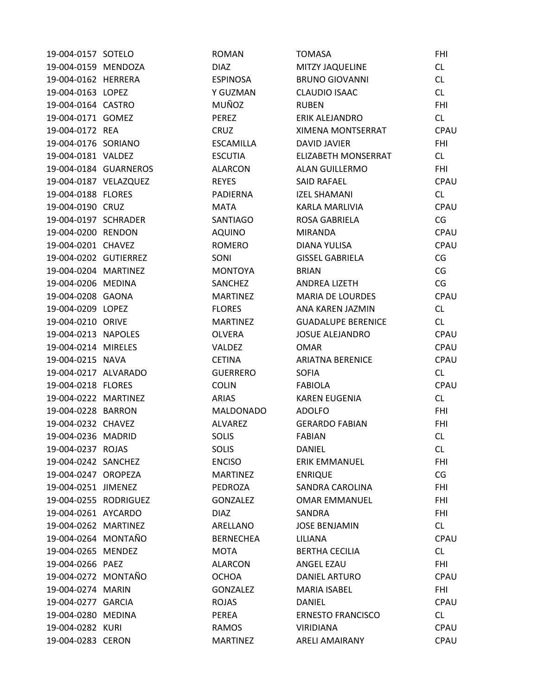| 19-004-0157 SOTELO    |                       | <b>ROMAN</b>     | <b>TOMASA</b>             | <b>FHI</b> |
|-----------------------|-----------------------|------------------|---------------------------|------------|
| 19-004-0159 MENDOZA   |                       | <b>DIAZ</b>      | <b>MITZY JAQUELINE</b>    | CL         |
| 19-004-0162 HERRERA   |                       | <b>ESPINOSA</b>  | <b>BRUNO GIOVANNI</b>     | CL         |
| 19-004-0163 LOPEZ     |                       | Y GUZMAN         | <b>CLAUDIO ISAAC</b>      | CL         |
| 19-004-0164 CASTRO    |                       | MUÑOZ            | <b>RUBEN</b>              | <b>FHI</b> |
| 19-004-0171 GOMEZ     |                       | PEREZ            | ERIK ALEJANDRO            | CL         |
| 19-004-0172 REA       |                       | <b>CRUZ</b>      | <b>XIMENA MONTSERRAT</b>  | CPAU       |
| 19-004-0176 SORIANO   |                       | <b>ESCAMILLA</b> | <b>DAVID JAVIER</b>       | <b>FHI</b> |
| 19-004-0181 VALDEZ    |                       | <b>ESCUTIA</b>   | ELIZABETH MONSERRAT       | CL.        |
|                       | 19-004-0184 GUARNEROS | <b>ALARCON</b>   | ALAN GUILLERMO            | <b>FHI</b> |
| 19-004-0187 VELAZQUEZ |                       | <b>REYES</b>     | <b>SAID RAFAEL</b>        | CPAU       |
| 19-004-0188 FLORES    |                       | <b>PADIERNA</b>  | <b>IZEL SHAMANI</b>       | CL         |
| 19-004-0190 CRUZ      |                       | <b>MATA</b>      | KARLA MARLIVIA            | CPAU       |
| 19-004-0197 SCHRADER  |                       | SANTIAGO         | ROSA GABRIELA             | CG         |
| 19-004-0200 RENDON    |                       | <b>AQUINO</b>    | <b>MIRANDA</b>            | CPAU       |
| 19-004-0201 CHAVEZ    |                       | <b>ROMERO</b>    | DIANA YULISA              | CPAU       |
| 19-004-0202 GUTIERREZ |                       | SONI             | <b>GISSEL GABRIELA</b>    | CG         |
| 19-004-0204 MARTINEZ  |                       | <b>MONTOYA</b>   | <b>BRIAN</b>              | CG         |
| 19-004-0206 MEDINA    |                       | SANCHEZ          | <b>ANDREA LIZETH</b>      | CG         |
| 19-004-0208 GAONA     |                       | <b>MARTINEZ</b>  | <b>MARIA DE LOURDES</b>   | CPAU       |
| 19-004-0209 LOPEZ     |                       | <b>FLORES</b>    | ANA KAREN JAZMIN          | CL         |
| 19-004-0210 ORIVE     |                       | <b>MARTINEZ</b>  | <b>GUADALUPE BERENICE</b> | <b>CL</b>  |
| 19-004-0213 NAPOLES   |                       | <b>OLVERA</b>    | <b>JOSUE ALEJANDRO</b>    | CPAU       |
| 19-004-0214 MIRELES   |                       | VALDEZ           | <b>OMAR</b>               | CPAU       |
| 19-004-0215 NAVA      |                       | <b>CETINA</b>    | <b>ARIATNA BERENICE</b>   | CPAU       |
| 19-004-0217 ALVARADO  |                       | <b>GUERRERO</b>  | <b>SOFIA</b>              | CL         |
| 19-004-0218 FLORES    |                       | <b>COLIN</b>     | <b>FABIOLA</b>            | CPAU       |
| 19-004-0222 MARTINEZ  |                       | <b>ARIAS</b>     | <b>KAREN EUGENIA</b>      | CL         |
| 19-004-0228 BARRON    |                       | <b>MALDONADO</b> | <b>ADOLFO</b>             | <b>FHI</b> |
| 19-004-0232 CHAVEZ    |                       | ALVAREZ          | <b>GERARDO FABIAN</b>     | <b>FHI</b> |
| 19-004-0236 MADRID    |                       | <b>SOLIS</b>     | FABIAN                    | CL.        |
| 19-004-0237 ROJAS     |                       | <b>SOLIS</b>     | <b>DANIEL</b>             | CL         |
| 19-004-0242 SANCHEZ   |                       | <b>ENCISO</b>    | <b>ERIK EMMANUEL</b>      | FHI        |
| 19-004-0247 OROPEZA   |                       | <b>MARTINEZ</b>  | <b>ENRIQUE</b>            | CG         |
| 19-004-0251 JIMENEZ   |                       | PEDROZA          | SANDRA CAROLINA           | <b>FHI</b> |
| 19-004-0255 RODRIGUEZ |                       | <b>GONZALEZ</b>  | <b>OMAR EMMANUEL</b>      | <b>FHI</b> |
| 19-004-0261 AYCARDO   |                       | <b>DIAZ</b>      | SANDRA                    | <b>FHI</b> |
| 19-004-0262 MARTINEZ  |                       | ARELLANO         | <b>JOSE BENJAMIN</b>      | CL         |
| 19-004-0264 MONTAÑO   |                       | <b>BERNECHEA</b> | LILIANA                   | CPAU       |
| 19-004-0265 MENDEZ    |                       | <b>MOTA</b>      | <b>BERTHA CECILIA</b>     | CL         |
| 19-004-0266 PAEZ      |                       | <b>ALARCON</b>   | ANGEL EZAU                | <b>FHI</b> |
| 19-004-0272 MONTAÑO   |                       | OCHOA            | <b>DANIEL ARTURO</b>      | CPAU       |
| 19-004-0274 MARIN     |                       | <b>GONZALEZ</b>  | MARIA ISABEL              | <b>FHI</b> |
| 19-004-0277 GARCIA    |                       | <b>ROJAS</b>     | <b>DANIEL</b>             | CPAU       |
| 19-004-0280 MEDINA    |                       | PEREA            | <b>ERNESTO FRANCISCO</b>  | CL         |
| 19-004-0282 KURI      |                       | RAMOS            | <b>VIRIDIANA</b>          | CPAU       |
| 19-004-0283 CERON     |                       | <b>MARTINEZ</b>  | <b>ARELI AMAIRANY</b>     | CPAU       |
|                       |                       |                  |                           |            |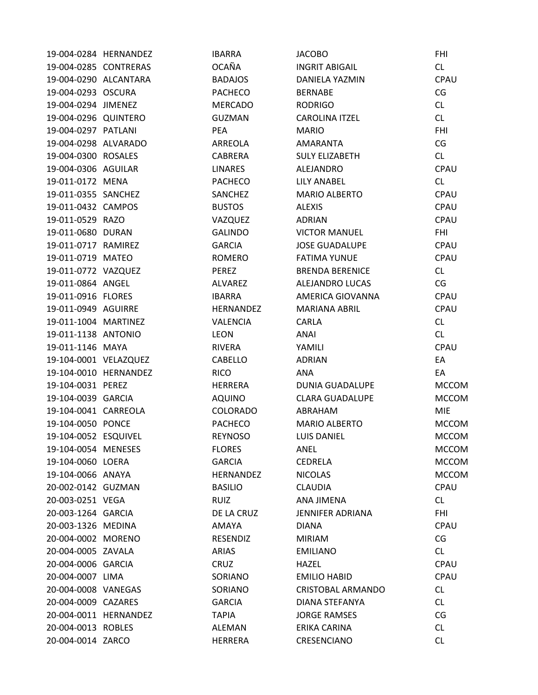|                       | 19-004-0284 HERNANDEZ | <b>IBARRA</b>  | <b>JACOBO</b>           | <b>FHI</b>   |
|-----------------------|-----------------------|----------------|-------------------------|--------------|
| 19-004-0285 CONTRERAS |                       | <b>OCAÑA</b>   | <b>INGRIT ABIGAIL</b>   | CL           |
| 19-004-0290 ALCANTARA |                       | <b>BADAJOS</b> | DANIELA YAZMIN          | CPAU         |
| 19-004-0293 OSCURA    |                       | <b>PACHECO</b> | <b>BERNABE</b>          | CG           |
| 19-004-0294 JIMENEZ   |                       | <b>MERCADO</b> | <b>RODRIGO</b>          | CL           |
| 19-004-0296 QUINTERO  |                       | <b>GUZMAN</b>  | CAROLINA ITZEL          | CL           |
| 19-004-0297 PATLANI   |                       | <b>PEA</b>     | <b>MARIO</b>            | <b>FHI</b>   |
| 19-004-0298 ALVARADO  |                       | ARREOLA        | AMARANTA                | CG           |
| 19-004-0300 ROSALES   |                       | CABRERA        | <b>SULY ELIZABETH</b>   | CL           |
| 19-004-0306 AGUILAR   |                       | <b>LINARES</b> | ALEJANDRO               | CPAU         |
| 19-011-0172 MENA      |                       | <b>PACHECO</b> | LILY ANABEL             | CL           |
| 19-011-0355 SANCHEZ   |                       | SANCHEZ        | <b>MARIO ALBERTO</b>    | CPAU         |
| 19-011-0432 CAMPOS    |                       | <b>BUSTOS</b>  | <b>ALEXIS</b>           | CPAU         |
| 19-011-0529 RAZO      |                       | VAZQUEZ        | <b>ADRIAN</b>           | CPAU         |
| 19-011-0680 DURAN     |                       | <b>GALINDO</b> | <b>VICTOR MANUEL</b>    | <b>FHI</b>   |
| 19-011-0717 RAMIREZ   |                       | <b>GARCIA</b>  | <b>JOSE GUADALUPE</b>   | CPAU         |
| 19-011-0719 MATEO     |                       | <b>ROMERO</b>  | <b>FATIMA YUNUE</b>     | CPAU         |
| 19-011-0772 VAZQUEZ   |                       | PEREZ          | <b>BRENDA BERENICE</b>  | CL           |
| 19-011-0864 ANGEL     |                       | <b>ALVAREZ</b> | ALEJANDRO LUCAS         | CG           |
| 19-011-0916 FLORES    |                       | <b>IBARRA</b>  | AMERICA GIOVANNA        | CPAU         |
| 19-011-0949 AGUIRRE   |                       | HERNANDEZ      | <b>MARIANA ABRIL</b>    | <b>CPAU</b>  |
| 19-011-1004 MARTINEZ  |                       | VALENCIA       | CARLA                   | CL           |
| 19-011-1138 ANTONIO   |                       | LEON           | <b>ANAI</b>             | CL           |
| 19-011-1146 MAYA      |                       | RIVERA         | YAMILI                  | CPAU         |
| 19-104-0001 VELAZQUEZ |                       | CABELLO        | <b>ADRIAN</b>           | EA           |
|                       | 19-104-0010 HERNANDEZ | <b>RICO</b>    | <b>ANA</b>              | EA           |
| 19-104-0031 PEREZ     |                       | HERRERA        | DUNIA GUADALUPE         | <b>MCCOM</b> |
| 19-104-0039 GARCIA    |                       | <b>AQUINO</b>  | <b>CLARA GUADALUPE</b>  | <b>MCCOM</b> |
| 19-104-0041 CARREOLA  |                       | COLORADO       | ABRAHAM                 | <b>MIE</b>   |
| 19-104-0050 PONCE     |                       | <b>PACHECO</b> | MARIO ALBERTO           | <b>MCCOM</b> |
| 19-104-0052 ESQUIVEL  |                       | <b>REYNOSO</b> | <b>LUIS DANIEL</b>      | <b>MCCOM</b> |
| 19-104-0054 MENESES   |                       | <b>FLORES</b>  | ANEL                    | <b>MCCOM</b> |
| 19-104-0060 LOERA     |                       | <b>GARCIA</b>  | <b>CEDRELA</b>          | <b>MCCOM</b> |
| 19-104-0066 ANAYA     |                       | HERNANDEZ      | <b>NICOLAS</b>          | <b>MCCOM</b> |
| 20-002-0142 GUZMAN    |                       | <b>BASILIO</b> | <b>CLAUDIA</b>          | CPAU         |
| 20-003-0251 VEGA      |                       | <b>RUIZ</b>    | <b>ANA JIMENA</b>       | CL           |
| 20-003-1264 GARCIA    |                       | DE LA CRUZ     | <b>JENNIFER ADRIANA</b> | <b>FHI</b>   |
| 20-003-1326 MEDINA    |                       | AMAYA          | <b>DIANA</b>            | CPAU         |
| 20-004-0002 MORENO    |                       | RESENDIZ       | <b>MIRIAM</b>           | CG           |
| 20-004-0005 ZAVALA    |                       | <b>ARIAS</b>   | <b>EMILIANO</b>         | CL           |
| 20-004-0006 GARCIA    |                       | CRUZ           | HAZEL                   | CPAU         |
| 20-004-0007 LIMA      |                       | SORIANO        | <b>EMILIO HABID</b>     | <b>CPAU</b>  |
| 20-004-0008 VANEGAS   |                       | SORIANO        | CRISTOBAL ARMANDO       | CL           |
| 20-004-0009 CAZARES   |                       | <b>GARCIA</b>  | DIANA STEFANYA          | CL           |
|                       | 20-004-0011 HERNANDEZ | <b>TAPIA</b>   | <b>JORGE RAMSES</b>     | CG           |
| 20-004-0013 ROBLES    |                       | ALEMAN         | ERIKA CARINA            | CL           |
| 20-004-0014 ZARCO     |                       | <b>HERRERA</b> | CRESENCIANO             | <b>CL</b>    |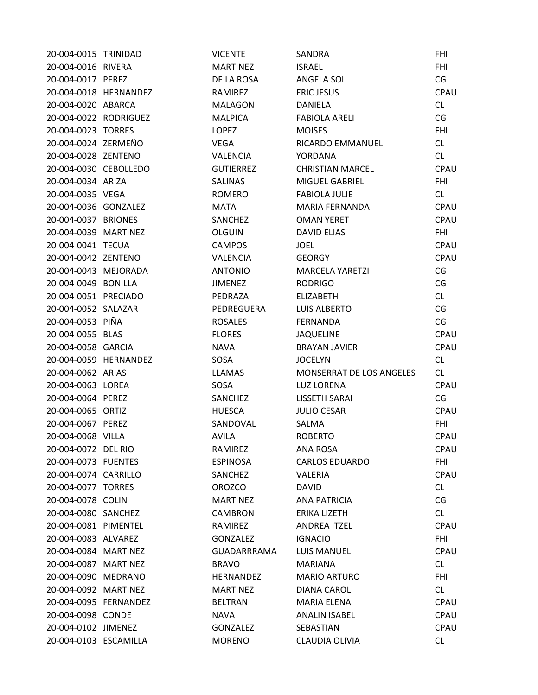| 20-004-0015 TRINIDAD  |                       | <b>VICENTE</b>     | SANDRA                   | <b>FHI</b>  |
|-----------------------|-----------------------|--------------------|--------------------------|-------------|
| 20-004-0016 RIVERA    |                       | <b>MARTINEZ</b>    | <b>ISRAEL</b>            | <b>FHI</b>  |
| 20-004-0017 PEREZ     |                       | DE LA ROSA         | ANGELA SOL               | CG          |
|                       | 20-004-0018 HERNANDEZ | RAMIREZ            | <b>ERIC JESUS</b>        | CPAU        |
| 20-004-0020 ABARCA    |                       | <b>MALAGON</b>     | <b>DANIELA</b>           | CL          |
| 20-004-0022 RODRIGUEZ |                       | <b>MALPICA</b>     | <b>FABIOLA ARELI</b>     | CG          |
| 20-004-0023 TORRES    |                       | <b>LOPEZ</b>       | <b>MOISES</b>            | <b>FHI</b>  |
| 20-004-0024 ZERMEÑO   |                       | <b>VEGA</b>        | RICARDO EMMANUEL         | CL          |
| 20-004-0028 ZENTENO   |                       | <b>VALENCIA</b>    | YORDANA                  | CL          |
| 20-004-0030 CEBOLLEDO |                       | <b>GUTIERREZ</b>   | <b>CHRISTIAN MARCEL</b>  | CPAU        |
| 20-004-0034 ARIZA     |                       | <b>SALINAS</b>     | MIGUEL GABRIEL           | <b>FHI</b>  |
| 20-004-0035 VEGA      |                       | ROMERO             | <b>FABIOLA JULIE</b>     | CL          |
| 20-004-0036 GONZALEZ  |                       | <b>MATA</b>        | MARIA FERNANDA           | CPAU        |
| 20-004-0037 BRIONES   |                       | <b>SANCHEZ</b>     | <b>OMAN YERET</b>        | CPAU        |
| 20-004-0039 MARTINEZ  |                       | <b>OLGUIN</b>      | <b>DAVID ELIAS</b>       | <b>FHI</b>  |
| 20-004-0041 TECUA     |                       | <b>CAMPOS</b>      | <b>JOEL</b>              | CPAU        |
| 20-004-0042 ZENTENO   |                       | <b>VALENCIA</b>    | <b>GEORGY</b>            | CPAU        |
| 20-004-0043 MEJORADA  |                       | <b>ANTONIO</b>     | <b>MARCELA YARETZI</b>   | CG          |
| 20-004-0049 BONILLA   |                       | <b>JIMENEZ</b>     | <b>RODRIGO</b>           | CG          |
| 20-004-0051 PRECIADO  |                       | PEDRAZA            | <b>ELIZABETH</b>         | CL          |
| 20-004-0052 SALAZAR   |                       | PEDREGUERA         | LUIS ALBERTO             | CG          |
| 20-004-0053 PIÑA      |                       | <b>ROSALES</b>     | <b>FERNANDA</b>          | CG          |
| 20-004-0055 BLAS      |                       | <b>FLORES</b>      | <b>JAQUELINE</b>         | CPAU        |
| 20-004-0058 GARCIA    |                       | <b>NAVA</b>        | <b>BRAYAN JAVIER</b>     | CPAU        |
|                       | 20-004-0059 HERNANDEZ | SOSA               | <b>JOCELYN</b>           | CL          |
| 20-004-0062 ARIAS     |                       | <b>LLAMAS</b>      | MONSERRAT DE LOS ANGELES | CL.         |
| 20-004-0063 LOREA     |                       | SOSA               | <b>LUZ LORENA</b>        | CPAU        |
| 20-004-0064 PEREZ     |                       | SANCHEZ            | <b>LISSETH SARAI</b>     | CG          |
| 20-004-0065 ORTIZ     |                       | <b>HUESCA</b>      | <b>JULIO CESAR</b>       | CPAU        |
| 20-004-0067 PEREZ     |                       | SANDOVAL           | SALMA                    | <b>FHI</b>  |
| 20-004-0068 VILLA     |                       | <b>AVILA</b>       | <b>ROBERTO</b>           | CPAU        |
| 20-004-0072 DEL RIO   |                       | RAMIREZ            | ANA ROSA                 | CPAU        |
| 20-004-0073 FUENTES   |                       | <b>ESPINOSA</b>    | <b>CARLOS EDUARDO</b>    | <b>FHI</b>  |
| 20-004-0074 CARRILLO  |                       | SANCHEZ            | VALERIA                  | CPAU        |
| 20-004-0077 TORRES    |                       | <b>OROZCO</b>      | <b>DAVID</b>             | CL          |
| 20-004-0078 COLIN     |                       | <b>MARTINEZ</b>    | <b>ANA PATRICIA</b>      | CG          |
| 20-004-0080 SANCHEZ   |                       | <b>CAMBRON</b>     | <b>ERIKA LIZETH</b>      | CL          |
| 20-004-0081 PIMENTEL  |                       | RAMIREZ            | <b>ANDREA ITZEL</b>      | CPAU        |
| 20-004-0083 ALVAREZ   |                       | <b>GONZALEZ</b>    | <b>IGNACIO</b>           | <b>FHI</b>  |
| 20-004-0084 MARTINEZ  |                       | <b>GUADARRRAMA</b> | <b>LUIS MANUEL</b>       | <b>CPAU</b> |
| 20-004-0087 MARTINEZ  |                       | <b>BRAVO</b>       | <b>MARIANA</b>           | CL          |
| 20-004-0090 MEDRANO   |                       | <b>HERNANDEZ</b>   | <b>MARIO ARTURO</b>      | <b>FHI</b>  |
| 20-004-0092 MARTINEZ  |                       | <b>MARTINEZ</b>    | <b>DIANA CAROL</b>       | CL          |
| 20-004-0095 FERNANDEZ |                       | <b>BELTRAN</b>     | <b>MARIA ELENA</b>       | CPAU        |
| 20-004-0098 CONDE     |                       | <b>NAVA</b>        | <b>ANALIN ISABEL</b>     | CPAU        |
| 20-004-0102 JIMENEZ   |                       | <b>GONZALEZ</b>    | SEBASTIAN                | CPAU        |
| 20-004-0103 ESCAMILLA |                       | <b>MORENO</b>      | CLAUDIA OLIVIA           | CL          |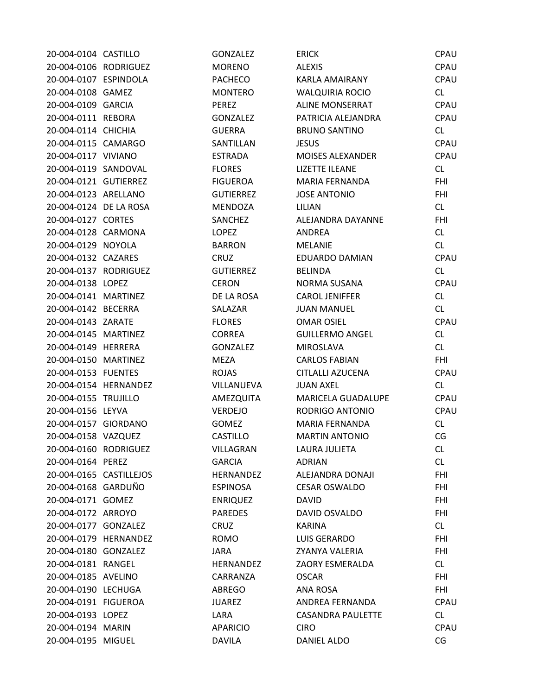| 20-004-0104 CASTILLO    |                       | <b>GONZALEZ</b>  | <b>ERICK</b>             | CPAU        |
|-------------------------|-----------------------|------------------|--------------------------|-------------|
| 20-004-0106 RODRIGUEZ   |                       | <b>MORENO</b>    | <b>ALEXIS</b>            | CPAU        |
| 20-004-0107 ESPINDOLA   |                       | <b>PACHECO</b>   | KARLA AMAIRANY           | CPAU        |
| 20-004-0108 GAMEZ       |                       | <b>MONTERO</b>   | <b>WALQUIRIA ROCIO</b>   | CL          |
| 20-004-0109 GARCIA      |                       | <b>PEREZ</b>     | <b>ALINE MONSERRAT</b>   | CPAU        |
| 20-004-0111 REBORA      |                       | <b>GONZALEZ</b>  | PATRICIA ALEJANDRA       | CPAU        |
| 20-004-0114 CHICHIA     |                       | <b>GUERRA</b>    | <b>BRUNO SANTINO</b>     | CL          |
| 20-004-0115 CAMARGO     |                       | SANTILLAN        | <b>JESUS</b>             | CPAU        |
| 20-004-0117 VIVIANO     |                       | <b>ESTRADA</b>   | <b>MOISES ALEXANDER</b>  | CPAU        |
| 20-004-0119 SANDOVAL    |                       | <b>FLORES</b>    | <b>LIZETTE ILEANE</b>    | CL          |
| 20-004-0121 GUTIERREZ   |                       | <b>FIGUEROA</b>  | <b>MARIA FERNANDA</b>    | <b>FHI</b>  |
| 20-004-0123 ARELLANO    |                       | <b>GUTIERREZ</b> | <b>JOSE ANTONIO</b>      | <b>FHI</b>  |
| 20-004-0124 DE LA ROSA  |                       | <b>MENDOZA</b>   | LILIAN                   | CL          |
| 20-004-0127 CORTES      |                       | SANCHEZ          | ALEJANDRA DAYANNE        | <b>FHI</b>  |
| 20-004-0128 CARMONA     |                       | <b>LOPEZ</b>     | ANDREA                   | CL          |
| 20-004-0129 NOYOLA      |                       | <b>BARRON</b>    | <b>MELANIE</b>           | CL          |
| 20-004-0132 CAZARES     |                       | CRUZ             | EDUARDO DAMIAN           | CPAU        |
| 20-004-0137 RODRIGUEZ   |                       | <b>GUTIERREZ</b> | <b>BELINDA</b>           | CL          |
| 20-004-0138 LOPEZ       |                       | <b>CERON</b>     | NORMA SUSANA             | <b>CPAU</b> |
| 20-004-0141 MARTINEZ    |                       | DE LA ROSA       | <b>CAROL JENIFFER</b>    | CL          |
| 20-004-0142 BECERRA     |                       | SALAZAR          | <b>JUAN MANUEL</b>       | CL          |
| 20-004-0143 ZARATE      |                       | <b>FLORES</b>    | <b>OMAR OSIEL</b>        | CPAU        |
| 20-004-0145 MARTINEZ    |                       | <b>CORREA</b>    | <b>GUILLERMO ANGEL</b>   | CL          |
| 20-004-0149 HERRERA     |                       | <b>GONZALEZ</b>  | <b>MIROSLAVA</b>         | CL          |
| 20-004-0150 MARTINEZ    |                       | <b>MEZA</b>      | <b>CARLOS FABIAN</b>     | <b>FHI</b>  |
| 20-004-0153 FUENTES     |                       | <b>ROJAS</b>     | CITLALLI AZUCENA         | CPAU        |
|                         | 20-004-0154 HERNANDEZ | VILLANUEVA       | <b>JUAN AXEL</b>         | CL          |
| 20-004-0155 TRUJILLO    |                       | AMEZQUITA        | MARICELA GUADALUPE       | <b>CPAU</b> |
| 20-004-0156 LEYVA       |                       | VERDEJO          | RODRIGO ANTONIO          | CPAU        |
| 20-004-0157 GIORDANO    |                       | <b>GOMEZ</b>     | <b>MARIA FERNANDA</b>    | CL          |
| 20-004-0158 VAZQUEZ     |                       | <b>CASTILLO</b>  | <b>MARTIN ANTONIO</b>    | CG          |
| 20-004-0160 RODRIGUEZ   |                       | VILLAGRAN        | <b>LAURA JULIETA</b>     | CL.         |
| 20-004-0164 PEREZ       |                       | <b>GARCIA</b>    | <b>ADRIAN</b>            | CL          |
| 20-004-0165 CASTILLEJOS |                       | <b>HERNANDEZ</b> | ALEJANDRA DONAJI         | <b>FHI</b>  |
| 20-004-0168 GARDUÑO     |                       | <b>ESPINOSA</b>  | <b>CESAR OSWALDO</b>     | FHI.        |
| 20-004-0171 GOMEZ       |                       | <b>ENRIQUEZ</b>  | <b>DAVID</b>             | <b>FHI</b>  |
| 20-004-0172 ARROYO      |                       | <b>PAREDES</b>   | DAVID OSVALDO            | <b>FHI</b>  |
| 20-004-0177 GONZALEZ    |                       | <b>CRUZ</b>      | <b>KARINA</b>            | CL          |
|                         | 20-004-0179 HERNANDEZ | <b>ROMO</b>      | LUIS GERARDO             | <b>FHI</b>  |
| 20-004-0180 GONZALEZ    |                       | JARA             | ZYANYA VALERIA           | FHI         |
| 20-004-0181 RANGEL      |                       | <b>HERNANDEZ</b> | ZAORY ESMERALDA          | CL          |
| 20-004-0185 AVELINO     |                       | CARRANZA         | <b>OSCAR</b>             | FHI.        |
| 20-004-0190 LECHUGA     |                       | <b>ABREGO</b>    | ANA ROSA                 | <b>FHI</b>  |
| 20-004-0191 FIGUEROA    |                       | <b>JUAREZ</b>    | ANDREA FERNANDA          | CPAU        |
| 20-004-0193 LOPEZ       |                       | LARA             | <b>CASANDRA PAULETTE</b> | CL.         |
| 20-004-0194 MARIN       |                       | <b>APARICIO</b>  | <b>CIRO</b>              | CPAU        |
| 20-004-0195 MIGUEL      |                       | <b>DAVILA</b>    | DANIEL ALDO              | CG          |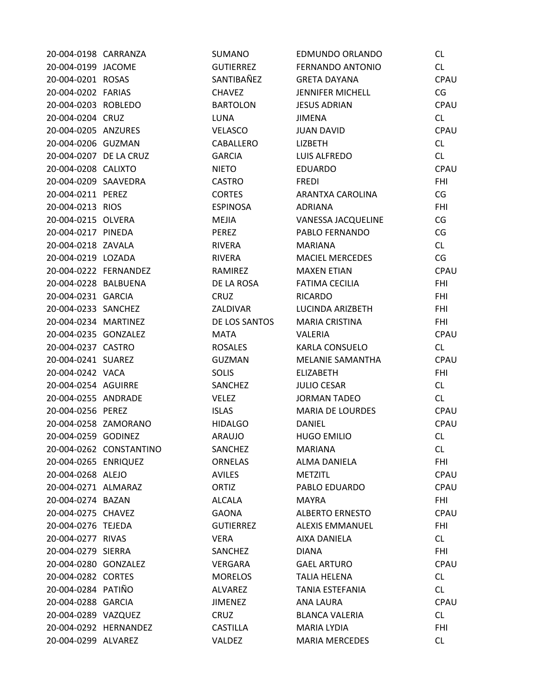| 20-004-0198 CARRANZA   |                         | SUMANO           | EDMUNDO ORLANDO         | CL.         |
|------------------------|-------------------------|------------------|-------------------------|-------------|
| 20-004-0199 JACOME     |                         | <b>GUTIERREZ</b> | <b>FERNANDO ANTONIO</b> | CL          |
| 20-004-0201 ROSAS      |                         | SANTIBAÑEZ       | <b>GRETA DAYANA</b>     | CPAU        |
| 20-004-0202 FARIAS     |                         | <b>CHAVEZ</b>    | <b>JENNIFER MICHELL</b> | CG          |
| 20-004-0203 ROBLEDO    |                         | <b>BARTOLON</b>  | <b>JESUS ADRIAN</b>     | CPAU        |
| 20-004-0204 CRUZ       |                         | LUNA             | <b>JIMENA</b>           | CL          |
| 20-004-0205 ANZURES    |                         | <b>VELASCO</b>   | <b>JUAN DAVID</b>       | CPAU        |
| 20-004-0206 GUZMAN     |                         | CABALLERO        | LIZBETH                 | CL          |
| 20-004-0207 DE LA CRUZ |                         | <b>GARCIA</b>    | LUIS ALFREDO            | CL          |
| 20-004-0208 CALIXTO    |                         | <b>NIETO</b>     | <b>EDUARDO</b>          | CPAU        |
| 20-004-0209 SAAVEDRA   |                         | <b>CASTRO</b>    | <b>FREDI</b>            | <b>FHI</b>  |
| 20-004-0211 PEREZ      |                         | <b>CORTES</b>    | ARANTXA CAROLINA        | CG          |
| 20-004-0213 RIOS       |                         | <b>ESPINOSA</b>  | <b>ADRIANA</b>          | <b>FHI</b>  |
| 20-004-0215 OLVERA     |                         | MEJIA            | VANESSA JACQUELINE      | CG          |
| 20-004-0217 PINEDA     |                         | PEREZ            | PABLO FERNANDO          | CG          |
| 20-004-0218 ZAVALA     |                         | RIVERA           | <b>MARIANA</b>          | CL          |
| 20-004-0219 LOZADA     |                         | <b>RIVERA</b>    | <b>MACIEL MERCEDES</b>  | CG          |
| 20-004-0222 FERNANDEZ  |                         | RAMIREZ          | <b>MAXEN ETIAN</b>      | CPAU        |
| 20-004-0228 BALBUENA   |                         | DE LA ROSA       | <b>FATIMA CECILIA</b>   | <b>FHI</b>  |
| 20-004-0231 GARCIA     |                         | <b>CRUZ</b>      | <b>RICARDO</b>          | <b>FHI</b>  |
| 20-004-0233 SANCHEZ    |                         | ZALDIVAR         | LUCINDA ARIZBETH        | <b>FHI</b>  |
| 20-004-0234 MARTINEZ   |                         | DE LOS SANTOS    | <b>MARIA CRISTINA</b>   | <b>FHI</b>  |
| 20-004-0235 GONZALEZ   |                         | MATA             | VALERIA                 | CPAU        |
| 20-004-0237 CASTRO     |                         | <b>ROSALES</b>   | <b>KARLA CONSUELO</b>   | CL          |
| 20-004-0241 SUAREZ     |                         | <b>GUZMAN</b>    | MELANIE SAMANTHA        | <b>CPAU</b> |
| 20-004-0242 VACA       |                         | <b>SOLIS</b>     | <b>ELIZABETH</b>        | <b>FHI</b>  |
| 20-004-0254 AGUIRRE    |                         | SANCHEZ          | <b>JULIO CESAR</b>      | CL          |
| 20-004-0255 ANDRADE    |                         | VELEZ            | <b>JORMAN TADEO</b>     | CL          |
| 20-004-0256 PEREZ      |                         | <b>ISLAS</b>     | <b>MARIA DE LOURDES</b> | CPAU        |
| 20-004-0258 ZAMORANO   |                         | <b>HIDALGO</b>   | <b>DANIEL</b>           | CPAU        |
| 20-004-0259 GODINEZ    |                         | <b>ARAUJO</b>    | <b>HUGO EMILIO</b>      | CL          |
|                        | 20-004-0262 CONSTANTINO | SANCHEZ          | <b>MARIANA</b>          | CL          |
| 20-004-0265 ENRIQUEZ   |                         | <b>ORNELAS</b>   | ALMA DANIELA            | <b>FHI</b>  |
| 20-004-0268 ALEJO      |                         | <b>AVILES</b>    | <b>METZITL</b>          | CPAU        |
| 20-004-0271 ALMARAZ    |                         | ORTIZ            | PABLO EDUARDO           | CPAU        |
| 20-004-0274 BAZAN      |                         | <b>ALCALA</b>    | <b>MAYRA</b>            | <b>FHI</b>  |
| 20-004-0275 CHAVEZ     |                         | <b>GAONA</b>     | <b>ALBERTO ERNESTO</b>  | <b>CPAU</b> |
| 20-004-0276 TEJEDA     |                         | <b>GUTIERREZ</b> | <b>ALEXIS EMMANUEL</b>  | FHI         |
| 20-004-0277 RIVAS      |                         | <b>VERA</b>      | AIXA DANIELA            | CL          |
| 20-004-0279 SIERRA     |                         | SANCHEZ          | <b>DIANA</b>            | <b>FHI</b>  |
| 20-004-0280 GONZALEZ   |                         | <b>VERGARA</b>   | <b>GAEL ARTURO</b>      | <b>CPAU</b> |
| 20-004-0282 CORTES     |                         | <b>MORELOS</b>   | <b>TALIA HELENA</b>     | CL          |
| 20-004-0284 PATIÑO     |                         | <b>ALVAREZ</b>   | TANIA ESTEFANIA         | CL          |
| 20-004-0288 GARCIA     |                         | <b>JIMENEZ</b>   | ANA LAURA               | <b>CPAU</b> |
| 20-004-0289 VAZQUEZ    |                         | <b>CRUZ</b>      | <b>BLANCA VALERIA</b>   | CL          |
|                        | 20-004-0292 HERNANDEZ   | <b>CASTILLA</b>  | <b>MARIA LYDIA</b>      | <b>FHI</b>  |
| 20-004-0299 ALVAREZ    |                         | VALDEZ           | <b>MARIA MERCEDES</b>   | CL          |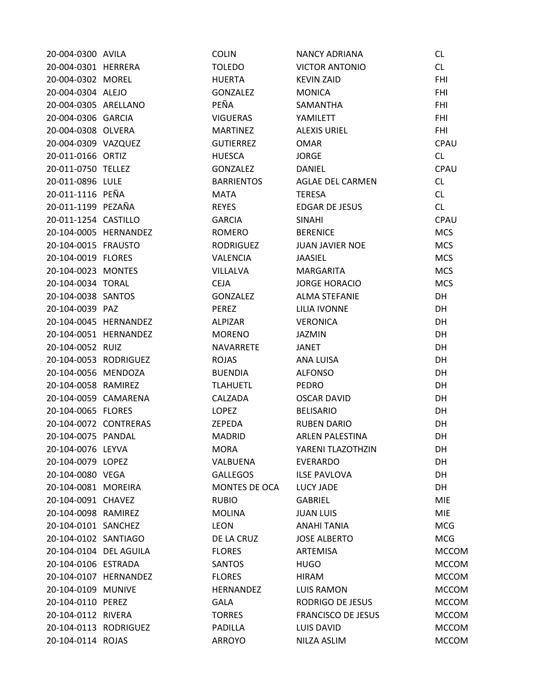| 20-004-0300 AVILA      |                       | <b>COLIN</b>      | <b>NANCY ADRIANA</b>      | CL           |
|------------------------|-----------------------|-------------------|---------------------------|--------------|
| 20-004-0301 HERRERA    |                       | <b>TOLEDO</b>     | <b>VICTOR ANTONIO</b>     | CL           |
| 20-004-0302 MOREL      |                       | <b>HUERTA</b>     | <b>KEVIN ZAID</b>         | <b>FHI</b>   |
| 20-004-0304 ALEJO      |                       | GONZALEZ          | <b>MONICA</b>             | <b>FHI</b>   |
| 20-004-0305 ARELLANO   |                       | PEÑA              | <b>SAMANTHA</b>           | <b>FHI</b>   |
| 20-004-0306 GARCIA     |                       | <b>VIGUERAS</b>   | YAMILETT                  | <b>FHI</b>   |
| 20-004-0308 OLVERA     |                       | <b>MARTINEZ</b>   | <b>ALEXIS URIEL</b>       | <b>FHI</b>   |
| 20-004-0309 VAZQUEZ    |                       | <b>GUTIERREZ</b>  | <b>OMAR</b>               | CPAU         |
| 20-011-0166 ORTIZ      |                       | <b>HUESCA</b>     | <b>JORGE</b>              | CL           |
| 20-011-0750 TELLEZ     |                       | GONZALEZ          | <b>DANIEL</b>             | <b>CPAU</b>  |
| 20-011-0896 LULE       |                       | <b>BARRIENTOS</b> | <b>AGLAE DEL CARMEN</b>   | CL           |
| 20-011-1116 PEÑA       |                       | <b>MATA</b>       | <b>TERESA</b>             | CL           |
| 20-011-1199 PEZAÑA     |                       | <b>REYES</b>      | EDGAR DE JESUS            | CL           |
| 20-011-1254 CASTILLO   |                       | <b>GARCIA</b>     | <b>SINAHI</b>             | CPAU         |
|                        | 20-104-0005 HERNANDEZ | ROMERO            | <b>BERENICE</b>           | <b>MCS</b>   |
| 20-104-0015 FRAUSTO    |                       | RODRIGUEZ         | <b>JUAN JAVIER NOE</b>    | <b>MCS</b>   |
| 20-104-0019 FLORES     |                       | <b>VALENCIA</b>   | JAASIEL                   | <b>MCS</b>   |
| 20-104-0023 MONTES     |                       | VILLALVA          | MARGARITA                 | <b>MCS</b>   |
| 20-104-0034 TORAL      |                       | <b>CEJA</b>       | <b>JORGE HORACIO</b>      | <b>MCS</b>   |
| 20-104-0038 SANTOS     |                       | <b>GONZALEZ</b>   | <b>ALMA STEFANIE</b>      | DH           |
| 20-104-0039 PAZ        |                       | PEREZ             | <b>LILIA IVONNE</b>       | DH           |
|                        | 20-104-0045 HERNANDEZ | ALPIZAR           | <b>VERONICA</b>           | DH           |
|                        | 20-104-0051 HERNANDEZ | <b>MORENO</b>     | JAZMIN                    | DH           |
| 20-104-0052 RUIZ       |                       | NAVARRETE         | JANET                     | DH           |
| 20-104-0053 RODRIGUEZ  |                       | <b>ROJAS</b>      | ANA LUISA                 | DH           |
| 20-104-0056 MENDOZA    |                       | <b>BUENDIA</b>    | <b>ALFONSO</b>            | DH           |
| 20-104-0058 RAMIREZ    |                       | <b>TLAHUETL</b>   | <b>PEDRO</b>              | <b>DH</b>    |
| 20-104-0059 CAMARENA   |                       | CALZADA           | <b>OSCAR DAVID</b>        | DH           |
| 20-104-0065 FLORES     |                       | LOPEZ             | <b>BELISARIO</b>          | DH           |
| 20-104-0072 CONTRERAS  |                       | ZEPEDA            | <b>RUBEN DARIO</b>        | DH           |
| 20-104-0075 PANDAL     |                       | <b>MADRID</b>     | <b>ARLEN PALESTINA</b>    | DH           |
| 20-104-0076 LEYVA      |                       | <b>MORA</b>       | YARENI TLAZOTHZIN         | DH           |
| 20-104-0079 LOPEZ      |                       | VALBUENA          | <b>EVERARDO</b>           | DH           |
| 20-104-0080 VEGA       |                       | <b>GALLEGOS</b>   | <b>ILSE PAVLOVA</b>       | DH           |
| 20-104-0081 MOREIRA    |                       | MONTES DE OCA     | LUCY JADE                 | DH           |
| 20-104-0091 CHAVEZ     |                       | <b>RUBIO</b>      | <b>GABRIEL</b>            | <b>MIE</b>   |
| 20-104-0098 RAMIREZ    |                       | <b>MOLINA</b>     | <b>JUAN LUIS</b>          | <b>MIE</b>   |
| 20-104-0101 SANCHEZ    |                       | <b>LEON</b>       | ANAHI TANIA               | <b>MCG</b>   |
| 20-104-0102 SANTIAGO   |                       | DE LA CRUZ        | <b>JOSE ALBERTO</b>       | <b>MCG</b>   |
| 20-104-0104 DEL AGUILA |                       | <b>FLORES</b>     | ARTEMISA                  | <b>MCCOM</b> |
| 20-104-0106 ESTRADA    |                       | SANTOS            | <b>HUGO</b>               | <b>MCCOM</b> |
|                        | 20-104-0107 HERNANDEZ | <b>FLORES</b>     | <b>HIRAM</b>              | <b>MCCOM</b> |
| 20-104-0109 MUNIVE     |                       | <b>HERNANDEZ</b>  | <b>LUIS RAMON</b>         | <b>MCCOM</b> |
| 20-104-0110 PEREZ      |                       | <b>GALA</b>       | RODRIGO DE JESUS          | <b>MCCOM</b> |
| 20-104-0112 RIVERA     |                       | <b>TORRES</b>     | <b>FRANCISCO DE JESUS</b> | <b>MCCOM</b> |
| 20-104-0113 RODRIGUEZ  |                       | <b>PADILLA</b>    | LUIS DAVID                | <b>MCCOM</b> |
| 20-104-0114 ROJAS      |                       | <b>ARROYO</b>     | NILZA ASLIM               | <b>MCCOM</b> |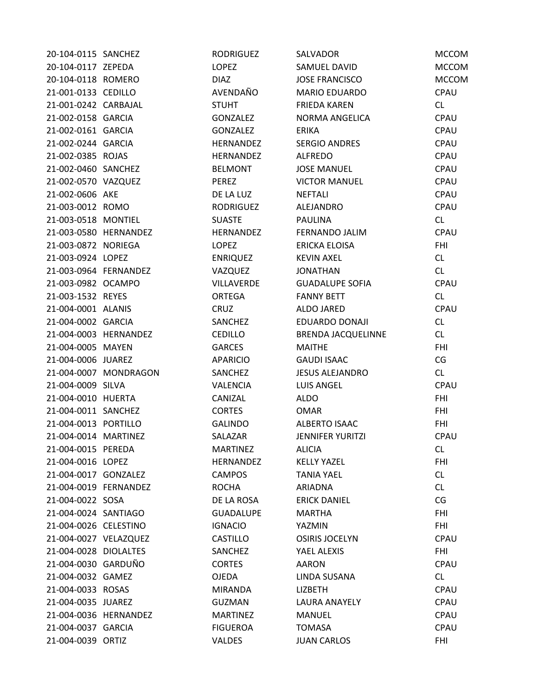| 20-104-0115 SANCHEZ   |                       | <b>RODRIGUEZ</b>  | SALVADOR                | <b>MCCOM</b> |
|-----------------------|-----------------------|-------------------|-------------------------|--------------|
| 20-104-0117 ZEPEDA    |                       | <b>LOPEZ</b>      | SAMUEL DAVID            | <b>MCCOM</b> |
| 20-104-0118 ROMERO    |                       | <b>DIAZ</b>       | <b>JOSE FRANCISCO</b>   | <b>MCCOM</b> |
| 21-001-0133 CEDILLO   |                       | AVENDAÑO          | <b>MARIO EDUARDO</b>    | CPAU         |
| 21-001-0242 CARBAJAL  |                       | <b>STUHT</b>      | <b>FRIEDA KAREN</b>     | CL           |
| 21-002-0158 GARCIA    |                       | <b>GONZALEZ</b>   | NORMA ANGELICA          | CPAU         |
| 21-002-0161 GARCIA    |                       | GONZALEZ          | <b>ERIKA</b>            | CPAU         |
| 21-002-0244 GARCIA    |                       | HERNANDEZ         | <b>SERGIO ANDRES</b>    | CPAU         |
| 21-002-0385 ROJAS     |                       | HERNANDEZ         | <b>ALFREDO</b>          | CPAU         |
| 21-002-0460 SANCHEZ   |                       | <b>BELMONT</b>    | <b>JOSE MANUEL</b>      | CPAU         |
| 21-002-0570 VAZQUEZ   |                       | PEREZ             | <b>VICTOR MANUEL</b>    | CPAU         |
| 21-002-0606 AKE       |                       | DE LA LUZ         | <b>NEFTALI</b>          | CPAU         |
| 21-003-0012 ROMO      |                       | <b>RODRIGUEZ</b>  | ALEJANDRO               | CPAU         |
| 21-003-0518 MONTIEL   |                       | <b>SUASTE</b>     | <b>PAULINA</b>          | CL           |
|                       | 21-003-0580 HERNANDEZ | HERNANDEZ         | FERNANDO JALIM          | CPAU         |
| 21-003-0872 NORIEGA   |                       | <b>LOPEZ</b>      | <b>ERICKA ELOISA</b>    | <b>FHI</b>   |
| 21-003-0924 LOPEZ     |                       | <b>ENRIQUEZ</b>   | <b>KEVIN AXEL</b>       | CL           |
| 21-003-0964 FERNANDEZ |                       | VAZQUEZ           | <b>JONATHAN</b>         | CL           |
| 21-003-0982 OCAMPO    |                       | <b>VILLAVERDE</b> | <b>GUADALUPE SOFIA</b>  | CPAU         |
| 21-003-1532 REYES     |                       | <b>ORTEGA</b>     | <b>FANNY BETT</b>       | CL           |
| 21-004-0001 ALANIS    |                       | CRUZ              | ALDO JARED              | CPAU         |
| 21-004-0002 GARCIA    |                       | SANCHEZ           | EDUARDO DONAJI          | CL           |
|                       | 21-004-0003 HERNANDEZ | <b>CEDILLO</b>    | BRENDA JACQUELINNE      | CL           |
| 21-004-0005 MAYEN     |                       | <b>GARCES</b>     | <b>MAITHE</b>           | <b>FHI</b>   |
| 21-004-0006 JUAREZ    |                       | <b>APARICIO</b>   | <b>GAUDI ISAAC</b>      | CG           |
|                       | 21-004-0007 MONDRAGON | SANCHEZ           | <b>JESUS ALEJANDRO</b>  | CL           |
| 21-004-0009 SILVA     |                       | <b>VALENCIA</b>   | <b>LUIS ANGEL</b>       | CPAU         |
| 21-004-0010 HUERTA    |                       | CANIZAL           | <b>ALDO</b>             | <b>FHI</b>   |
| 21-004-0011 SANCHEZ   |                       | <b>CORTES</b>     | <b>OMAR</b>             | <b>FHI</b>   |
| 21-004-0013 PORTILLO  |                       | <b>GALINDO</b>    | ALBERTO ISAAC           | <b>FHI</b>   |
| 21-004-0014 MARTINEZ  |                       | SALAZAR           | <b>JENNIFER YURITZI</b> | CPAU         |
| 21-004-0015 PEREDA    |                       | <b>MARTINEZ</b>   | <b>ALICIA</b>           | <b>CL</b>    |
| 21-004-0016 LOPEZ     |                       | HERNANDEZ         | <b>KELLY YAZEL</b>      | <b>FHI</b>   |
| 21-004-0017 GONZALEZ  |                       | <b>CAMPOS</b>     | <b>TANIA YAEL</b>       | CL           |
| 21-004-0019 FERNANDEZ |                       | <b>ROCHA</b>      | ARIADNA                 | <b>CL</b>    |
| 21-004-0022 SOSA      |                       | DE LA ROSA        | <b>ERICK DANIEL</b>     | CG           |
| 21-004-0024 SANTIAGO  |                       | <b>GUADALUPE</b>  | <b>MARTHA</b>           | <b>FHI</b>   |
| 21-004-0026 CELESTINO |                       | <b>IGNACIO</b>    | YAZMIN                  | <b>FHI</b>   |
| 21-004-0027 VELAZQUEZ |                       | <b>CASTILLO</b>   | <b>OSIRIS JOCELYN</b>   | CPAU         |
| 21-004-0028 DIOLALTES |                       | SANCHEZ           | YAEL ALEXIS             | FHI          |
| 21-004-0030 GARDUÑO   |                       | <b>CORTES</b>     | AARON                   | CPAU         |
| 21-004-0032 GAMEZ     |                       | <b>OJEDA</b>      | LINDA SUSANA            | CL           |
| 21-004-0033 ROSAS     |                       | <b>MIRANDA</b>    | LIZBETH                 | CPAU         |
| 21-004-0035 JUAREZ    |                       | <b>GUZMAN</b>     | <b>LAURA ANAYELY</b>    | CPAU         |
|                       | 21-004-0036 HERNANDEZ | <b>MARTINEZ</b>   | <b>MANUEL</b>           | CPAU         |
| 21-004-0037 GARCIA    |                       | <b>FIGUEROA</b>   | <b>TOMASA</b>           | CPAU         |
| 21-004-0039 ORTIZ     |                       | VALDES            | <b>JUAN CARLOS</b>      | <b>FHI</b>   |
|                       |                       |                   |                         |              |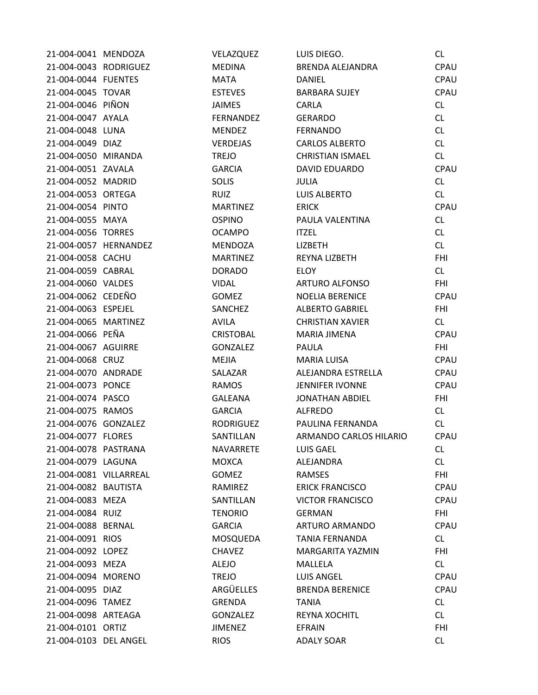| 21-004-0041 MENDOZA    |                       | VELAZQUEZ       | LUIS DIEGO.             | CL         |
|------------------------|-----------------------|-----------------|-------------------------|------------|
| 21-004-0043 RODRIGUEZ  |                       | <b>MEDINA</b>   | BRENDA ALEJANDRA        | CPAU       |
| 21-004-0044 FUENTES    |                       | MATA            | <b>DANIEL</b>           | CPAU       |
| 21-004-0045 TOVAR      |                       | <b>ESTEVES</b>  | BARBARA SUJEY           | CPAU       |
| 21-004-0046 PIÑON      |                       | <b>JAIMES</b>   | CARLA                   | CL         |
| 21-004-0047 AYALA      |                       | FERNANDEZ       | GERARDO                 | CL         |
| 21-004-0048 LUNA       |                       | <b>MENDEZ</b>   | <b>FERNANDO</b>         | CL         |
| 21-004-0049 DIAZ       |                       | VERDEJAS        | CARLOS ALBERTO          | CL         |
| 21-004-0050 MIRANDA    |                       | <b>TREJO</b>    | <b>CHRISTIAN ISMAEL</b> | CL         |
| 21-004-0051 ZAVALA     |                       | <b>GARCIA</b>   | DAVID EDUARDO           | CPAU       |
| 21-004-0052 MADRID     |                       | <b>SOLIS</b>    | <b>JULIA</b>            | CL         |
| 21-004-0053 ORTEGA     |                       | RUIZ            | LUIS ALBERTO            | CL         |
| 21-004-0054 PINTO      |                       | <b>MARTINEZ</b> | <b>ERICK</b>            | CPAU       |
| 21-004-0055 MAYA       |                       | <b>OSPINO</b>   | PAULA VALENTINA         | <b>CL</b>  |
| 21-004-0056 TORRES     |                       | <b>OCAMPO</b>   | <b>ITZEL</b>            | CL         |
|                        | 21-004-0057 HERNANDEZ | MENDOZA         | LIZBETH                 | CL         |
| 21-004-0058 CACHU      |                       | <b>MARTINEZ</b> | REYNA LIZBETH           | <b>FHI</b> |
| 21-004-0059 CABRAL     |                       | <b>DORADO</b>   | <b>ELOY</b>             | CL         |
| 21-004-0060 VALDES     |                       | <b>VIDAL</b>    | ARTURO ALFONSO          | <b>FHI</b> |
| 21-004-0062 CEDEÑO     |                       | GOMEZ           | <b>NOELIA BERENICE</b>  | CPAU       |
| 21-004-0063 ESPEJEL    |                       | SANCHEZ         | <b>ALBERTO GABRIEL</b>  | <b>FHI</b> |
| 21-004-0065 MARTINEZ   |                       | AVILA           | <b>CHRISTIAN XAVIER</b> | CL         |
| 21-004-0066 PEÑA       |                       | CRISTOBAL       | MARIA JIMENA            | CPAU       |
| 21-004-0067 AGUIRRE    |                       | GONZALEZ        | PAULA                   | <b>FHI</b> |
| 21-004-0068 CRUZ       |                       | MEJIA           | MARIA LUISA             | CPAU       |
| 21-004-0070 ANDRADE    |                       | SALAZAR         | ALEJANDRA ESTRELLA      | CPAU       |
| 21-004-0073 PONCE      |                       | RAMOS           | JENNIFER IVONNE         | CPAU       |
| 21-004-0074 PASCO      |                       | GALEANA         | JONATHAN ABDIEL         | <b>FHI</b> |
| 21-004-0075 RAMOS      |                       | <b>GARCIA</b>   | ALFREDO                 | CL         |
| 21-004-0076 GONZALEZ   |                       | RODRIGUEZ       | PAULINA FERNANDA        | CL         |
| 21-004-0077 FLORES     |                       | SANTILLAN       | ARMANDO CARLOS HILARIO  | CPAU       |
| 21-004-0078 PASTRANA   |                       | NAVARRETE       | LUIS GAEL               | CL         |
| 21-004-0079 LAGUNA     |                       | MOXCA           | ALEJANDRA               | CL         |
| 21-004-0081 VILLARREAL |                       | GOMEZ           | RAMSES                  | <b>FHI</b> |
| 21-004-0082 BAUTISTA   |                       | RAMIREZ         | <b>ERICK FRANCISCO</b>  | CPAU       |
| 21-004-0083 MEZA       |                       | SANTILLAN       | <b>VICTOR FRANCISCO</b> | CPAU       |
| 21-004-0084 RUIZ       |                       | <b>TENORIO</b>  | <b>GERMAN</b>           | <b>FHI</b> |
| 21-004-0088 BERNAL     |                       | <b>GARCIA</b>   | ARTURO ARMANDO          | CPAU       |
| 21-004-0091 RIOS       |                       | MOSQUEDA        | <b>TANIA FERNANDA</b>   | CL         |
| 21-004-0092 LOPEZ      |                       | <b>CHAVEZ</b>   | MARGARITA YAZMIN        | <b>FHI</b> |
| 21-004-0093 MEZA       |                       | ALEJO           | MALLELA                 | CL         |
| 21-004-0094 MORENO     |                       | TREJO           | LUIS ANGEL              | CPAU       |
| 21-004-0095 DIAZ       |                       | ARGÜELLES       | <b>BRENDA BERENICE</b>  | CPAU       |
| 21-004-0096 TAMEZ      |                       | GRENDA          | <b>TANIA</b>            | CL         |
| 21-004-0098 ARTEAGA    |                       | GONZALEZ        | <b>REYNA XOCHITL</b>    | CL         |
| 21-004-0101 ORTIZ      |                       | <b>JIMENEZ</b>  | EFRAIN                  | <b>FHI</b> |
| 21-004-0103 DEL ANGEL  |                       | <b>RIOS</b>     | <b>ADALY SOAR</b>       | CL         |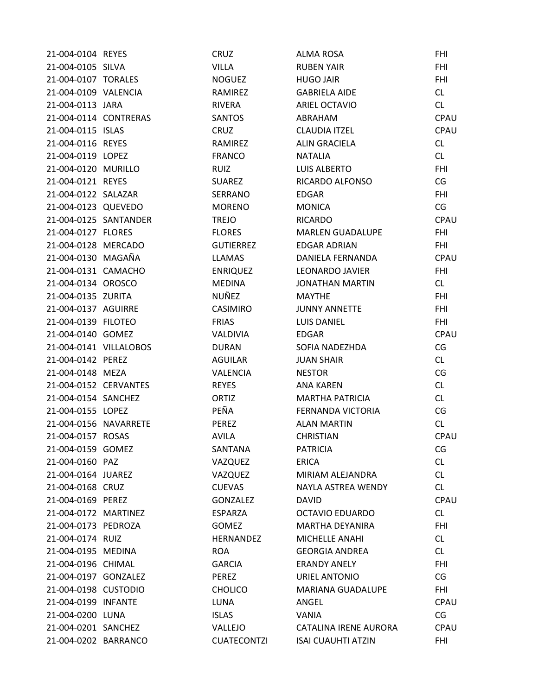| 21-004-0104 REYES      | CRUZ               | <b>ALMA ROSA</b>          | <b>FHI</b> |
|------------------------|--------------------|---------------------------|------------|
| 21-004-0105 SILVA      | <b>VILLA</b>       | <b>RUBEN YAIR</b>         | <b>FHI</b> |
| 21-004-0107 TORALES    | <b>NOGUEZ</b>      | <b>HUGO JAIR</b>          | <b>FHI</b> |
| 21-004-0109 VALENCIA   | RAMIREZ            | <b>GABRIELA AIDE</b>      | CL         |
| 21-004-0113 JARA       | <b>RIVERA</b>      | ARIEL OCTAVIO             | CL         |
| 21-004-0114 CONTRERAS  | <b>SANTOS</b>      | ABRAHAM                   | CPAU       |
| 21-004-0115 ISLAS      | CRUZ               | <b>CLAUDIA ITZEL</b>      | CPAU       |
| 21-004-0116 REYES      | RAMIREZ            | <b>ALIN GRACIELA</b>      | CL         |
| 21-004-0119 LOPEZ      | <b>FRANCO</b>      | <b>NATALIA</b>            | CL         |
| 21-004-0120 MURILLO    | <b>RUIZ</b>        | <b>LUIS ALBERTO</b>       | <b>FHI</b> |
| 21-004-0121 REYES      | <b>SUAREZ</b>      | RICARDO ALFONSO           | CG         |
| 21-004-0122 SALAZAR    | SERRANO            | <b>EDGAR</b>              | <b>FHI</b> |
| 21-004-0123 QUEVEDO    | <b>MORENO</b>      | <b>MONICA</b>             | CG         |
| 21-004-0125 SANTANDER  | <b>TREJO</b>       | <b>RICARDO</b>            | CPAU       |
| 21-004-0127 FLORES     | <b>FLORES</b>      | <b>MARLEN GUADALUPE</b>   | <b>FHI</b> |
| 21-004-0128 MERCADO    | <b>GUTIERREZ</b>   | <b>EDGAR ADRIAN</b>       | <b>FHI</b> |
| 21-004-0130 MAGAÑA     | <b>LLAMAS</b>      | DANIELA FERNANDA          | CPAU       |
| 21-004-0131 CAMACHO    | <b>ENRIQUEZ</b>    | LEONARDO JAVIER           | <b>FHI</b> |
| 21-004-0134 OROSCO     | <b>MEDINA</b>      | <b>JONATHAN MARTIN</b>    | CL         |
| 21-004-0135 ZURITA     | NUÑEZ              | <b>MAYTHE</b>             | <b>FHI</b> |
| 21-004-0137 AGUIRRE    | CASIMIRO           | <b>JUNNY ANNETTE</b>      | <b>FHI</b> |
| 21-004-0139 FILOTEO    | <b>FRIAS</b>       | LUIS DANIEL               | <b>FHI</b> |
| 21-004-0140 GOMEZ      | <b>VALDIVIA</b>    | <b>EDGAR</b>              | CPAU       |
| 21-004-0141 VILLALOBOS | <b>DURAN</b>       | SOFIA NADEZHDA            | CG         |
| 21-004-0142 PEREZ      | AGUILAR            | <b>JUAN SHAIR</b>         | CL         |
| 21-004-0148 MEZA       | <b>VALENCIA</b>    | <b>NESTOR</b>             | CG         |
| 21-004-0152 CERVANTES  | <b>REYES</b>       | ANA KAREN                 | CL         |
| 21-004-0154 SANCHEZ    | ORTIZ              | <b>MARTHA PATRICIA</b>    | CL         |
| 21-004-0155 LOPEZ      | PEÑA               | FERNANDA VICTORIA         | CG         |
| 21-004-0156 NAVARRETE  | PEREZ              | <b>ALAN MARTIN</b>        | CL         |
| 21-004-0157 ROSAS      | <b>AVILA</b>       | <b>CHRISTIAN</b>          | CPAU       |
| 21-004-0159 GOMEZ      | SANTANA            | <b>PATRICIA</b>           | CG         |
| 21-004-0160 PAZ        | VAZQUEZ            | <b>ERICA</b>              | CL         |
| 21-004-0164 JUAREZ     | VAZQUEZ            | MIRIAM ALEJANDRA          | CL         |
| 21-004-0168 CRUZ       | <b>CUEVAS</b>      | NAYLA ASTREA WENDY        | CL         |
| 21-004-0169 PEREZ      | <b>GONZALEZ</b>    | DAVID                     | CPAU       |
| 21-004-0172 MARTINEZ   | <b>ESPARZA</b>     | <b>OCTAVIO EDUARDO</b>    | CL         |
| 21-004-0173 PEDROZA    | <b>GOMEZ</b>       | MARTHA DEYANIRA           | <b>FHI</b> |
| 21-004-0174 RUIZ       | <b>HERNANDEZ</b>   | MICHELLE ANAHI            | CL         |
| 21-004-0195 MEDINA     | <b>ROA</b>         | <b>GEORGIA ANDREA</b>     | CL         |
| 21-004-0196 CHIMAL     | <b>GARCIA</b>      | <b>ERANDY ANELY</b>       | <b>FHI</b> |
| 21-004-0197 GONZALEZ   | PEREZ              | URIEL ANTONIO             | CG         |
| 21-004-0198 CUSTODIO   | <b>CHOLICO</b>     | MARIANA GUADALUPE         | <b>FHI</b> |
| 21-004-0199 INFANTE    | <b>LUNA</b>        | ANGEL                     | CPAU       |
| 21-004-0200 LUNA       | <b>ISLAS</b>       | VANIA                     | CG         |
| 21-004-0201 SANCHEZ    | VALLEJO            | CATALINA IRENE AURORA     | CPAU       |
| 21-004-0202 BARRANCO   | <b>CUATECONTZI</b> | <b>ISAI CUAUHTI ATZIN</b> | FHI        |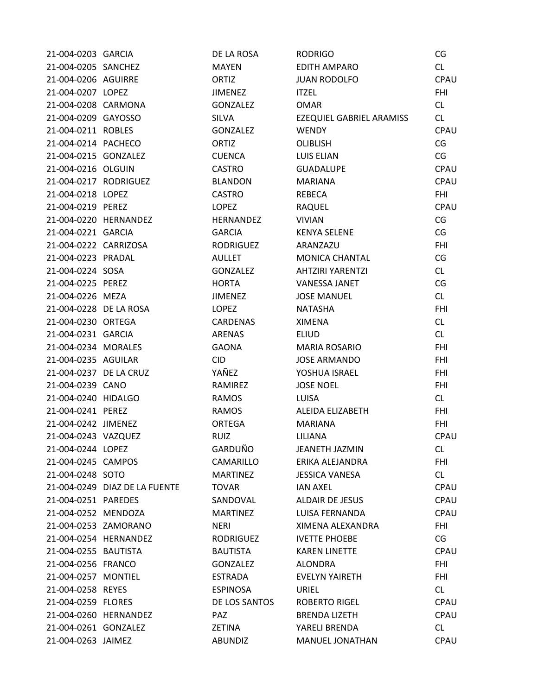| 21-004-0203 GARCIA     |                               | DE LA ROSA       | <b>RODRIGO</b>           | CG          |
|------------------------|-------------------------------|------------------|--------------------------|-------------|
| 21-004-0205 SANCHEZ    |                               | <b>MAYEN</b>     | EDITH AMPARO             | CL          |
| 21-004-0206 AGUIRRE    |                               | ORTIZ            | <b>JUAN RODOLFO</b>      | CPAU        |
| 21-004-0207 LOPEZ      |                               | <b>JIMENEZ</b>   | <b>ITZEL</b>             | <b>FHI</b>  |
| 21-004-0208 CARMONA    |                               | <b>GONZALEZ</b>  | <b>OMAR</b>              | CL          |
| 21-004-0209 GAYOSSO    |                               | <b>SILVA</b>     | EZEQUIEL GABRIEL ARAMISS | CL          |
| 21-004-0211 ROBLES     |                               | <b>GONZALEZ</b>  | <b>WENDY</b>             | CPAU        |
| 21-004-0214 PACHECO    |                               | ORTIZ            | <b>OLIBLISH</b>          | CG          |
| 21-004-0215 GONZALEZ   |                               | <b>CUENCA</b>    | <b>LUIS ELIAN</b>        | CG          |
| 21-004-0216 OLGUIN     |                               | <b>CASTRO</b>    | <b>GUADALUPE</b>         | CPAU        |
| 21-004-0217 RODRIGUEZ  |                               | <b>BLANDON</b>   | <b>MARIANA</b>           | CPAU        |
| 21-004-0218 LOPEZ      |                               | <b>CASTRO</b>    | <b>REBECA</b>            | <b>FHI</b>  |
| 21-004-0219 PEREZ      |                               | LOPEZ            | RAQUEL                   | CPAU        |
| 21-004-0220 HERNANDEZ  |                               | HERNANDEZ        | <b>VIVIAN</b>            | CG          |
| 21-004-0221 GARCIA     |                               | <b>GARCIA</b>    | <b>KENYA SELENE</b>      | CG          |
| 21-004-0222 CARRIZOSA  |                               | <b>RODRIGUEZ</b> | ARANZAZU                 | <b>FHI</b>  |
| 21-004-0223 PRADAL     |                               | <b>AULLET</b>    | MONICA CHANTAL           | CG          |
| 21-004-0224 SOSA       |                               | <b>GONZALEZ</b>  | <b>AHTZIRI YARENTZI</b>  | CL          |
| 21-004-0225 PEREZ      |                               | <b>HORTA</b>     | <b>VANESSA JANET</b>     | CG          |
| 21-004-0226 MEZA       |                               | <b>JIMENEZ</b>   | <b>JOSE MANUEL</b>       | CL          |
| 21-004-0228 DE LA ROSA |                               | <b>LOPEZ</b>     | <b>NATASHA</b>           | <b>FHI</b>  |
| 21-004-0230 ORTEGA     |                               | <b>CARDENAS</b>  | <b>XIMENA</b>            | CL          |
| 21-004-0231 GARCIA     |                               | ARENAS           | <b>ELIUD</b>             | CL          |
| 21-004-0234 MORALES    |                               | <b>GAONA</b>     | <b>MARIA ROSARIO</b>     | <b>FHI</b>  |
| 21-004-0235 AGUILAR    |                               | <b>CID</b>       | <b>JOSE ARMANDO</b>      | <b>FHI</b>  |
| 21-004-0237 DE LA CRUZ |                               | YAÑEZ            | YOSHUA ISRAEL            | <b>FHI</b>  |
| 21-004-0239 CANO       |                               | RAMIREZ          | <b>JOSE NOEL</b>         | <b>FHI</b>  |
| 21-004-0240 HIDALGO    |                               | <b>RAMOS</b>     | LUISA                    | CL          |
| 21-004-0241 PEREZ      |                               | <b>RAMOS</b>     | ALEIDA ELIZABETH         | <b>FHI</b>  |
| 21-004-0242 JIMENEZ    |                               | <b>ORTEGA</b>    | <b>MARIANA</b>           | <b>FHI</b>  |
| 21-004-0243 VAZQUEZ    |                               | <b>RUIZ</b>      | LILIANA                  | CPAU        |
| 21-004-0244 LOPEZ      |                               | GARDUÑO          | <b>JEANETH JAZMIN</b>    | CL.         |
| 21-004-0245 CAMPOS     |                               | CAMARILLO        | ERIKA ALEJANDRA          | <b>FHI</b>  |
| 21-004-0248 SOTO       |                               | <b>MARTINEZ</b>  | <b>JESSICA VANESA</b>    | CL          |
|                        | 21-004-0249 DIAZ DE LA FUENTE | <b>TOVAR</b>     | <b>IAN AXEL</b>          | CPAU        |
| 21-004-0251 PAREDES    |                               | SANDOVAL         | <b>ALDAIR DE JESUS</b>   | CPAU        |
| 21-004-0252 MENDOZA    |                               | <b>MARTINEZ</b>  | LUISA FERNANDA           | CPAU        |
| 21-004-0253 ZAMORANO   |                               | <b>NERI</b>      | XIMENA ALEXANDRA         | <b>FHI</b>  |
| 21-004-0254 HERNANDEZ  |                               | <b>RODRIGUEZ</b> | <b>IVETTE PHOEBE</b>     | CG          |
| 21-004-0255 BAUTISTA   |                               | <b>BAUTISTA</b>  | <b>KAREN LINETTE</b>     | <b>CPAU</b> |
| 21-004-0256 FRANCO     |                               | <b>GONZALEZ</b>  | <b>ALONDRA</b>           | FHI         |
| 21-004-0257 MONTIEL    |                               | <b>ESTRADA</b>   | <b>EVELYN YAIRETH</b>    | FHI         |
| 21-004-0258 REYES      |                               | <b>ESPINOSA</b>  | URIEL                    | CL          |
| 21-004-0259 FLORES     |                               | DE LOS SANTOS    | <b>ROBERTO RIGEL</b>     | CPAU        |
| 21-004-0260 HERNANDEZ  |                               | <b>PAZ</b>       | <b>BRENDA LIZETH</b>     | CPAU        |
| 21-004-0261 GONZALEZ   |                               | <b>ZETINA</b>    | YARELI BRENDA            | CL          |
| 21-004-0263 JAIMEZ     |                               | <b>ABUNDIZ</b>   | MANUEL JONATHAN          | CPAU        |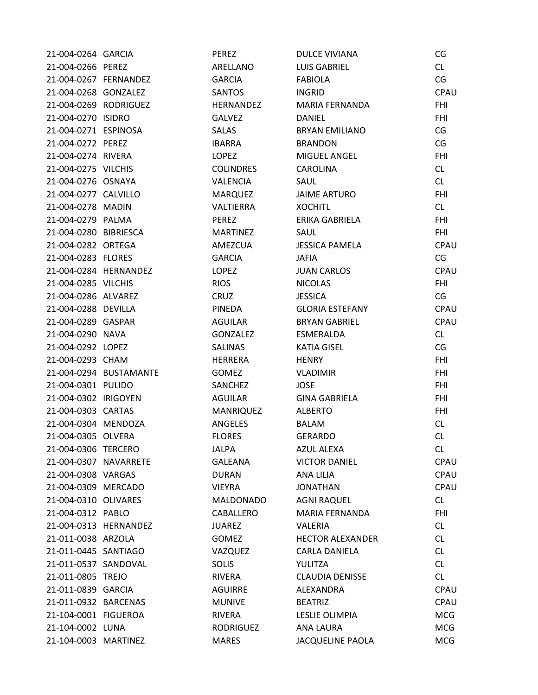| 21-004-0264 GARCIA    |                        | PEREZ            | <b>DULCE VIVIANA</b>    | CG          |
|-----------------------|------------------------|------------------|-------------------------|-------------|
| 21-004-0266 PEREZ     |                        | ARELLANO         | LUIS GABRIEL            | CL          |
|                       | 21-004-0267 FERNANDEZ  | GARCIA           | FABIOLA                 | CG          |
| 21-004-0268 GONZALEZ  |                        | SANTOS           | <b>INGRID</b>           | CPAU        |
|                       | 21-004-0269 RODRIGUEZ  | HERNANDEZ        | MARIA FERNANDA          | <b>FHI</b>  |
| 21-004-0270 ISIDRO    |                        | <b>GALVEZ</b>    | DANIEL                  | <b>FHI</b>  |
| 21-004-0271 ESPINOSA  |                        | SALAS            | BRYAN EMILIANO          | CG          |
| 21-004-0272 PEREZ     |                        | IBARRA           | <b>BRANDON</b>          | CG          |
| 21-004-0274 RIVERA    |                        | LOPEZ            | MIGUEL ANGEL            | <b>FHI</b>  |
| 21-004-0275 VILCHIS   |                        | <b>COLINDRES</b> | CAROLINA                | CL          |
| 21-004-0276 OSNAYA    |                        | VALENCIA         | SAUL                    | CL          |
| 21-004-0277 CALVILLO  |                        | MARQUEZ          | JAIME ARTURO            | <b>FHI</b>  |
| 21-004-0278 MADIN     |                        | VALTIERRA        | <b>XOCHITL</b>          | CL          |
| 21-004-0279 PALMA     |                        | PEREZ            | ERIKA GABRIELA          | <b>FHI</b>  |
| 21-004-0280 BIBRIESCA |                        | <b>MARTINEZ</b>  | SAUL                    | <b>FHI</b>  |
| 21-004-0282 ORTEGA    |                        | AMEZCUA          | JESSICA PAMELA          | CPAU        |
| 21-004-0283 FLORES    |                        | <b>GARCIA</b>    | JAFIA                   | CG          |
|                       | 21-004-0284 HERNANDEZ  | LOPEZ            | JUAN CARLOS             | CPAU        |
| 21-004-0285 VILCHIS   |                        | <b>RIOS</b>      | <b>NICOLAS</b>          | <b>FHI</b>  |
| 21-004-0286 ALVAREZ   |                        | CRUZ             | <b>JESSICA</b>          | CG          |
| 21-004-0288 DEVILLA   |                        | PINEDA           | <b>GLORIA ESTEFANY</b>  | CPAU        |
| 21-004-0289 GASPAR    |                        | AGUILAR          | BRYAN GABRIEL           | <b>CPAU</b> |
| 21-004-0290 NAVA      |                        | GONZALEZ         | ESMERALDA               | CL          |
| 21-004-0292 LOPEZ     |                        | <b>SALINAS</b>   | <b>KATIA GISEL</b>      | CG          |
| 21-004-0293 CHAM      |                        | HERRERA          | <b>HENRY</b>            | <b>FHI</b>  |
|                       | 21-004-0294 BUSTAMANTE | <b>GOMEZ</b>     | <b>VLADIMIR</b>         | <b>FHI</b>  |
| 21-004-0301 PULIDO    |                        | SANCHEZ          | <b>JOSE</b>             | <b>FHI</b>  |
| 21-004-0302 IRIGOYEN  |                        | AGUILAR          | GINA GABRIELA           | <b>FHI</b>  |
| 21-004-0303 CARTAS    |                        | MANRIQUEZ        | <b>ALBERTO</b>          | <b>FHI</b>  |
| 21-004-0304 MENDOZA   |                        | ANGELES          | BALAM                   | CL          |
| 21-004-0305 OLVERA    |                        | <b>FLORES</b>    | <b>GERARDO</b>          | CL          |
| 21-004-0306 TERCERO   |                        | <b>JALPA</b>     | <b>AZUL ALEXA</b>       | CL          |
| 21-004-0307 NAVARRETE |                        | <b>GALEANA</b>   | <b>VICTOR DANIEL</b>    | CPAU        |
| 21-004-0308 VARGAS    |                        | <b>DURAN</b>     | ANA LILIA               | CPAU        |
| 21-004-0309 MERCADO   |                        | <b>VIEYRA</b>    | <b>JONATHAN</b>         | <b>CPAU</b> |
| 21-004-0310 OLIVARES  |                        | <b>MALDONADO</b> | <b>AGNI RAQUEL</b>      | CL          |
| 21-004-0312 PABLO     |                        | CABALLERO        | MARIA FERNANDA          | <b>FHI</b>  |
|                       | 21-004-0313 HERNANDEZ  | <b>JUAREZ</b>    | <b>VALERIA</b>          | CL.         |
| 21-011-0038 ARZOLA    |                        | <b>GOMEZ</b>     | <b>HECTOR ALEXANDER</b> | <b>CL</b>   |
| 21-011-0445 SANTIAGO  |                        | VAZQUEZ          | <b>CARLA DANIELA</b>    | <b>CL</b>   |
| 21-011-0537 SANDOVAL  |                        | <b>SOLIS</b>     | YULITZA                 | CL          |
| 21-011-0805 TREJO     |                        | RIVERA           | <b>CLAUDIA DENISSE</b>  | CL          |
| 21-011-0839 GARCIA    |                        | AGUIRRE          | ALEXANDRA               | CPAU        |
| 21-011-0932 BARCENAS  |                        | <b>MUNIVE</b>    | <b>BEATRIZ</b>          | CPAU        |
| 21-104-0001 FIGUEROA  |                        | <b>RIVERA</b>    | LESLIE OLIMPIA          | <b>MCG</b>  |
| 21-104-0002 LUNA      |                        | <b>RODRIGUEZ</b> | <b>ANA LAURA</b>        | <b>MCG</b>  |
| 21-104-0003 MARTINEZ  |                        | <b>MARES</b>     | <b>JACQUELINE PAOLA</b> | <b>MCG</b>  |
|                       |                        |                  |                         |             |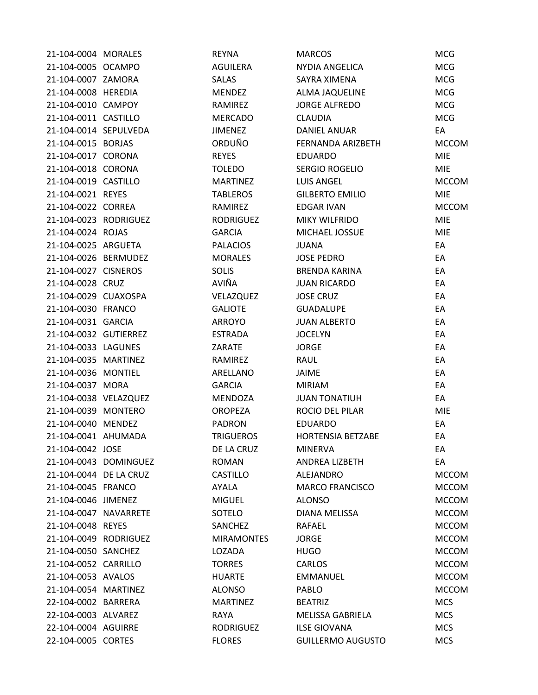| 21-104-0004 MORALES    |                       | <b>REYNA</b>      | <b>MARCOS</b>            | <b>MCG</b>   |
|------------------------|-----------------------|-------------------|--------------------------|--------------|
| 21-104-0005 OCAMPO     |                       | <b>AGUILERA</b>   | NYDIA ANGELICA           | <b>MCG</b>   |
| 21-104-0007 ZAMORA     |                       | <b>SALAS</b>      | SAYRA XIMENA             | <b>MCG</b>   |
| 21-104-0008 HEREDIA    |                       | MENDEZ            | ALMA JAQUELINE           | <b>MCG</b>   |
| 21-104-0010 CAMPOY     |                       | RAMIREZ           | <b>JORGE ALFREDO</b>     | <b>MCG</b>   |
| 21-104-0011 CASTILLO   |                       | <b>MERCADO</b>    | <b>CLAUDIA</b>           | <b>MCG</b>   |
| 21-104-0014 SEPULVEDA  |                       | <b>JIMENEZ</b>    | DANIEL ANUAR             | EA           |
| 21-104-0015 BORJAS     |                       | ORDUÑO            | FERNANDA ARIZBETH        | <b>MCCOM</b> |
| 21-104-0017 CORONA     |                       | <b>REYES</b>      | <b>EDUARDO</b>           | <b>MIE</b>   |
| 21-104-0018 CORONA     |                       | <b>TOLEDO</b>     | SERGIO ROGELIO           | <b>MIE</b>   |
| 21-104-0019 CASTILLO   |                       | <b>MARTINEZ</b>   | <b>LUIS ANGEL</b>        | <b>MCCOM</b> |
| 21-104-0021 REYES      |                       | <b>TABLEROS</b>   | <b>GILBERTO EMILIO</b>   | <b>MIE</b>   |
| 21-104-0022 CORREA     |                       | RAMIREZ           | <b>EDGAR IVAN</b>        | <b>MCCOM</b> |
| 21-104-0023 RODRIGUEZ  |                       | <b>RODRIGUEZ</b>  | <b>MIKY WILFRIDO</b>     | <b>MIE</b>   |
| 21-104-0024 ROJAS      |                       | <b>GARCIA</b>     | MICHAEL JOSSUE           | <b>MIE</b>   |
| 21-104-0025 ARGUETA    |                       | <b>PALACIOS</b>   | <b>JUANA</b>             | EA           |
| 21-104-0026 BERMUDEZ   |                       | <b>MORALES</b>    | <b>JOSE PEDRO</b>        | EA           |
| 21-104-0027 CISNEROS   |                       | <b>SOLIS</b>      | <b>BRENDA KARINA</b>     | EA           |
| 21-104-0028 CRUZ       |                       | AVIÑA             | <b>JUAN RICARDO</b>      | EA           |
| 21-104-0029 CUAXOSPA   |                       | VELAZQUEZ         | <b>JOSE CRUZ</b>         | EA           |
| 21-104-0030 FRANCO     |                       | <b>GALIOTE</b>    | <b>GUADALUPE</b>         | EA           |
| 21-104-0031 GARCIA     |                       | ARROYO            | <b>JUAN ALBERTO</b>      | EA           |
| 21-104-0032 GUTIERREZ  |                       | <b>ESTRADA</b>    | <b>JOCELYN</b>           | EA           |
| 21-104-0033 LAGUNES    |                       | ZARATE            | <b>JORGE</b>             | EA           |
| 21-104-0035 MARTINEZ   |                       | RAMIREZ           | RAUL                     | EA           |
| 21-104-0036 MONTIEL    |                       | ARELLANO          | JAIME                    | EA           |
| 21-104-0037 MORA       |                       | <b>GARCIA</b>     | <b>MIRIAM</b>            | EA           |
| 21-104-0038 VELAZQUEZ  |                       | <b>MENDOZA</b>    | <b>JUAN TONATIUH</b>     | EA           |
| 21-104-0039 MONTERO    |                       | <b>OROPEZA</b>    | ROCIO DEL PILAR          | <b>MIE</b>   |
| 21-104-0040 MENDEZ     |                       | <b>PADRON</b>     | <b>EDUARDO</b>           | EA           |
| 21-104-0041 AHUMADA    |                       | <b>TRIGUEROS</b>  | <b>HORTENSIA BETZABE</b> | EA           |
| 21-104-0042 JOSE       |                       | DE LA CRUZ        | <b>MINERVA</b>           | EA           |
|                        | 21-104-0043 DOMINGUEZ | <b>ROMAN</b>      | ANDREA LIZBETH           | EA           |
| 21-104-0044 DE LA CRUZ |                       | CASTILLO          | ALEJANDRO                | <b>MCCOM</b> |
| 21-104-0045 FRANCO     |                       | AYALA             | <b>MARCO FRANCISCO</b>   | <b>MCCOM</b> |
| 21-104-0046 JIMENEZ    |                       | <b>MIGUEL</b>     | <b>ALONSO</b>            | <b>MCCOM</b> |
| 21-104-0047 NAVARRETE  |                       | SOTELO            | <b>DIANA MELISSA</b>     | <b>MCCOM</b> |
| 21-104-0048 REYES      |                       | SANCHEZ           | RAFAEL                   | <b>MCCOM</b> |
| 21-104-0049 RODRIGUEZ  |                       | <b>MIRAMONTES</b> | <b>JORGE</b>             | <b>MCCOM</b> |
| 21-104-0050 SANCHEZ    |                       | LOZADA            | <b>HUGO</b>              | <b>MCCOM</b> |
| 21-104-0052 CARRILLO   |                       | <b>TORRES</b>     | <b>CARLOS</b>            | <b>MCCOM</b> |
| 21-104-0053 AVALOS     |                       | <b>HUARTE</b>     | <b>EMMANUEL</b>          | <b>MCCOM</b> |
| 21-104-0054 MARTINEZ   |                       | <b>ALONSO</b>     | <b>PABLO</b>             | <b>MCCOM</b> |
| 22-104-0002 BARRERA    |                       | <b>MARTINEZ</b>   | <b>BEATRIZ</b>           | <b>MCS</b>   |
| 22-104-0003 ALVAREZ    |                       | <b>RAYA</b>       | <b>MELISSA GABRIELA</b>  | <b>MCS</b>   |
| 22-104-0004 AGUIRRE    |                       | <b>RODRIGUEZ</b>  | <b>ILSE GIOVANA</b>      | <b>MCS</b>   |
| 22-104-0005 CORTES     |                       | <b>FLORES</b>     | <b>GUILLERMO AUGUSTO</b> | <b>MCS</b>   |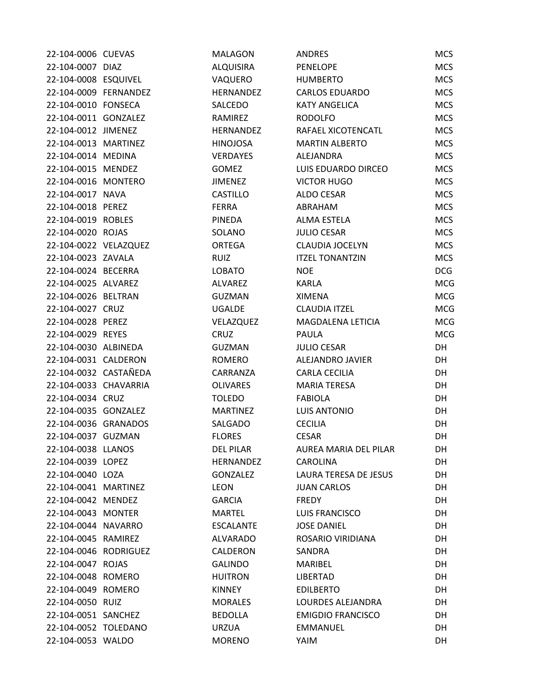| 22-104-0006 CUEVAS    | <b>MALAGON</b>   | <b>ANDRES</b>            | <b>MCS</b> |
|-----------------------|------------------|--------------------------|------------|
| 22-104-0007 DIAZ      | <b>ALQUISIRA</b> | <b>PENELOPE</b>          | <b>MCS</b> |
| 22-104-0008 ESQUIVEL  | VAQUERO          | <b>HUMBERTO</b>          | <b>MCS</b> |
| 22-104-0009 FERNANDEZ | <b>HERNANDEZ</b> | <b>CARLOS EDUARDO</b>    | <b>MCS</b> |
| 22-104-0010 FONSECA   | SALCEDO          | <b>KATY ANGELICA</b>     | <b>MCS</b> |
| 22-104-0011 GONZALEZ  | RAMIREZ          | <b>RODOLFO</b>           | <b>MCS</b> |
| 22-104-0012 JIMENEZ   | <b>HERNANDEZ</b> | RAFAEL XICOTENCATL       | <b>MCS</b> |
| 22-104-0013 MARTINEZ  | <b>HINOJOSA</b>  | <b>MARTIN ALBERTO</b>    | <b>MCS</b> |
| 22-104-0014 MEDINA    | <b>VERDAYES</b>  | ALEJANDRA                | <b>MCS</b> |
| 22-104-0015 MENDEZ    | <b>GOMEZ</b>     | LUIS EDUARDO DIRCEO      | <b>MCS</b> |
| 22-104-0016 MONTERO   | <b>JIMENEZ</b>   | <b>VICTOR HUGO</b>       | <b>MCS</b> |
| 22-104-0017 NAVA      | <b>CASTILLO</b>  | ALDO CESAR               | <b>MCS</b> |
| 22-104-0018 PEREZ     | <b>FERRA</b>     | ABRAHAM                  | <b>MCS</b> |
| 22-104-0019 ROBLES    | PINEDA           | ALMA ESTELA              | <b>MCS</b> |
| 22-104-0020 ROJAS     | SOLANO           | <b>JULIO CESAR</b>       | <b>MCS</b> |
| 22-104-0022 VELAZQUEZ | <b>ORTEGA</b>    | <b>CLAUDIA JOCELYN</b>   | <b>MCS</b> |
| 22-104-0023 ZAVALA    | <b>RUIZ</b>      | <b>ITZEL TONANTZIN</b>   | <b>MCS</b> |
| 22-104-0024 BECERRA   | <b>LOBATO</b>    | <b>NOE</b>               | <b>DCG</b> |
| 22-104-0025 ALVAREZ   | ALVAREZ          | <b>KARLA</b>             | <b>MCG</b> |
| 22-104-0026 BELTRAN   | <b>GUZMAN</b>    | <b>XIMENA</b>            | <b>MCG</b> |
| 22-104-0027 CRUZ      | <b>UGALDE</b>    | <b>CLAUDIA ITZEL</b>     | <b>MCG</b> |
| 22-104-0028 PEREZ     | VELAZQUEZ        | MAGDALENA LETICIA        | <b>MCG</b> |
| 22-104-0029 REYES     | <b>CRUZ</b>      | <b>PAULA</b>             | <b>MCG</b> |
| 22-104-0030 ALBINEDA  | <b>GUZMAN</b>    | <b>JULIO CESAR</b>       | DH         |
| 22-104-0031 CALDERON  | <b>ROMERO</b>    | ALEJANDRO JAVIER         | DH         |
| 22-104-0032 CASTAÑEDA | CARRANZA         | <b>CARLA CECILIA</b>     | DH         |
| 22-104-0033 CHAVARRIA | <b>OLIVARES</b>  | <b>MARIA TERESA</b>      | DH         |
| 22-104-0034 CRUZ      | <b>TOLEDO</b>    | <b>FABIOLA</b>           | DH         |
| 22-104-0035 GONZALEZ  | <b>MARTINEZ</b>  | <b>LUIS ANTONIO</b>      | DH         |
| 22-104-0036 GRANADOS  | SALGADO          | <b>CECILIA</b>           | DH         |
| 22-104-0037 GUZMAN    | <b>FLORES</b>    | <b>CESAR</b>             | DH         |
| 22-104-0038 LLANOS    | <b>DEL PILAR</b> | AUREA MARIA DEL PILAR    | DH         |
| 22-104-0039 LOPEZ     | <b>HERNANDEZ</b> | <b>CAROLINA</b>          | DH         |
| 22-104-0040 LOZA      | <b>GONZALEZ</b>  | LAURA TERESA DE JESUS    | DH         |
| 22-104-0041 MARTINEZ  | LEON             | <b>JUAN CARLOS</b>       | DH         |
| 22-104-0042 MENDEZ    | <b>GARCIA</b>    | FREDY                    | DH         |
| 22-104-0043 MONTER    | <b>MARTEL</b>    | <b>LUIS FRANCISCO</b>    | DH         |
| 22-104-0044 NAVARRO   | <b>ESCALANTE</b> | <b>JOSE DANIEL</b>       | DH         |
| 22-104-0045 RAMIREZ   | ALVARADO         | ROSARIO VIRIDIANA        | DH         |
| 22-104-0046 RODRIGUEZ | CALDERON         | SANDRA                   | DH         |
| 22-104-0047 ROJAS     | <b>GALINDO</b>   | MARIBEL                  | DH         |
| 22-104-0048 ROMERO    | <b>HUITRON</b>   | LIBERTAD                 | DH         |
| 22-104-0049 ROMERO    | <b>KINNEY</b>    | <b>EDILBERTO</b>         | DH         |
| 22-104-0050 RUIZ      | <b>MORALES</b>   | LOURDES ALEJANDRA        | DH         |
| 22-104-0051 SANCHEZ   | <b>BEDOLLA</b>   | <b>EMIGDIO FRANCISCO</b> | DH         |
| 22-104-0052 TOLEDANO  | <b>URZUA</b>     | <b>EMMANUEL</b>          | DH         |
| 22-104-0053 WALDO     | <b>MORENO</b>    | YAIM                     | DH         |